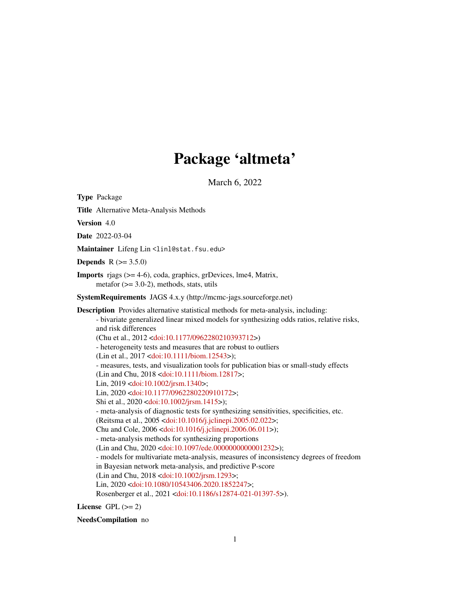# Package 'altmeta'

March 6, 2022

<span id="page-0-0"></span>Type Package

Title Alternative Meta-Analysis Methods

Version 4.0

Date 2022-03-04

Maintainer Lifeng Lin<linl@stat.fsu.edu>

**Depends**  $R (= 3.5.0)$ 

Imports rjags (>= 4-6), coda, graphics, grDevices, lme4, Matrix, metafor  $(>= 3.0-2)$ , methods, stats, utils

SystemRequirements JAGS 4.x.y (http://mcmc-jags.sourceforge.net)

Description Provides alternative statistical methods for meta-analysis, including: - bivariate generalized linear mixed models for synthesizing odds ratios, relative risks, and risk differences (Chu et al., 2012 [<doi:10.1177/0962280210393712>](https://doi.org/10.1177/0962280210393712)) - heterogeneity tests and measures that are robust to outliers (Lin et al., 2017 [<doi:10.1111/biom.12543>](https://doi.org/10.1111/biom.12543)); - measures, tests, and visualization tools for publication bias or small-study effects (Lin and Chu, 2018 [<doi:10.1111/biom.12817>](https://doi.org/10.1111/biom.12817); Lin, 2019 [<doi:10.1002/jrsm.1340>](https://doi.org/10.1002/jrsm.1340); Lin, 2020 [<doi:10.1177/0962280220910172>](https://doi.org/10.1177/0962280220910172); Shi et al., 2020 [<doi:10.1002/jrsm.1415>](https://doi.org/10.1002/jrsm.1415)); - meta-analysis of diagnostic tests for synthesizing sensitivities, specificities, etc. (Reitsma et al., 2005 [<doi:10.1016/j.jclinepi.2005.02.022>](https://doi.org/10.1016/j.jclinepi.2005.02.022); Chu and Cole, 2006 [<doi:10.1016/j.jclinepi.2006.06.011>](https://doi.org/10.1016/j.jclinepi.2006.06.011)); - meta-analysis methods for synthesizing proportions (Lin and Chu, 2020 [<doi:10.1097/ede.0000000000001232>](https://doi.org/10.1097/ede.0000000000001232)); - models for multivariate meta-analysis, measures of inconsistency degrees of freedom in Bayesian network meta-analysis, and predictive P-score (Lin and Chu, 2018 [<doi:10.1002/jrsm.1293>](https://doi.org/10.1002/jrsm.1293); Lin, 2020 [<doi:10.1080/10543406.2020.1852247>](https://doi.org/10.1080/10543406.2020.1852247); Rosenberger et al., 2021 [<doi:10.1186/s12874-021-01397-5>](https://doi.org/10.1186/s12874-021-01397-5)).

License GPL  $(>= 2)$ 

NeedsCompilation no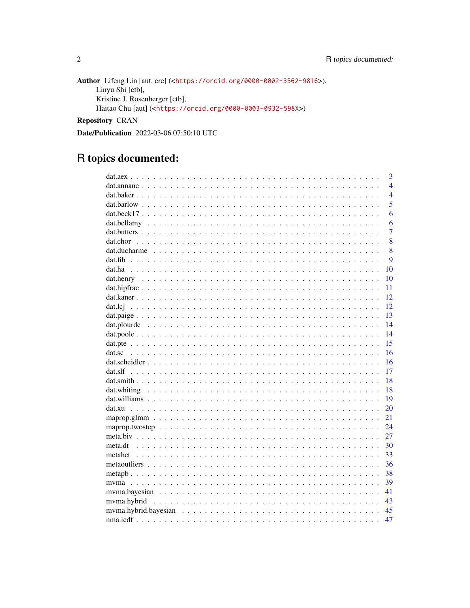Author Lifeng Lin [aut, cre] (<https://orcid.org/0000-0002-3562-9816>), Linyu Shi [ctb], Kristine J. Rosenberger [ctb], Haitao Chu [aut] (<https://orcid.org/0000-0003-0932-598X>)

Repository CRAN

Date/Publication 2022-03-06 07:50:10 UTC

# R topics documented:

| 3              |
|----------------|
| $\overline{4}$ |
| $\overline{4}$ |
| 5              |
| 6              |
| 6              |
| $\overline{7}$ |
| 8              |
| 8              |
| $\mathbf Q$    |
| 10             |
| 10             |
| 11             |
| 12             |
| 12             |
| 13             |
| 14             |
| 14             |
| 15             |
| 16             |
| 16             |
| 17             |
| 18             |
| 18             |
| 19             |
| 20             |
| 21             |
| 24             |
| 27             |
| 30             |
| 33             |
| 36             |
| 38             |
| 39             |
| 41             |
| -43            |
| 45             |
| 47             |

 $\sqrt{2}$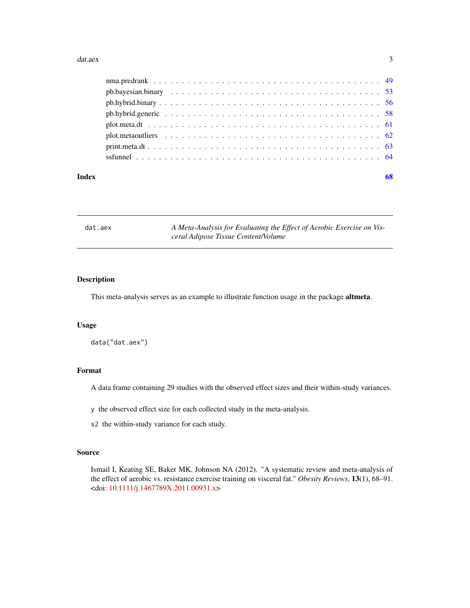#### <span id="page-2-0"></span>dat.aex 3

| Index | 68 |
|-------|----|
|       |    |
|       |    |
|       |    |
|       |    |
|       |    |
|       |    |
|       |    |
|       |    |

dat.aex A Meta-Analysis for Evaluating the Effect of Aerobic Exercise on Vis*ceral Adipose Tissue Content/Volume*

# Description

This meta-analysis serves as an example to illustrate function usage in the package altmeta.

# Usage

data("dat.aex")

#### Format

A data frame containing 29 studies with the observed effect sizes and their within-study variances.

y the observed effect size for each collected study in the meta-analysis.

s2 the within-study variance for each study.

# Source

Ismail I, Keating SE, Baker MK, Johnson NA (2012). "A systematic review and meta-analysis of the effect of aerobic vs. resistance exercise training on visceral fat." *Obesity Reviews*, 13(1), 68–91. <doi: [10.1111/j.1467789X.2011.00931.x>](https://doi.org/10.1111/j.1467-789X.2011.00931.x)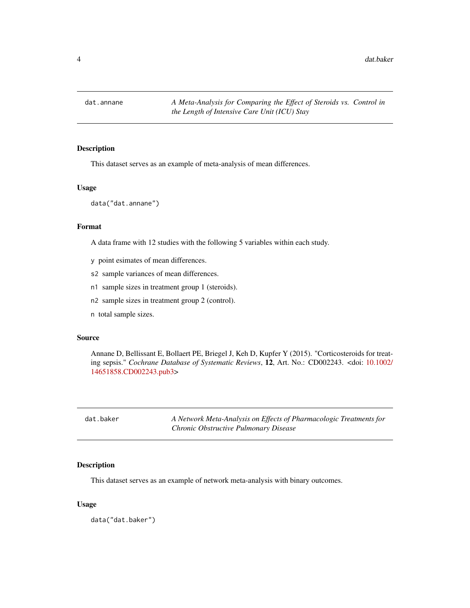<span id="page-3-0"></span>

# Description

This dataset serves as an example of meta-analysis of mean differences.

# Usage

data("dat.annane")

#### Format

A data frame with 12 studies with the following 5 variables within each study.

- y point esimates of mean differences.
- s2 sample variances of mean differences.
- n1 sample sizes in treatment group 1 (steroids).
- n2 sample sizes in treatment group 2 (control).
- n total sample sizes.

#### Source

Annane D, Bellissant E, Bollaert PE, Briegel J, Keh D, Kupfer Y (2015). "Corticosteroids for treating sepsis." *Cochrane Database of Systematic Reviews*, 12, Art. No.: CD002243. <doi: [10.1002/](https://doi.org/10.1002/14651858.CD002243.pub3) [14651858.CD002243.pub3>](https://doi.org/10.1002/14651858.CD002243.pub3)

dat.baker *A Network Meta-Analysis on Effects of Pharmacologic Treatments for Chronic Obstructive Pulmonary Disease*

# Description

This dataset serves as an example of network meta-analysis with binary outcomes.

#### Usage

data("dat.baker")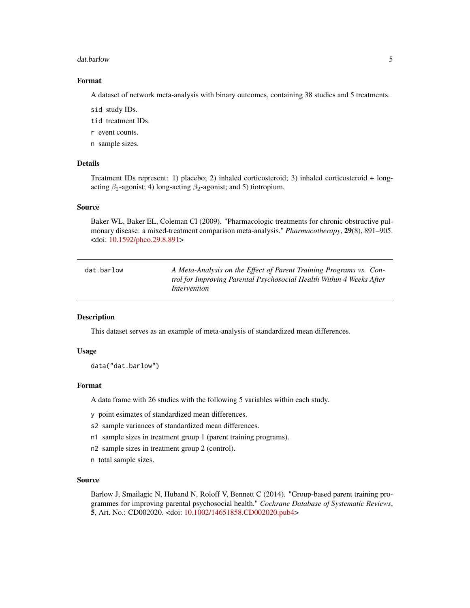#### <span id="page-4-0"></span>dat.barlow 5

#### Format

A dataset of network meta-analysis with binary outcomes, containing 38 studies and 5 treatments.

sid study IDs.

- tid treatment IDs.
- r event counts.
- n sample sizes.

# Details

Treatment IDs represent: 1) placebo; 2) inhaled corticosteroid; 3) inhaled corticosteroid + longacting  $\beta_2$ -agonist; 4) long-acting  $\beta_2$ -agonist; and 5) tiotropium.

# Source

Baker WL, Baker EL, Coleman CI (2009). "Pharmacologic treatments for chronic obstructive pulmonary disease: a mixed-treatment comparison meta-analysis." *Pharmacotherapy*, 29(8), 891–905. <doi: [10.1592/phco.29.8.891>](https://doi.org/10.1592/phco.29.8.891)

| dat.barlow | A Meta-Analysis on the Effect of Parent Training Programs vs. Con-   |
|------------|----------------------------------------------------------------------|
|            | trol for Improving Parental Psychosocial Health Within 4 Weeks After |
|            | Intervention                                                         |

# **Description**

This dataset serves as an example of meta-analysis of standardized mean differences.

#### Usage

data("dat.barlow")

#### Format

A data frame with 26 studies with the following 5 variables within each study.

- y point esimates of standardized mean differences.
- s2 sample variances of standardized mean differences.
- n1 sample sizes in treatment group 1 (parent training programs).
- n2 sample sizes in treatment group 2 (control).
- n total sample sizes.

# Source

Barlow J, Smailagic N, Huband N, Roloff V, Bennett C (2014). "Group-based parent training programmes for improving parental psychosocial health." *Cochrane Database of Systematic Reviews*, 5, Art. No.: CD002020. <doi: [10.1002/14651858.CD002020.pub4>](https://doi.org/10.1002/14651858.CD002020.pub4)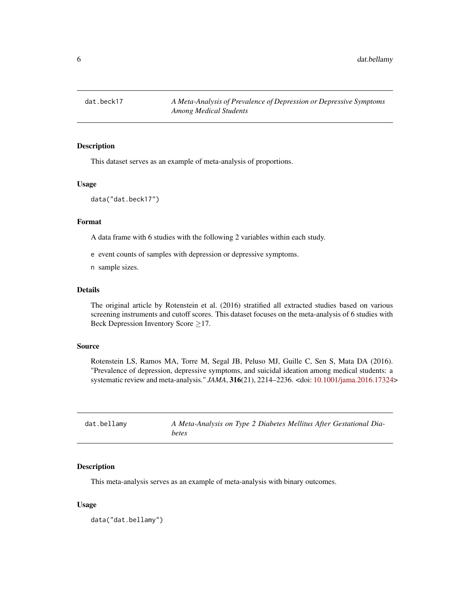<span id="page-5-0"></span>

# Description

This dataset serves as an example of meta-analysis of proportions.

#### Usage

data("dat.beck17")

#### Format

A data frame with 6 studies with the following 2 variables within each study.

e event counts of samples with depression or depressive symptoms.

n sample sizes.

### Details

The original article by Rotenstein et al. (2016) stratified all extracted studies based on various screening instruments and cutoff scores. This dataset focuses on the meta-analysis of 6 studies with Beck Depression Inventory Score  $\geq$ 17.

#### Source

Rotenstein LS, Ramos MA, Torre M, Segal JB, Peluso MJ, Guille C, Sen S, Mata DA (2016). "Prevalence of depression, depressive symptoms, and suicidal ideation among medical students: a systematic review and meta-analysis." *JAMA*, 316(21), 2214–2236. <doi: [10.1001/jama.2016.17324>](https://doi.org/10.1001/jama.2016.17324)

| dat.bellamy | A Meta-Analysis on Type 2 Diabetes Mellitus After Gestational Dia- |
|-------------|--------------------------------------------------------------------|
|             | betes                                                              |

# Description

This meta-analysis serves as an example of meta-analysis with binary outcomes.

#### Usage

data("dat.bellamy")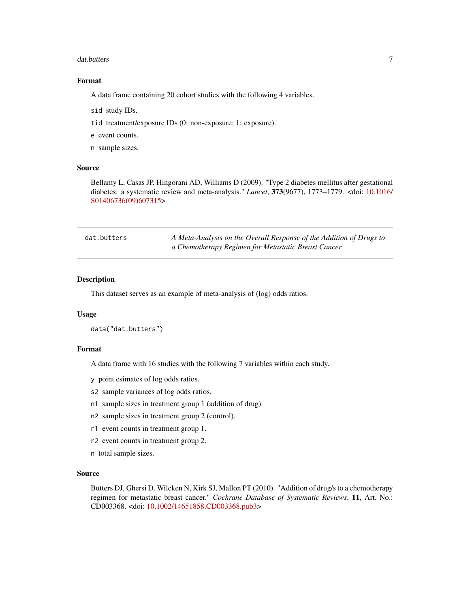#### <span id="page-6-0"></span>dat.butters **7**

# Format

A data frame containing 20 cohort studies with the following 4 variables.

- sid study IDs.
- tid treatment/exposure IDs (0: non-exposure; 1: exposure).
- e event counts.
- n sample sizes.

# Source

Bellamy L, Casas JP, Hingorani AD, Williams D (2009). "Type 2 diabetes mellitus after gestational diabetes: a systematic review and meta-analysis." *Lancet*, 373(9677), 1773–1779. <doi: [10.1016/](https://doi.org/10.1016/S0140-6736(09)60731-5) [S01406736\(09\)607315>](https://doi.org/10.1016/S0140-6736(09)60731-5)

| dat.butters | A Meta-Analysis on the Overall Response of the Addition of Drugs to |
|-------------|---------------------------------------------------------------------|
|             | a Chemotherapy Regimen for Metastatic Breast Cancer                 |

# Description

This dataset serves as an example of meta-analysis of (log) odds ratios.

#### Usage

```
data("dat.butters")
```
#### Format

A data frame with 16 studies with the following 7 variables within each study.

y point esimates of log odds ratios.

- s2 sample variances of log odds ratios.
- n1 sample sizes in treatment group 1 (addition of drug).
- n2 sample sizes in treatment group 2 (control).
- r1 event counts in treatment group 1.
- r2 event counts in treatment group 2.
- n total sample sizes.

# Source

Butters DJ, Ghersi D, Wilcken N, Kirk SJ, Mallon PT (2010). "Addition of drug/s to a chemotherapy regimen for metastatic breast cancer." *Cochrane Database of Systematic Reviews*, 11, Art. No.: CD003368. <doi: [10.1002/14651858.CD003368.pub3>](https://doi.org/10.1002/14651858.CD003368.pub3)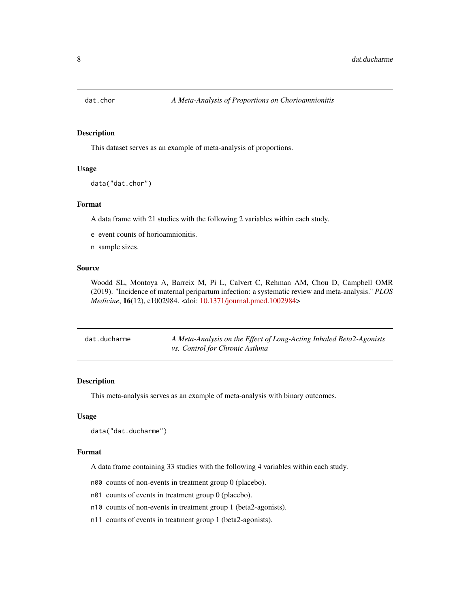<span id="page-7-0"></span>

#### Description

This dataset serves as an example of meta-analysis of proportions.

# Usage

data("dat.chor")

#### Format

A data frame with 21 studies with the following 2 variables within each study.

e event counts of horioamnionitis.

n sample sizes.

# Source

Woodd SL, Montoya A, Barreix M, Pi L, Calvert C, Rehman AM, Chou D, Campbell OMR (2019). "Incidence of maternal peripartum infection: a systematic review and meta-analysis." *PLOS Medicine*, 16(12), e1002984. <doi: [10.1371/journal.pmed.1002984>](https://doi.org/10.1371/journal.pmed.1002984)

| dat.ducharme | A Meta-Analysis on the Effect of Long-Acting Inhaled Beta2-Agonists |
|--------------|---------------------------------------------------------------------|
|              | <i>vs. Control for Chronic Asthma</i>                               |

# Description

This meta-analysis serves as an example of meta-analysis with binary outcomes.

#### Usage

```
data("dat.ducharme")
```
# Format

A data frame containing 33 studies with the following 4 variables within each study.

n00 counts of non-events in treatment group 0 (placebo).

- n01 counts of events in treatment group 0 (placebo).
- n10 counts of non-events in treatment group 1 (beta2-agonists).
- n11 counts of events in treatment group 1 (beta2-agonists).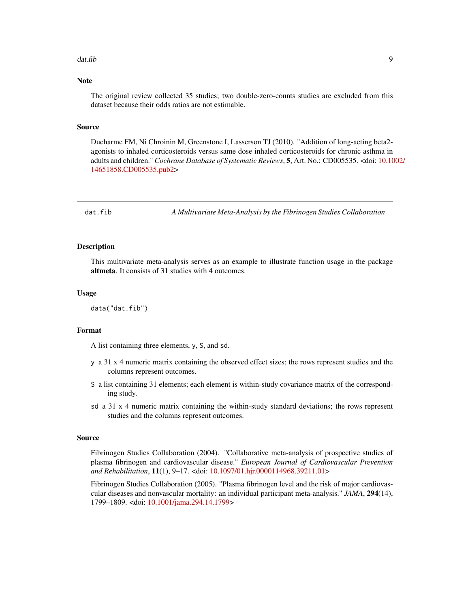#### <span id="page-8-0"></span>dat.fib 9

# Note

The original review collected 35 studies; two double-zero-counts studies are excluded from this dataset because their odds ratios are not estimable.

#### Source

Ducharme FM, Ni Chroinin M, Greenstone I, Lasserson TJ (2010). "Addition of long-acting beta2 agonists to inhaled corticosteroids versus same dose inhaled corticosteroids for chronic asthma in adults and children." *Cochrane Database of Systematic Reviews*, 5, Art. No.: CD005535. <doi: [10.10](https://doi.org/10.1002/14651858.CD005535.pub2)02/ [14651858.CD005535.pub2>](https://doi.org/10.1002/14651858.CD005535.pub2)

dat.fib *A Multivariate Meta-Analysis by the Fibrinogen Studies Collaboration*

#### Description

This multivariate meta-analysis serves as an example to illustrate function usage in the package altmeta. It consists of 31 studies with 4 outcomes.

#### Usage

data("dat.fib")

#### Format

A list containing three elements, y, S, and sd.

- y a 31 x 4 numeric matrix containing the observed effect sizes; the rows represent studies and the columns represent outcomes.
- S a list containing 31 elements; each element is within-study covariance matrix of the corresponding study.
- sd a 31 x 4 numeric matrix containing the within-study standard deviations; the rows represent studies and the columns represent outcomes.

#### Source

Fibrinogen Studies Collaboration (2004). "Collaborative meta-analysis of prospective studies of plasma fibrinogen and cardiovascular disease." *European Journal of Cardiovascular Prevention and Rehabilitation*, 11(1), 9–17. <doi: [10.1097/01.hjr.0000114968.39211.01>](https://doi.org/10.1097/01.hjr.0000114968.39211.01)

Fibrinogen Studies Collaboration (2005). "Plasma fibrinogen level and the risk of major cardiovascular diseases and nonvascular mortality: an individual participant meta-analysis." *JAMA*, 294(14), 1799–1809. <doi: [10.1001/jama.294.14.1799>](https://doi.org/10.1001/jama.294.14.1799)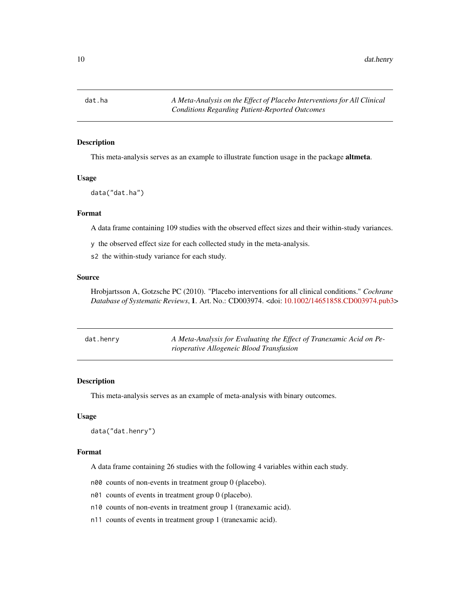<span id="page-9-0"></span>dat.ha *A Meta-Analysis on the Effect of Placebo Interventions for All Clinical Conditions Regarding Patient-Reported Outcomes*

#### Description

This meta-analysis serves as an example to illustrate function usage in the package **altmeta**.

#### Usage

data("dat.ha")

# Format

A data frame containing 109 studies with the observed effect sizes and their within-study variances.

y the observed effect size for each collected study in the meta-analysis.

s2 the within-study variance for each study.

# Source

Hrobjartsson A, Gotzsche PC (2010). "Placebo interventions for all clinical conditions." *Cochrane Database of Systematic Reviews*, 1. Art. No.: CD003974. <doi: [10.1002/14651858.CD003974.pub3>](https://doi.org/10.1002/14651858.CD003974.pub3)

| dat.henry | A Meta-Analysis for Evaluating the Effect of Tranexamic Acid on Pe- |
|-----------|---------------------------------------------------------------------|
|           | rioperative Allogeneic Blood Transfusion                            |

#### Description

This meta-analysis serves as an example of meta-analysis with binary outcomes.

#### Usage

```
data("dat.henry")
```
# Format

A data frame containing 26 studies with the following 4 variables within each study.

n00 counts of non-events in treatment group 0 (placebo).

- n01 counts of events in treatment group 0 (placebo).
- n10 counts of non-events in treatment group 1 (tranexamic acid).
- n11 counts of events in treatment group 1 (tranexamic acid).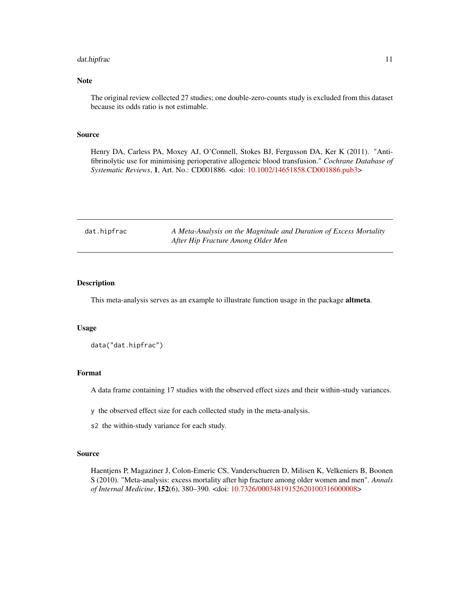# <span id="page-10-0"></span>dat.hipfrac 11

# Note

The original review collected 27 studies; one double-zero-counts study is excluded from this dataset because its odds ratio is not estimable.

# Source

Henry DA, Carless PA, Moxey AJ, O'Connell, Stokes BJ, Fergusson DA, Ker K (2011). "Antifibrinolytic use for minimising perioperative allogeneic blood transfusion." *Cochrane Database of Systematic Reviews*, 1, Art. No.: CD001886. <doi: [10.1002/14651858.CD001886.pub3>](https://doi.org/10.1002/14651858.CD001886.pub3)

| dat.hipfrac | A Meta-Analysis on the Magnitude and Duration of Excess Mortality |
|-------------|-------------------------------------------------------------------|
|             | After Hip Fracture Among Older Men                                |

#### Description

This meta-analysis serves as an example to illustrate function usage in the package **altmeta**.

#### Usage

data("dat.hipfrac")

#### Format

A data frame containing 17 studies with the observed effect sizes and their within-study variances.

y the observed effect size for each collected study in the meta-analysis.

s2 the within-study variance for each study.

#### Source

Haentjens P, Magaziner J, Colon-Emeric CS, Vanderschueren D, Milisen K, Velkeniers B, Boonen S (2010). "Meta-analysis: excess mortality after hip fracture among older women and men". *Annals of Internal Medicine*, 152(6), 380–390. <doi: [10.7326/00034819152620100316000008>](https://doi.org/10.7326/0003-4819-152-6-201003160-00008)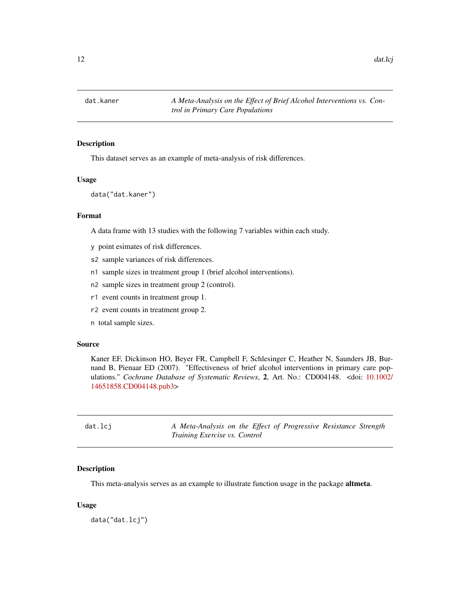<span id="page-11-0"></span>

# Description

This dataset serves as an example of meta-analysis of risk differences.

#### Usage

data("dat.kaner")

# Format

A data frame with 13 studies with the following 7 variables within each study.

- y point esimates of risk differences.
- s2 sample variances of risk differences.
- n1 sample sizes in treatment group 1 (brief alcohol interventions).
- n2 sample sizes in treatment group 2 (control).
- r1 event counts in treatment group 1.
- r2 event counts in treatment group 2.
- n total sample sizes.

#### Source

Kaner EF, Dickinson HO, Beyer FR, Campbell F, Schlesinger C, Heather N, Saunders JB, Burnand B, Pienaar ED (2007). "Effectiveness of brief alcohol interventions in primary care populations." *Cochrane Database of Systematic Reviews*, 2, Art. No.: CD004148. <doi: [10.1002/](https://doi.org/10.1002/14651858.CD004148.pub3) [14651858.CD004148.pub3>](https://doi.org/10.1002/14651858.CD004148.pub3)

dat.lcj *A Meta-Analysis on the Effect of Progressive Resistance Strength Training Exercise vs. Control*

#### Description

This meta-analysis serves as an example to illustrate function usage in the package **altmeta**.

#### Usage

data("dat.lcj")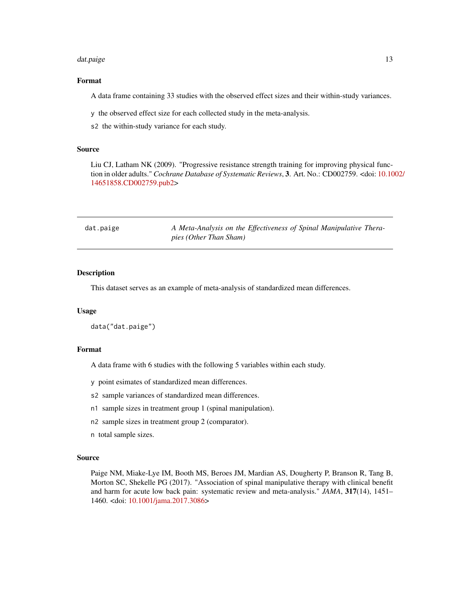#### <span id="page-12-0"></span>dat.paige 13

# Format

A data frame containing 33 studies with the observed effect sizes and their within-study variances.

y the observed effect size for each collected study in the meta-analysis.

s2 the within-study variance for each study.

#### Source

Liu CJ, Latham NK (2009). "Progressive resistance strength training for improving physical function in older adults." *Cochrane Database of Systematic Reviews*, 3. Art. No.: CD002759. <doi: [10.10](https://doi.org/10.1002/14651858.CD002759.pub2)02/ [14651858.CD002759.pub2>](https://doi.org/10.1002/14651858.CD002759.pub2)

| dat.paige | A Meta-Analysis on the Effectiveness of Spinal Manipulative Thera- |
|-----------|--------------------------------------------------------------------|
|           | <i>pies (Other Than Sham)</i>                                      |

#### Description

This dataset serves as an example of meta-analysis of standardized mean differences.

#### Usage

data("dat.paige")

#### Format

A data frame with 6 studies with the following 5 variables within each study.

y point esimates of standardized mean differences.

- s2 sample variances of standardized mean differences.
- n1 sample sizes in treatment group 1 (spinal manipulation).
- n2 sample sizes in treatment group 2 (comparator).
- n total sample sizes.

#### Source

Paige NM, Miake-Lye IM, Booth MS, Beroes JM, Mardian AS, Dougherty P, Branson R, Tang B, Morton SC, Shekelle PG (2017). "Association of spinal manipulative therapy with clinical benefit and harm for acute low back pain: systematic review and meta-analysis." *JAMA*, 317(14), 1451– 1460. <doi: [10.1001/jama.2017.3086>](https://doi.org/10.1001/jama.2017.3086)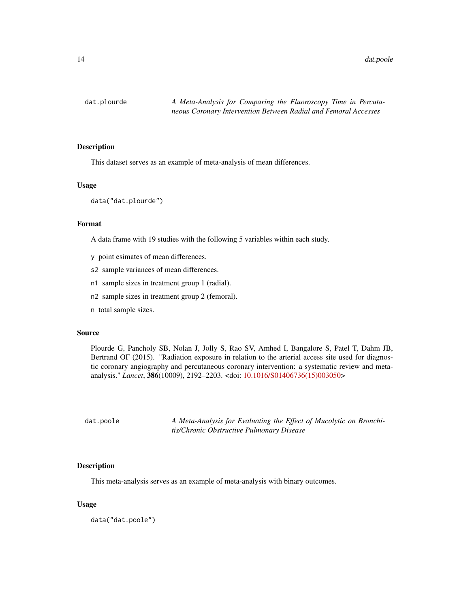<span id="page-13-0"></span>14 dat.poole

# Description

This dataset serves as an example of meta-analysis of mean differences.

# Usage

data("dat.plourde")

# Format

A data frame with 19 studies with the following 5 variables within each study.

- y point esimates of mean differences.
- s2 sample variances of mean differences.
- n1 sample sizes in treatment group 1 (radial).
- n2 sample sizes in treatment group 2 (femoral).
- n total sample sizes.

#### Source

Plourde G, Pancholy SB, Nolan J, Jolly S, Rao SV, Amhed I, Bangalore S, Patel T, Dahm JB, Bertrand OF (2015). "Radiation exposure in relation to the arterial access site used for diagnostic coronary angiography and percutaneous coronary intervention: a systematic review and metaanalysis." *Lancet*, 386(10009), 2192–2203. <doi: [10.1016/S01406736\(15\)003050>](https://doi.org/10.1016/S0140-6736(15)00305-0)

| dat.poole | A Meta-Analysis for Evaluating the Effect of Mucolytic on Bronchi- |
|-----------|--------------------------------------------------------------------|
|           | tis/Chronic Obstructive Pulmonary Disease                          |

#### Description

This meta-analysis serves as an example of meta-analysis with binary outcomes.

#### Usage

data("dat.poole")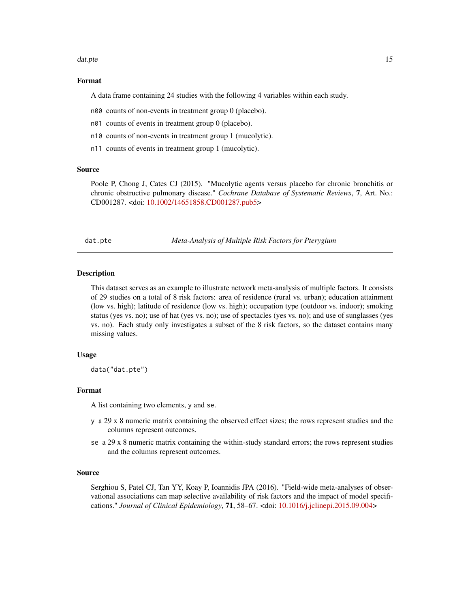#### <span id="page-14-0"></span>dat.pte 15

#### Format

A data frame containing 24 studies with the following 4 variables within each study.

n00 counts of non-events in treatment group 0 (placebo).

- n01 counts of events in treatment group 0 (placebo).
- n10 counts of non-events in treatment group 1 (mucolytic).
- n11 counts of events in treatment group 1 (mucolytic).

#### Source

Poole P, Chong J, Cates CJ (2015). "Mucolytic agents versus placebo for chronic bronchitis or chronic obstructive pulmonary disease." *Cochrane Database of Systematic Reviews*, 7, Art. No.: CD001287. <doi: [10.1002/14651858.CD001287.pub5>](https://doi.org/10.1002/14651858.CD001287.pub5)

dat.pte *Meta-Analysis of Multiple Risk Factors for Pterygium*

#### Description

This dataset serves as an example to illustrate network meta-analysis of multiple factors. It consists of 29 studies on a total of 8 risk factors: area of residence (rural vs. urban); education attainment (low vs. high); latitude of residence (low vs. high); occupation type (outdoor vs. indoor); smoking status (yes vs. no); use of hat (yes vs. no); use of spectacles (yes vs. no); and use of sunglasses (yes vs. no). Each study only investigates a subset of the 8 risk factors, so the dataset contains many missing values.

# Usage

data("dat.pte")

#### Format

A list containing two elements, y and se.

- y a 29 x 8 numeric matrix containing the observed effect sizes; the rows represent studies and the columns represent outcomes.
- se a 29 x 8 numeric matrix containing the within-study standard errors; the rows represent studies and the columns represent outcomes.

#### Source

Serghiou S, Patel CJ, Tan YY, Koay P, Ioannidis JPA (2016). "Field-wide meta-analyses of observational associations can map selective availability of risk factors and the impact of model specifications." *Journal of Clinical Epidemiology*, 71, 58–67. <doi: [10.1016/j.jclinepi.2015.09.004>](https://doi.org/10.1016/j.jclinepi.2015.09.004)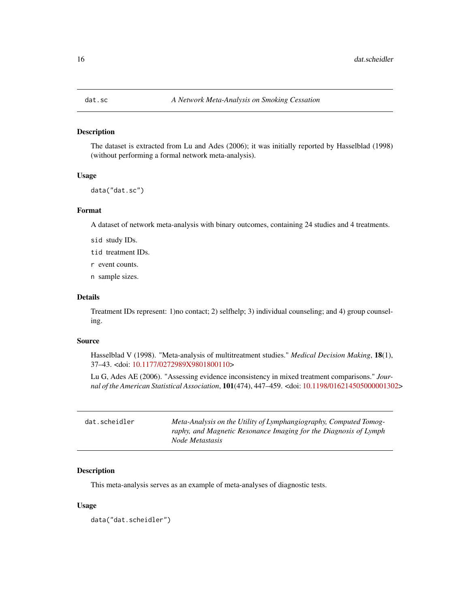<span id="page-15-0"></span>

#### Description

The dataset is extracted from Lu and Ades (2006); it was initially reported by Hasselblad (1998) (without performing a formal network meta-analysis).

#### Usage

data("dat.sc")

# Format

A dataset of network meta-analysis with binary outcomes, containing 24 studies and 4 treatments.

sid study IDs.

tid treatment IDs.

r event counts.

n sample sizes.

# Details

Treatment IDs represent: 1)no contact; 2) selfhelp; 3) individual counseling; and 4) group counseling.

# Source

Hasselblad V (1998). "Meta-analysis of multitreatment studies." *Medical Decision Making*, 18(1), 37–43. <doi: [10.1177/0272989X9801800110>](https://doi.org/10.1177/0272989X9801800110)

Lu G, Ades AE (2006). "Assessing evidence inconsistency in mixed treatment comparisons." *Journal of the American Statistical Association*, 101(474), 447–459. <doi: [10.1198/016214505000001302>](https://doi.org/10.1198/016214505000001302)

| dat.scheidler | Meta-Analysis on the Utility of Lymphangiography, Computed Tomog- |
|---------------|-------------------------------------------------------------------|
|               | raphy, and Magnetic Resonance Imaging for the Diagnosis of Lymph  |
|               | Node Metastasis                                                   |

# Description

This meta-analysis serves as an example of meta-analyses of diagnostic tests.

#### Usage

data("dat.scheidler")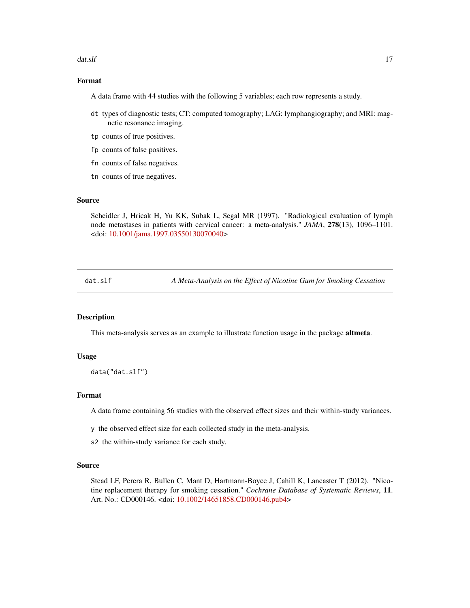#### <span id="page-16-0"></span>dat.slf and 17 and 17 and 17 and 17 and 17 and 17 and 17 and 17 and 17 and 17 and 17 and 17 and 17 and 17 and 17

# Format

A data frame with 44 studies with the following 5 variables; each row represents a study.

- dt types of diagnostic tests; CT: computed tomography; LAG: lymphangiography; and MRI: magnetic resonance imaging.
- tp counts of true positives.
- fp counts of false positives.
- fn counts of false negatives.
- tn counts of true negatives.

# Source

Scheidler J, Hricak H, Yu KK, Subak L, Segal MR (1997). "Radiological evaluation of lymph node metastases in patients with cervical cancer: a meta-analysis." *JAMA*, 278(13), 1096–1101. <doi: [10.1001/jama.1997.03550130070040>](https://doi.org/10.1001/jama.1997.03550130070040)

dat.slf *A Meta-Analysis on the Effect of Nicotine Gum for Smoking Cessation*

# Description

This meta-analysis serves as an example to illustrate function usage in the package **altmeta**.

#### Usage

```
data("dat.slf")
```
# Format

A data frame containing 56 studies with the observed effect sizes and their within-study variances.

y the observed effect size for each collected study in the meta-analysis.

s2 the within-study variance for each study.

#### Source

Stead LF, Perera R, Bullen C, Mant D, Hartmann-Boyce J, Cahill K, Lancaster T (2012). "Nicotine replacement therapy for smoking cessation." *Cochrane Database of Systematic Reviews*, 11. Art. No.: CD000146. <doi: [10.1002/14651858.CD000146.pub4>](https://doi.org/10.1002/14651858.CD000146.pub4)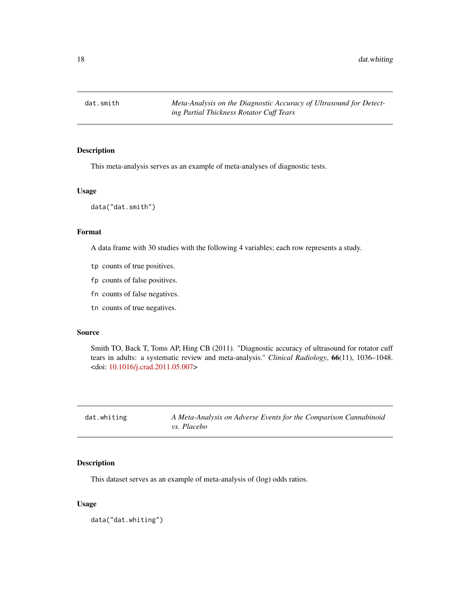<span id="page-17-0"></span>

# Description

This meta-analysis serves as an example of meta-analyses of diagnostic tests.

# Usage

data("dat.smith")

# Format

A data frame with 30 studies with the following 4 variables; each row represents a study.

- tp counts of true positives.
- fp counts of false positives.
- fn counts of false negatives.
- tn counts of true negatives.

#### Source

Smith TO, Back T, Toms AP, Hing CB (2011). "Diagnostic accuracy of ultrasound for rotator cuff tears in adults: a systematic review and meta-analysis." *Clinical Radiology*, 66(11), 1036–1048. <doi: [10.1016/j.crad.2011.05.007>](https://doi.org/10.1016/j.crad.2011.05.007)

| dat.whiting | A Meta-Analysis on Adverse Events for the Comparison Cannabinoid |
|-------------|------------------------------------------------------------------|
|             | <i>vs. Placebo</i>                                               |

# Description

This dataset serves as an example of meta-analysis of (log) odds ratios.

#### Usage

data("dat.whiting")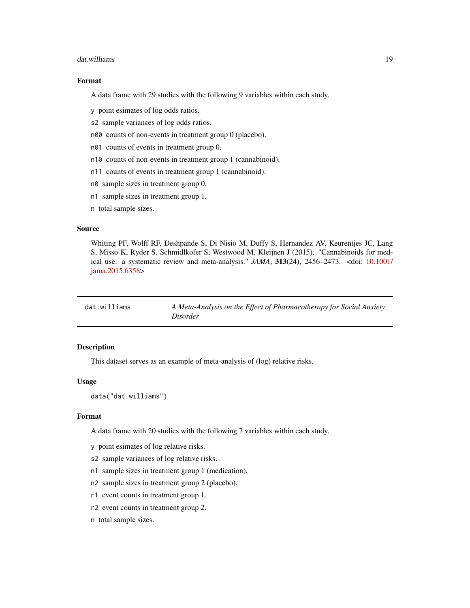#### <span id="page-18-0"></span>dat.williams 19

# Format

A data frame with 29 studies with the following 9 variables within each study.

- y point esimates of log odds ratios.
- s2 sample variances of log odds ratios.
- n00 counts of non-events in treatment group 0 (placebo).
- n01 counts of events in treatment group 0.
- n10 counts of non-events in treatment group 1 (cannabinoid).
- n11 counts of events in treatment group 1 (cannabinoid).
- n0 sample sizes in treatment group 0.
- n1 sample sizes in treatment group 1.
- n total sample sizes.

## Source

Whiting PF, Wolff RF, Deshpande S, Di Nisio M, Duffy S, Hernandez AV, Keurentjes JC, Lang S, Misso K, Ryder S, Schmidlkofer S, Westwood M, Kleijnen J (2015). "Cannabinoids for medical use: a systematic review and meta-analysis." *JAMA*, 313(24), 2456–2473. <doi: [10.1001/](https://doi.org/10.1001/jama.2015.6358) [jama.2015.6358>](https://doi.org/10.1001/jama.2015.6358)

| dat.williams | A Meta-Analysis on the Effect of Pharmacotherapy for Social Anxiety |
|--------------|---------------------------------------------------------------------|
|              | <i>Disorder</i>                                                     |

# Description

This dataset serves as an example of meta-analysis of (log) relative risks.

#### Usage

data("dat.williams")

#### Format

A data frame with 20 studies with the following 7 variables within each study.

- y point esimates of log relative risks.
- s2 sample variances of log relative risks.
- n1 sample sizes in treatment group 1 (medication).
- n2 sample sizes in treatment group 2 (placebo).
- r1 event counts in treatment group 1.
- r2 event counts in treatment group 2.
- n total sample sizes.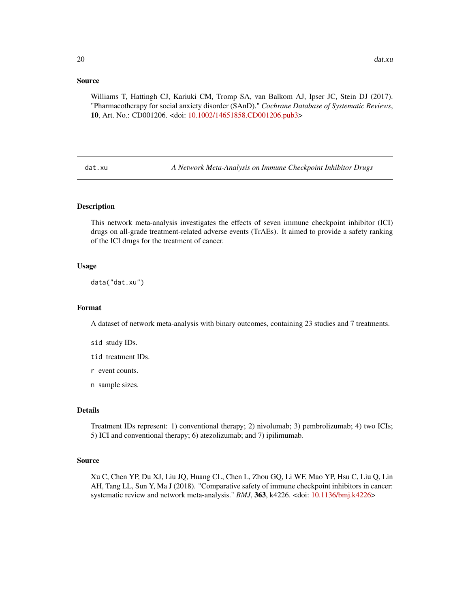# <span id="page-19-0"></span>Source

Williams T, Hattingh CJ, Kariuki CM, Tromp SA, van Balkom AJ, Ipser JC, Stein DJ (2017). "Pharmacotherapy for social anxiety disorder (SAnD)." *Cochrane Database of Systematic Reviews*, 10, Art. No.: CD001206. <doi: [10.1002/14651858.CD001206.pub3>](https://doi.org/10.1002/14651858.CD001206.pub3)

dat.xu *A Network Meta-Analysis on Immune Checkpoint Inhibitor Drugs*

# **Description**

This network meta-analysis investigates the effects of seven immune checkpoint inhibitor (ICI) drugs on all-grade treatment-related adverse events (TrAEs). It aimed to provide a safety ranking of the ICI drugs for the treatment of cancer.

# Usage

data("dat.xu")

#### Format

A dataset of network meta-analysis with binary outcomes, containing 23 studies and 7 treatments.

sid study IDs.

tid treatment IDs.

r event counts.

n sample sizes.

# Details

Treatment IDs represent: 1) conventional therapy; 2) nivolumab; 3) pembrolizumab; 4) two ICIs; 5) ICI and conventional therapy; 6) atezolizumab; and 7) ipilimumab.

# Source

Xu C, Chen YP, Du XJ, Liu JQ, Huang CL, Chen L, Zhou GQ, Li WF, Mao YP, Hsu C, Liu Q, Lin AH, Tang LL, Sun Y, Ma J (2018). "Comparative safety of immune checkpoint inhibitors in cancer: systematic review and network meta-analysis." *BMJ*, 363, k4226. <doi: [10.1136/bmj.k4226>](https://doi.org/10.1136/bmj.k4226)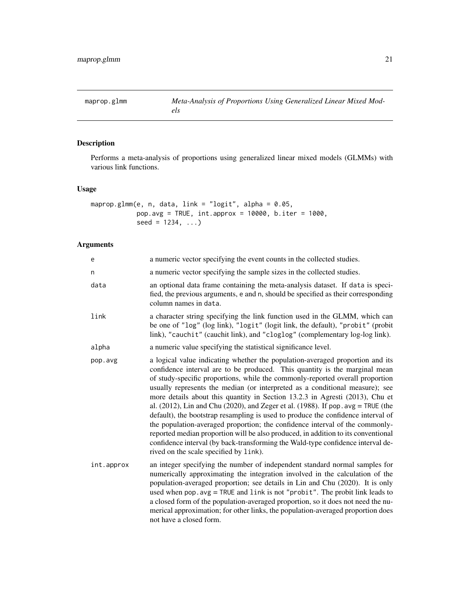<span id="page-20-1"></span><span id="page-20-0"></span>

# Description

Performs a meta-analysis of proportions using generalized linear mixed models (GLMMs) with various link functions.

# Usage

```
maprop.glmm(e, n, data, link = "logit", alpha = 0.05,
           pop.avg = TRUE, int.approx = 10000, b.iter = 1000,
           seed = 1234, ...
```
# Arguments

| e          | a numeric vector specifying the event counts in the collected studies.                                                                                                                                                                                                                                                                                                                                                                                                                                                                                                                                                                                                                                                                                                                                                                                                                          |
|------------|-------------------------------------------------------------------------------------------------------------------------------------------------------------------------------------------------------------------------------------------------------------------------------------------------------------------------------------------------------------------------------------------------------------------------------------------------------------------------------------------------------------------------------------------------------------------------------------------------------------------------------------------------------------------------------------------------------------------------------------------------------------------------------------------------------------------------------------------------------------------------------------------------|
| n          | a numeric vector specifying the sample sizes in the collected studies.                                                                                                                                                                                                                                                                                                                                                                                                                                                                                                                                                                                                                                                                                                                                                                                                                          |
| data       | an optional data frame containing the meta-analysis dataset. If data is speci-<br>fied, the previous arguments, e and n, should be specified as their corresponding<br>column names in data.                                                                                                                                                                                                                                                                                                                                                                                                                                                                                                                                                                                                                                                                                                    |
| link       | a character string specifying the link function used in the GLMM, which can<br>be one of "log" (log link), "logit" (logit link, the default), "probit" (probit<br>link), "cauchit" (cauchit link), and "cloglog" (complementary log-log link).                                                                                                                                                                                                                                                                                                                                                                                                                                                                                                                                                                                                                                                  |
| alpha      | a numeric value specifying the statistical significance level.                                                                                                                                                                                                                                                                                                                                                                                                                                                                                                                                                                                                                                                                                                                                                                                                                                  |
| pop.avg    | a logical value indicating whether the population-averaged proportion and its<br>confidence interval are to be produced. This quantity is the marginal mean<br>of study-specific proportions, while the commonly-reported overall proportion<br>usually represents the median (or interpreted as a conditional measure); see<br>more details about this quantity in Section 13.2.3 in Agresti (2013), Chu et<br>al. $(2012)$ , Lin and Chu $(2020)$ , and Zeger et al. $(1988)$ . If pop. avg = TRUE (the<br>default), the bootstrap resampling is used to produce the confidence interval of<br>the population-averaged proportion; the confidence interval of the commonly-<br>reported median proportion will be also produced, in addition to its conventional<br>confidence interval (by back-transforming the Wald-type confidence interval de-<br>rived on the scale specified by link). |
| int.approx | an integer specifying the number of independent standard normal samples for<br>numerically approximating the integration involved in the calculation of the<br>population-averaged proportion; see details in Lin and Chu (2020). It is only<br>used when pop. avg = TRUE and link is not "probit". The probit link leads to<br>a closed form of the population-averaged proportion, so it does not need the nu-<br>merical approximation; for other links, the population-averaged proportion does<br>not have a closed form.                                                                                                                                                                                                                                                                                                                                                                  |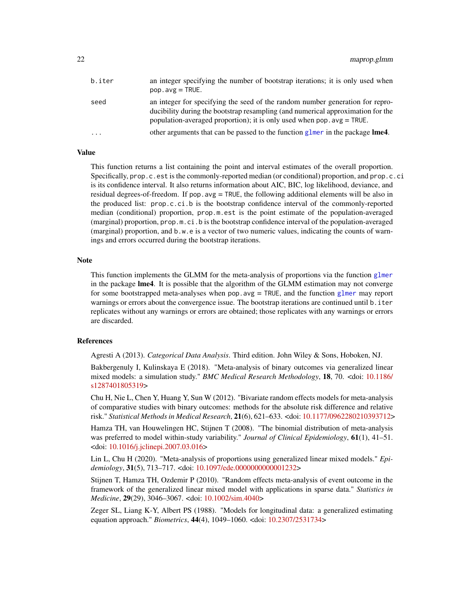<span id="page-21-0"></span>

| b.iter | an integer specifying the number of bootstrap iterations; it is only used when<br>$pop. avg = TRUE.$                                                                                                                                          |
|--------|-----------------------------------------------------------------------------------------------------------------------------------------------------------------------------------------------------------------------------------------------|
| seed   | an integer for specifying the seed of the random number generation for repro-<br>ducibility during the bootstrap resampling (and numerical approximation for the<br>population-averaged proportion); it is only used when $pop.argv = TRUE$ . |
| .      | other arguments that can be passed to the function glmer in the package <b>lme4</b> .                                                                                                                                                         |
|        |                                                                                                                                                                                                                                               |

# Value

This function returns a list containing the point and interval estimates of the overall proportion. Specifically, prop.c.est is the commonly-reported median (or conditional) proportion, and prop.c.ci is its confidence interval. It also returns information about AIC, BIC, log likelihood, deviance, and residual degrees-of-freedom. If pop.avg = TRUE, the following additional elements will be also in the produced list: prop.c.ci.b is the bootstrap confidence interval of the commonly-reported median (conditional) proportion, prop.m.est is the point estimate of the population-averaged (marginal) proportion, prop.m.ci.b is the bootstrap confidence interval of the population-averaged (marginal) proportion, and b.w.e is a vector of two numeric values, indicating the counts of warnings and errors occurred during the bootstrap iterations.

#### Note

This function implements the GLMM for the meta-analysis of proportions via the function [glmer](#page-0-0) in the package lme4. It is possible that the algorithm of the GLMM estimation may not converge for some bootstrapped meta-analyses when pop.avg = TRUE, and the function [glmer](#page-0-0) may report warnings or errors about the convergence issue. The bootstrap iterations are continued until b. iter replicates without any warnings or errors are obtained; those replicates with any warnings or errors are discarded.

# References

Agresti A (2013). *Categorical Data Analysis*. Third edition. John Wiley & Sons, Hoboken, NJ.

Bakbergenuly I, Kulinskaya E (2018). "Meta-analysis of binary outcomes via generalized linear mixed models: a simulation study." *BMC Medical Research Methodology*, 18, 70. <doi: [10.1186/](https://doi.org/10.1186/s12874-018-0531-9) [s1287401805319>](https://doi.org/10.1186/s12874-018-0531-9)

Chu H, Nie L, Chen Y, Huang Y, Sun W (2012). "Bivariate random effects models for meta-analysis of comparative studies with binary outcomes: methods for the absolute risk difference and relative risk." *Statistical Methods in Medical Research*, 21(6), 621–633. <doi: [10.1177/0962280210393712>](https://doi.org/10.1177/0962280210393712)

Hamza TH, van Houwelingen HC, Stijnen T (2008). "The binomial distribution of meta-analysis was preferred to model within-study variability." *Journal of Clinical Epidemiology*, 61(1), 41–51. <doi: [10.1016/j.jclinepi.2007.03.016>](https://doi.org/10.1016/j.jclinepi.2007.03.016)

Lin L, Chu H (2020). "Meta-analysis of proportions using generalized linear mixed models." *Epidemiology*, 31(5), 713–717. <doi: [10.1097/ede.0000000000001232>](https://doi.org/10.1097/ede.0000000000001232)

Stijnen T, Hamza TH, Ozdemir P (2010). "Random effects meta-analysis of event outcome in the framework of the generalized linear mixed model with applications in sparse data." *Statistics in Medicine*, 29(29), 3046–3067. <doi: [10.1002/sim.4040>](https://doi.org/10.1002/sim.4040)

Zeger SL, Liang K-Y, Albert PS (1988). "Models for longitudinal data: a generalized estimating equation approach." *Biometrics*, 44(4), 1049–1060. <doi: [10.2307/2531734>](https://doi.org/10.2307/2531734)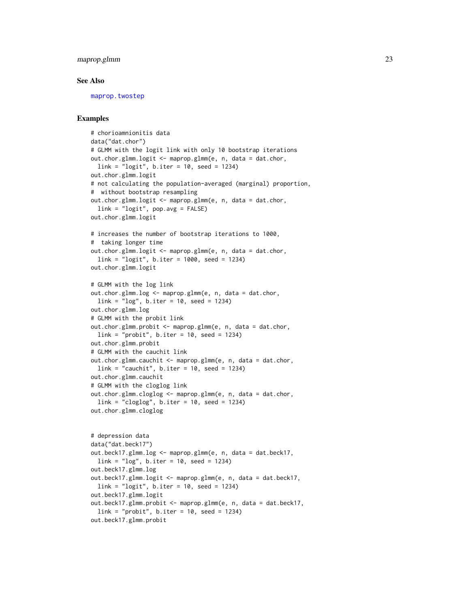# <span id="page-22-0"></span>maprop.glmm 23

#### See Also

[maprop.twostep](#page-23-1)

# Examples

```
# chorioamnionitis data
data("dat.chor")
# GLMM with the logit link with only 10 bootstrap iterations
out.chor.glmm.logit <- maprop.glmm(e, n, data = dat.chor,
  link = "logit", b.iter = 10, seed = 1234)
out.chor.glmm.logit
# not calculating the population-averaged (marginal) proportion,
# without bootstrap resampling
out.chor.glmm.logit <- maprop.glmm(e, n, data = dat.chor,
  link = "logit", pop.argv = FALSE)out.chor.glmm.logit
# increases the number of bootstrap iterations to 1000,
# taking longer time
out.chor.glmm.logit <- maprop.glmm(e, n, data = dat.chor,
  link = "logit", b.iter = 1000, seed = 1234)
out.chor.glmm.logit
# GLMM with the log link
out.chor.glmm.log <- maprop.glmm(e, n, data = dat.chor,
 link = "log", b.iter = 10, seed = 1234)
out.chor.glmm.log
# GLMM with the probit link
out.chor.glmm.probit <- maprop.glmm(e, n, data = dat.chor,
  link = "probit", b.iter = 10, seed = 1234)out.chor.glmm.probit
# GLMM with the cauchit link
out.chor.glmm.cauchit <- maprop.glmm(e, n, data = dat.chor,
  link = "cauchit", b.iter = 10, seed = 1234)out.chor.glmm.cauchit
# GLMM with the cloglog link
out.chor.glmm.cloglog <- maprop.glmm(e, n, data = dat.chor,
  link = "cloglog", b.iter = 10, seed = 1234)
out.chor.glmm.cloglog
# depression data
data("dat.beck17")
out.beck17.glmm.log <- maprop.glmm(e, n, data = dat.beck17,
  link = "log", b.iter = 10, seed = 1234)
out.beck17.glmm.log
out.beck17.glmm.logit <- maprop.glmm(e, n, data = dat.beck17,
  link = "logit", b.iter = 10, seed = 1234)
out.beck17.glmm.logit
out.beck17.glmm.probit <- maprop.glmm(e, n, data = dat.beck17,
  link = "probit", b.iter = 10, seed = 1234)out.beck17.glmm.probit
```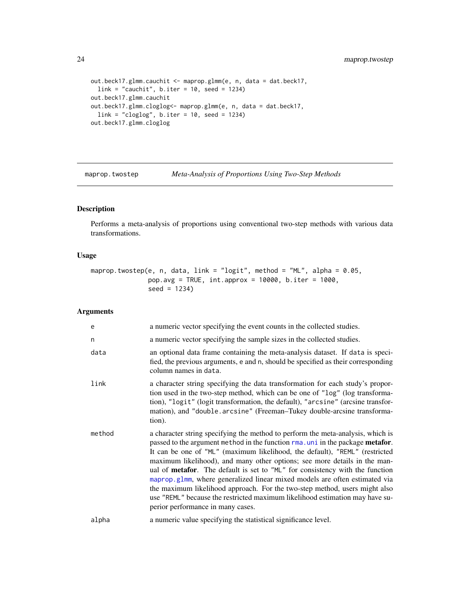```
out.beck17.glmm.cauchit <- maprop.glmm(e, n, data = dat.beck17,
  link = "cauchit", b.iter = 10, seed = 1234)out.beck17.glmm.cauchit
out.beck17.glmm.cloglog<- maprop.glmm(e, n, data = dat.beck17,
  link = "cloglog", b.iter = 10, seed = 1234)out.beck17.glmm.cloglog
```
<span id="page-23-1"></span>maprop.twostep *Meta-Analysis of Proportions Using Two-Step Methods*

# Description

Performs a meta-analysis of proportions using conventional two-step methods with various data transformations.

#### Usage

maprop.twostep(e, n, data, link = "logit", method = "ML", alpha = 0.05, pop.avg = TRUE, int.approx = 10000, b.iter = 1000, seed = 1234)

# Arguments

| e      | a numeric vector specifying the event counts in the collected studies.                                                                                                                                                                                                                                                                                                                                                                                                                                                                                                                                                                                                                                 |
|--------|--------------------------------------------------------------------------------------------------------------------------------------------------------------------------------------------------------------------------------------------------------------------------------------------------------------------------------------------------------------------------------------------------------------------------------------------------------------------------------------------------------------------------------------------------------------------------------------------------------------------------------------------------------------------------------------------------------|
| n      | a numeric vector specifying the sample sizes in the collected studies.                                                                                                                                                                                                                                                                                                                                                                                                                                                                                                                                                                                                                                 |
| data   | an optional data frame containing the meta-analysis dataset. If data is speci-<br>fied, the previous arguments, e and n, should be specified as their corresponding<br>column names in data.                                                                                                                                                                                                                                                                                                                                                                                                                                                                                                           |
| link   | a character string specifying the data transformation for each study's propor-<br>tion used in the two-step method, which can be one of "log" (log transforma-<br>tion), "logit" (logit transformation, the default), "arcsine" (arcsine transfor-<br>mation), and "double.arcsine" (Freeman–Tukey double-arcsine transforma-<br>tion).                                                                                                                                                                                                                                                                                                                                                                |
| method | a character string specifying the method to perform the meta-analysis, which is<br>passed to the argument method in the function rma. uni in the package metafor.<br>It can be one of "ML" (maximum likelihood, the default), "REML" (restricted<br>maximum likelihood), and many other options; see more details in the man-<br>ual of <b>metafor</b> . The default is set to "ML" for consistency with the function<br>maprop.g1mm, where generalized linear mixed models are often estimated via<br>the maximum likelihood approach. For the two-step method, users might also<br>use "REML" because the restricted maximum likelihood estimation may have su-<br>perior performance in many cases. |
| alpha  | a numeric value specifying the statistical significance level.                                                                                                                                                                                                                                                                                                                                                                                                                                                                                                                                                                                                                                         |

<span id="page-23-0"></span>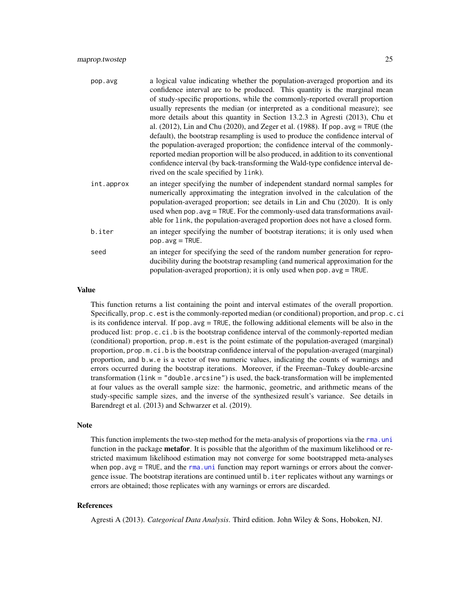<span id="page-24-0"></span>

| pop.avg    | a logical value indicating whether the population-averaged proportion and its<br>confidence interval are to be produced. This quantity is the marginal mean<br>of study-specific proportions, while the commonly-reported overall proportion<br>usually represents the median (or interpreted as a conditional measure); see<br>more details about this quantity in Section 13.2.3 in Agresti (2013), Chu et<br>al. $(2012)$ , Lin and Chu $(2020)$ , and Zeger et al. $(1988)$ . If pop. avg = TRUE (the<br>default), the bootstrap resampling is used to produce the confidence interval of<br>the population-averaged proportion; the confidence interval of the commonly-<br>reported median proportion will be also produced, in addition to its conventional<br>confidence interval (by back-transforming the Wald-type confidence interval de-<br>rived on the scale specified by link). |
|------------|-------------------------------------------------------------------------------------------------------------------------------------------------------------------------------------------------------------------------------------------------------------------------------------------------------------------------------------------------------------------------------------------------------------------------------------------------------------------------------------------------------------------------------------------------------------------------------------------------------------------------------------------------------------------------------------------------------------------------------------------------------------------------------------------------------------------------------------------------------------------------------------------------|
| int.approx | an integer specifying the number of independent standard normal samples for<br>numerically approximating the integration involved in the calculation of the<br>population-averaged proportion; see details in Lin and Chu (2020). It is only<br>used when pop. avg = TRUE. For the commonly-used data transformations avail-<br>able for link, the population-averaged proportion does not have a closed form.                                                                                                                                                                                                                                                                                                                                                                                                                                                                                  |
| b.iter     | an integer specifying the number of bootstrap iterations; it is only used when<br>$pop. avg = TRUE.$                                                                                                                                                                                                                                                                                                                                                                                                                                                                                                                                                                                                                                                                                                                                                                                            |
| seed       | an integer for specifying the seed of the random number generation for repro-<br>ducibility during the bootstrap resampling (and numerical approximation for the<br>population-averaged proportion); it is only used when $pop . avg = TRUE$ .                                                                                                                                                                                                                                                                                                                                                                                                                                                                                                                                                                                                                                                  |

#### Value

This function returns a list containing the point and interval estimates of the overall proportion. Specifically, prop.c.est is the commonly-reported median (or conditional) proportion, and prop.c.ci is its confidence interval. If pop.avg = TRUE, the following additional elements will be also in the produced list: prop.c.ci.b is the bootstrap confidence interval of the commonly-reported median (conditional) proportion, prop.m.est is the point estimate of the population-averaged (marginal) proportion, prop.m.ci.b is the bootstrap confidence interval of the population-averaged (marginal) proportion, and b.w.e is a vector of two numeric values, indicating the counts of warnings and errors occurred during the bootstrap iterations. Moreover, if the Freeman–Tukey double-arcsine transformation (link = "double.arcsine") is used, the back-transformation will be implemented at four values as the overall sample size: the harmonic, geometric, and arithmetic means of the study-specific sample sizes, and the inverse of the synthesized result's variance. See details in Barendregt et al. (2013) and Schwarzer et al. (2019).

#### Note

This function implements the two-step method for the meta-analysis of proportions via the [rma.uni](#page-0-0) function in the package **metafor**. It is possible that the algorithm of the maximum likelihood or restricted maximum likelihood estimation may not converge for some bootstrapped meta-analyses when pop. avg  $=$  TRUE, and the rma. uni function may report warnings or errors about the convergence issue. The bootstrap iterations are continued until b.iter replicates without any warnings or errors are obtained; those replicates with any warnings or errors are discarded.

#### References

Agresti A (2013). *Categorical Data Analysis*. Third edition. John Wiley & Sons, Hoboken, NJ.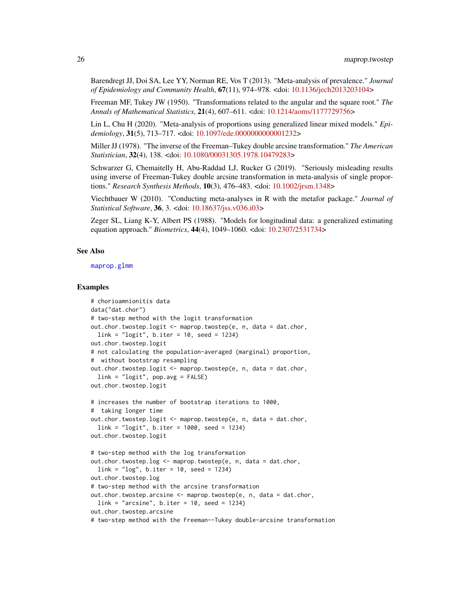<span id="page-25-0"></span>Barendregt JJ, Doi SA, Lee YY, Norman RE, Vos T (2013). "Meta-analysis of prevalence." *Journal of Epidemiology and Community Health*, 67(11), 974–978. <doi: [10.1136/jech2013203104>](https://doi.org/10.1136/jech-2013-203104)

Freeman MF, Tukey JW (1950). "Transformations related to the angular and the square root." *The Annals of Mathematical Statistics*, 21(4), 607–611. <doi: [10.1214/aoms/1177729756>](https://doi.org/10.1214/aoms/1177729756)

Lin L, Chu H (2020). "Meta-analysis of proportions using generalized linear mixed models." *Epidemiology*, 31(5), 713–717. <doi: [10.1097/ede.0000000000001232>](https://doi.org/10.1097/ede.0000000000001232)

Miller JJ (1978). "The inverse of the Freeman–Tukey double arcsine transformation." *The American Statistician*, 32(4), 138. <doi: [10.1080/00031305.1978.10479283>](https://doi.org/10.1080/00031305.1978.10479283)

Schwarzer G, Chemaitelly H, Abu-Raddad LJ, Rucker G (2019). "Seriously misleading results using inverse of Freeman-Tukey double arcsine transformation in meta-analysis of single proportions." *Research Synthesis Methods*, 10(3), 476–483. <doi: [10.1002/jrsm.1348>](https://doi.org/10.1002/jrsm.1348)

Viechtbauer W (2010). "Conducting meta-analyses in R with the metafor package." *Journal of Statistical Software*, 36, 3. <doi: [10.18637/jss.v036.i03>](https://doi.org/10.18637/jss.v036.i03)

Zeger SL, Liang K-Y, Albert PS (1988). "Models for longitudinal data: a generalized estimating equation approach." *Biometrics*, 44(4), 1049–1060. <doi: [10.2307/2531734>](https://doi.org/10.2307/2531734)

#### See Also

[maprop.glmm](#page-20-1)

#### Examples

```
# chorioamnionitis data
data("dat.chor")
# two-step method with the logit transformation
out.chor.twostep.logit <- maprop.twostep(e, n, data = dat.chor,
  link = "logit", b.iter = 10, seed = 1234)out.chor.twostep.logit
# not calculating the population-averaged (marginal) proportion,
# without bootstrap resampling
out.chor.twostep.logit <- maprop.twostep(e, n, data = dat.chor,
  link = "logit", pop.avg = FALSE)
out.chor.twostep.logit
# increases the number of bootstrap iterations to 1000,
# taking longer time
out.chor.twostep.logit <- maprop.twostep(e, n, data = dat.chor,
  link = "logit", b.iter = 1000, seed = 1234)
out.chor.twostep.logit
# two-step method with the log transformation
out.chor.twostep.log <- maprop.twostep(e, n, data = dat.chor,
  link = "log", b.iter = 10, seed = 1234)
out.chor.twostep.log
# two-step method with the arcsine transformation
out.chor.twostep.arcsine <- maprop.twostep(e, n, data = dat.chor,
  link = "arcsine", b.iter = 10, seed = 1234)
out.chor.twostep.arcsine
# two-step method with the Freeman--Tukey double-arcsine transformation
```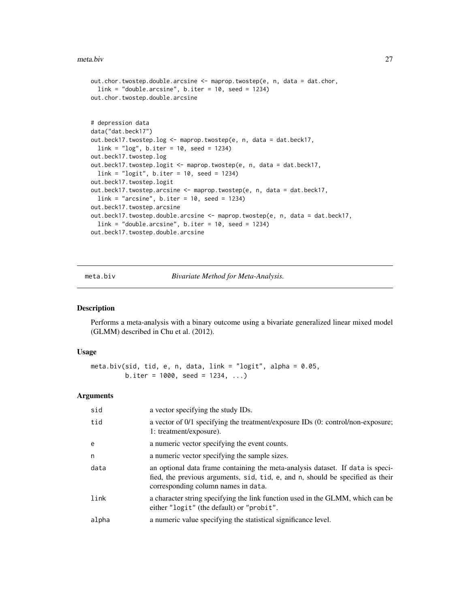#### <span id="page-26-0"></span>meta.biv 27

```
out.chor.twostep.double.arcsine <- maprop.twostep(e, n, data = dat.chor,
  link = "double.arcsine", b.iter = 10, seed = 1234)
out.chor.twostep.double.arcsine
# depression data
data("dat.beck17")
out.beck17.twostep.log <- maprop.twostep(e, n, data = dat.beck17,
  link = "log", b.iter = 10, seed = 1234)
out.beck17.twostep.log
out.beck17.twostep.logit <- maprop.twostep(e, n, data = dat.beck17,
  link = "logit", b.iter = 10, seed = 1234)
out.beck17.twostep.logit
out.beck17.twostep.arcsine <- maprop.twostep(e, n, data = dat.beck17,
  link = "arcsine", b.iter = 10, seed = 1234)
out.beck17.twostep.arcsine
out.beck17.twostep.double.arcsine <- maprop.twostep(e, n, data = dat.beck17,
  link = "double.arcsine", b.iter = 10, seed = 1234)
out.beck17.twostep.double.arcsine
```
<span id="page-26-1"></span>meta.biv *Bivariate Method for Meta-Analysis.*

#### Description

Performs a meta-analysis with a binary outcome using a bivariate generalized linear mixed model (GLMM) described in Chu et al. (2012).

#### Usage

```
meta.biv(sid, tid, e, n, data, link = "logit", alpha = 0.05,b.iter = 1000, seed = 1234, ...
```
# Arguments

| sid   | a vector specifying the study IDs.                                                                                                                                                                      |
|-------|---------------------------------------------------------------------------------------------------------------------------------------------------------------------------------------------------------|
| tid   | a vector of 0/1 specifying the treatment/exposure IDs (0: control/non-exposure;<br>1: treatment/exposure).                                                                                              |
| e     | a numeric vector specifying the event counts.                                                                                                                                                           |
| n     | a numeric vector specifying the sample sizes.                                                                                                                                                           |
| data  | an optional data frame containing the meta-analysis dataset. If data is speci-<br>fied, the previous arguments, sid, tid, e, and n, should be specified as their<br>corresponding column names in data. |
| link  | a character string specifying the link function used in the GLMM, which can be<br>either "logit" (the default) or "probit".                                                                             |
| alpha | a numeric value specifying the statistical significance level.                                                                                                                                          |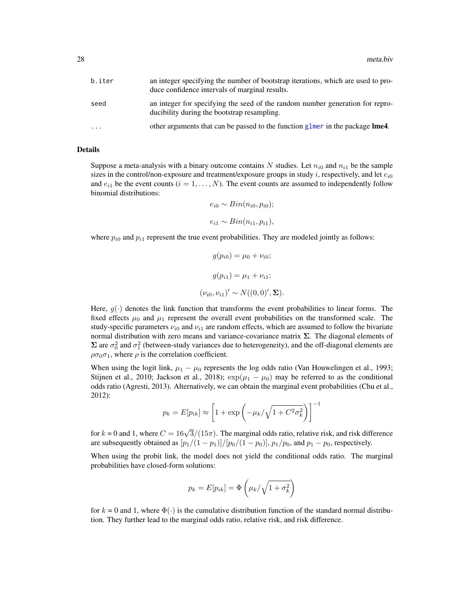<span id="page-27-0"></span>

| b.iter    | an integer specifying the number of bootstrap iterations, which are used to pro-<br>duce confidence intervals of marginal results. |
|-----------|------------------------------------------------------------------------------------------------------------------------------------|
| seed      | an integer for specifying the seed of the random number generation for repro-<br>ducibility during the bootstrap resampling.       |
| $\ddotsc$ | other arguments that can be passed to the function glmer in the package <b>lme4</b> .                                              |

#### Details

Suppose a meta-analysis with a binary outcome contains N studies. Let  $n_{i0}$  and  $n_{i1}$  be the sample sizes in the control/non-exposure and treatment/exposure groups in study i, respectively, and let  $e_{i0}$ and  $e_{i1}$  be the event counts  $(i = 1, \ldots, N)$ . The event counts are assumed to independently follow binomial distributions:

$$
e_{i0} \sim Bin(n_{i0}, p_{i0});
$$
  

$$
e_{i1} \sim Bin(n_{i1}, p_{i1}),
$$

where  $p_{i0}$  and  $p_{i1}$  represent the true event probabilities. They are modeled jointly as follows:

$$
g(p_{i0}) = \mu_0 + \nu_{i0};
$$
  
\n
$$
g(p_{i1}) = \mu_1 + \nu_{i1};
$$
  
\n
$$
(\nu_{i0}, \nu_{i1})' \sim N((0, 0)', \Sigma).
$$

Here,  $g(\cdot)$  denotes the link function that transforms the event probabilities to linear forms. The fixed effects  $\mu_0$  and  $\mu_1$  represent the overall event probabilities on the transformed scale. The study-specific parameters  $\nu_{i0}$  and  $\nu_{i1}$  are random effects, which are assumed to follow the bivariate normal distribution with zero means and variance-covariance matrix  $\Sigma$ . The diagonal elements of  $\Sigma$  are  $\sigma_0^2$  and  $\sigma_1^2$  (between-study variances due to heterogeneity), and the off-diagonal elements are  $\rho\sigma_0\sigma_1$ , where  $\rho$  is the correlation coefficient.

When using the logit link,  $\mu_1 - \mu_0$  represents the log odds ratio (Van Houwelingen et al., 1993; Stijnen et al., 2010; Jackson et al., 2018);  $\exp(\mu_1 - \mu_0)$  may be referred to as the conditional odds ratio (Agresti, 2013). Alternatively, we can obtain the marginal event probabilities (Chu et al., 2012):

$$
p_k = E[p_{ik}] \approx \left[1+\exp\left(-\mu_k/\sqrt{1+C^2\sigma_k^2}\right)\right]^{-1}
$$

for  $k = 0$  and 1, where  $C = 16\sqrt{3}/(15\pi)$ . The marginal odds ratio, relative risk, and risk difference are subsequently obtained as  $[p_1/(1-p_1)]/[p_0/(1-p_0)]$ ,  $p_1/p_0$ , and  $p_1 - p_0$ , respectively.

When using the probit link, the model does not yield the conditional odds ratio. The marginal probabilities have closed-form solutions:

$$
p_k = E[p_{ik}] = \Phi\left(\mu_k/\sqrt{1 + \sigma_k^2}\right)
$$

for  $k = 0$  and 1, where  $\Phi(\cdot)$  is the cumulative distribution function of the standard normal distribution. They further lead to the marginal odds ratio, relative risk, and risk difference.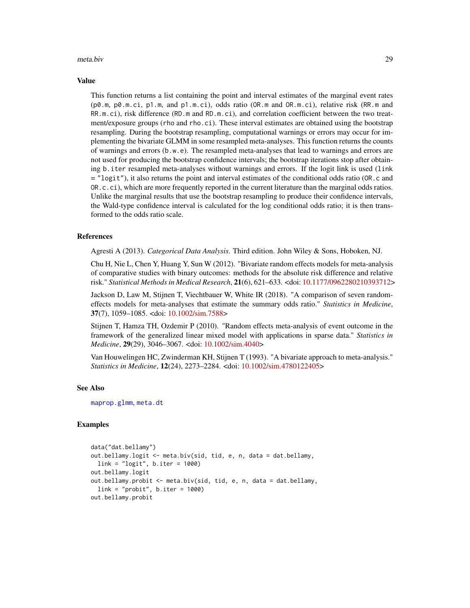#### <span id="page-28-0"></span>meta.biv 29

#### Value

This function returns a list containing the point and interval estimates of the marginal event rates (p0.m, p0.m.ci, p1.m, and p1.m.ci), odds ratio (OR.m and OR.m.ci), relative risk (RR.m and RR.m.ci), risk difference (RD.m and RD.m.ci), and correlation coefficient between the two treatment/exposure groups (rho and rho.ci). These interval estimates are obtained using the bootstrap resampling. During the bootstrap resampling, computational warnings or errors may occur for implementing the bivariate GLMM in some resampled meta-analyses. This function returns the counts of warnings and errors (b.w.e). The resampled meta-analyses that lead to warnings and errors are not used for producing the bootstrap confidence intervals; the bootstrap iterations stop after obtaining b.iter resampled meta-analyses without warnings and errors. If the logit link is used (link = "logit"), it also returns the point and interval estimates of the conditional odds ratio (OR.c and OR.c.ci), which are more frequently reported in the current literature than the marginal odds ratios. Unlike the marginal results that use the bootstrap resampling to produce their confidence intervals, the Wald-type confidence interval is calculated for the log conditional odds ratio; it is then transformed to the odds ratio scale.

#### References

Agresti A (2013). *Categorical Data Analysis*. Third edition. John Wiley & Sons, Hoboken, NJ.

Chu H, Nie L, Chen Y, Huang Y, Sun W (2012). "Bivariate random effects models for meta-analysis of comparative studies with binary outcomes: methods for the absolute risk difference and relative risk." *Statistical Methods in Medical Research*, 21(6), 621–633. <doi: [10.1177/0962280210393712>](https://doi.org/10.1177/0962280210393712)

Jackson D, Law M, Stijnen T, Viechtbauer W, White IR (2018). "A comparison of seven randomeffects models for meta-analyses that estimate the summary odds ratio." *Statistics in Medicine*, 37(7), 1059–1085. <doi: [10.1002/sim.7588>](https://doi.org/10.1002/sim.7588)

Stijnen T, Hamza TH, Ozdemir P (2010). "Random effects meta-analysis of event outcome in the framework of the generalized linear mixed model with applications in sparse data." *Statistics in Medicine*, 29(29), 3046–3067. <doi: [10.1002/sim.4040>](https://doi.org/10.1002/sim.4040)

Van Houwelingen HC, Zwinderman KH, Stijnen T (1993). "A bivariate approach to meta-analysis." *Statistics in Medicine*, 12(24), 2273–2284. <doi: [10.1002/sim.4780122405>](https://doi.org/10.1002/sim.4780122405)

#### See Also

[maprop.glmm](#page-20-1), [meta.dt](#page-29-1)

# Examples

```
data("dat.bellamy")
out.bellamy.logit <- meta.biv(sid, tid, e, n, data = dat.bellamy,
 link = "logit", b.iter = 1000)
out.bellamy.logit
out.bellamy.probit <- meta.biv(sid, tid, e, n, data = dat.bellamy,
 link = "probit", b.iter = 1000)out.bellamy.probit
```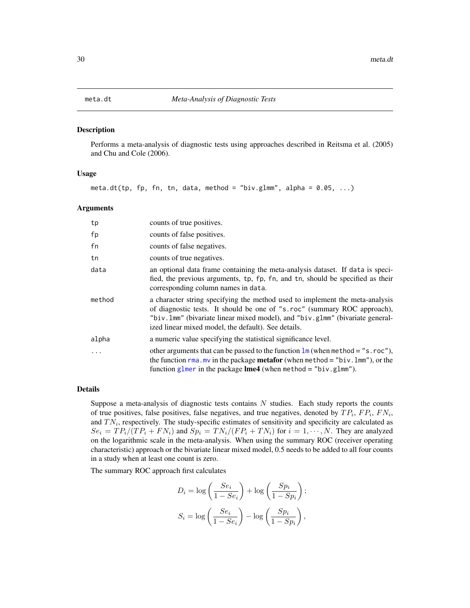#### <span id="page-29-1"></span><span id="page-29-0"></span>Description

Performs a meta-analysis of diagnostic tests using approaches described in Reitsma et al. (2005) and Chu and Cole (2006).

#### Usage

meta.dt(tp, fp, fn, tn, data, method = "biv.glmm", alpha =  $0.05, ...$ )

#### Arguments

| tp     | counts of true positives.                                                                                                                                                                                                                                                                         |
|--------|---------------------------------------------------------------------------------------------------------------------------------------------------------------------------------------------------------------------------------------------------------------------------------------------------|
| fp     | counts of false positives.                                                                                                                                                                                                                                                                        |
| fn     | counts of false negatives.                                                                                                                                                                                                                                                                        |
| tn     | counts of true negatives.                                                                                                                                                                                                                                                                         |
| data   | an optional data frame containing the meta-analysis dataset. If data is speci-<br>fied, the previous arguments, tp, fp, fn, and tn, should be specified as their<br>corresponding column names in data.                                                                                           |
| method | a character string specifying the method used to implement the meta-analysis<br>of diagnostic tests. It should be one of "s.roc" (summary ROC approach),<br>"biv. 1mm" (bivariate linear mixed model), and "biv. g1mm" (bivariate general-<br>ized linear mixed model, the default). See details. |
| alpha  | a numeric value specifying the statistical significance level.                                                                                                                                                                                                                                    |
| .      | other arguments that can be passed to the function $\text{Im}$ (when method = "s.roc"),<br>the function $r_{\text{ma}}$ . mv in the package <b>metafor</b> (when method = "biv. $l_{\text{mm}}$ "), or the<br>function glmer in the package $\text{Im}e4$ (when method = "biv.glmm").             |

# Details

Suppose a meta-analysis of diagnostic tests contains  $N$  studies. Each study reports the counts of true positives, false positives, false negatives, and true negatives, denoted by  $TP_i$ ,  $FP_i$ ,  $FN_i$ , and  $TN_i$ , respectively. The study-specific estimates of sensitivity and specificity are calculated as  $Se_i = TP_i/(TP_i + FN_i)$  and  $Sp_i = TN_i/(FP_i + TN_i)$  for  $i = 1, \dots, N$ . They are analyzed on the logarithmic scale in the meta-analysis. When using the summary ROC (receiver operating characteristic) approach or the bivariate linear mixed model, 0.5 needs to be added to all four counts in a study when at least one count is zero.

The summary ROC approach first calculates

$$
D_i = \log\left(\frac{Se_i}{1 - Se_i}\right) + \log\left(\frac{Sp_i}{1 - Sp_i}\right);
$$
  

$$
S_i = \log\left(\frac{Se_i}{1 - Se_i}\right) - \log\left(\frac{Sp_i}{1 - Sp_i}\right),
$$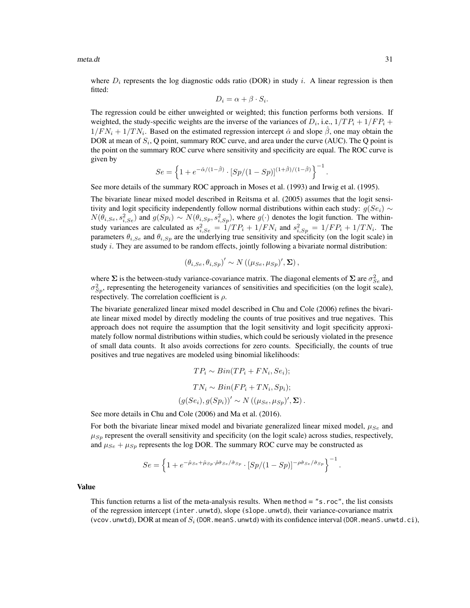$meta.dt$  31

where  $D_i$  represents the log diagnostic odds ratio (DOR) in study i. A linear regression is then fitted:

$$
D_i = \alpha + \beta \cdot S_i.
$$

The regression could be either unweighted or weighted; this function performs both versions. If weighted, the study-specific weights are the inverse of the variances of  $D_i$ , i.e.,  $1/TP_i + 1/FP_i + 1/FP_i$  $1/FN_i + 1/TN_i$ . Based on the estimated regression intercept  $\hat{\alpha}$  and slope  $\hat{\beta}$ , one may obtain the DOR at mean of  $S_i$ , Q point, summary ROC curve, and area under the curve (AUC). The Q point is the point on the summary ROC curve where sensitivity and specificity are equal. The ROC curve is given by

$$
Se = \left\{1 + e^{-\hat{\alpha}/(1-\hat{\beta})} \cdot [Sp/(1-Sp)]^{(1+\hat{\beta})/(1-\hat{\beta})} \right\}^{-1}
$$

See more details of the summary ROC approach in Moses et al. (1993) and Irwig et al. (1995).

The bivariate linear mixed model described in Reitsma et al. (2005) assumes that the logit sensitivity and logit specificity independently follow normal distributions within each study:  $g(Se_i) \sim$  $N(\theta_{i,Se}, s_{i,Se}^2)$  and  $g(Sp_i) \sim N(\theta_{i,Sp}, s_{i,Sp}^2)$ , where  $g(\cdot)$  denotes the logit function. The withinstudy variances are calculated as  $s_{i,Se}^2 = 1/TP_i + 1/FN_i$  and  $s_{i,Sp}^2 = 1/FP_i + 1/TN_i$ . The parameters  $\theta_{i,Se}$  and  $\theta_{i,Sp}$  are the underlying true sensitivity and specificity (on the logit scale) in study  $i$ . They are assumed to be random effects, jointly following a bivariate normal distribution:

$$
(\theta_{i,Se}, \theta_{i,Sp})' \sim N((\mu_{Se}, \mu_{Sp})', \Sigma),
$$

where  $\Sigma$  is the between-study variance-covariance matrix. The diagonal elements of  $\Sigma$  are  $\sigma_{Se}^2$  and  $\sigma_{Sp}^2$ , representing the heterogeneity variances of sensitivities and specificities (on the logit scale), respectively. The correlation coefficient is  $\rho$ .

The bivariate generalized linear mixed model described in Chu and Cole (2006) refines the bivariate linear mixed model by directly modeling the counts of true positives and true negatives. This approach does not require the assumption that the logit sensitivity and logit specificity approximately follow normal distributions within studies, which could be seriously violated in the presence of small data counts. It also avoids corrections for zero counts. Specificially, the counts of true positives and true negatives are modeled using binomial likelihoods:

$$
TP_i \sim Bin(TP_i + FN_i, Se_i);
$$
  
\n
$$
TN_i \sim Bin(FP_i + TN_i, Sp_i);
$$
  
\n
$$
(g(Se_i), g(Sp_i))' \sim N((\mu_{Se}, \mu_{Sp})', \Sigma).
$$

See more details in Chu and Cole (2006) and Ma et al. (2016).

For both the bivariate linear mixed model and bivariate generalized linear mixed model,  $\mu_{Se}$  and  $\mu_{Sp}$  represent the overall sensitivity and specificity (on the logit scale) across studies, respectively, and  $\mu_{Se} + \mu_{Sp}$  represents the log DOR. The summary ROC curve may be constructed as

$$
Se = \left\{1 + e^{-\hat{\mu}_{Se} + \hat{\mu}_{Sp} \cdot \hat{\rho} \hat{\sigma}_{Se}/\hat{\sigma}_{Sp}} \cdot [Sp/(1 - Sp)]^{-\hat{\rho} \hat{\sigma}_{Se}/\hat{\sigma}_{Sp}}\right\}^{-1}
$$

#### Value

This function returns a list of the meta-analysis results. When method  $=$  "s.roc", the list consists of the regression intercept (inter.unwtd), slope (slope.unwtd), their variance-covariance matrix (vcov.unwtd), DOR at mean of  $S_i$  (DOR.meanS.unwtd) with its confidence interval (DOR.meanS.unwtd.ci),

.

.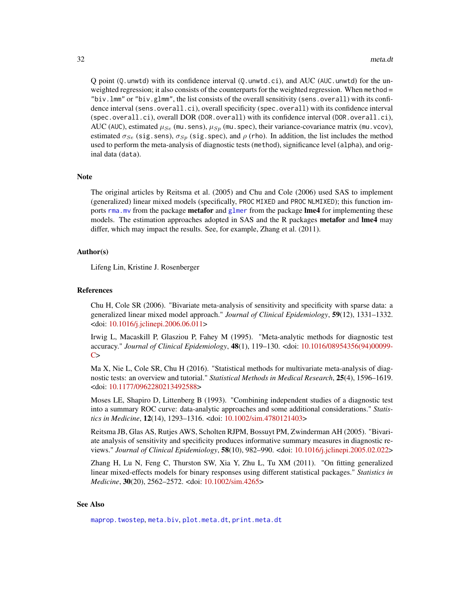<span id="page-31-0"></span>Q point (Q.unwtd) with its confidence interval (Q.unwtd.ci), and AUC (AUC.unwtd) for the unweighted regression; it also consists of the counterparts for the weighted regression. When method = "biv.  $lmm$ " or "biv.glmm", the list consists of the overall sensitivity (sens.overall) with its confidence interval (sens.overall.ci), overall specificity (spec.overall) with its confidence interval (spec.overall.ci), overall DOR (DOR.overall) with its confidence interval (DOR.overall.ci), AUC (AUC), estimated  $\mu_{Se}$  (mu.sens),  $\mu_{Sp}$  (mu.spec), their variance-covariance matrix (mu.vcov), estimated  $\sigma_{Se}$  (sig.sens),  $\sigma_{Sp}$  (sig.spec), and  $\rho$  (rho). In addition, the list includes the method used to perform the meta-analysis of diagnostic tests (method), significance level (alpha), and original data (data).

# **Note**

The original articles by Reitsma et al. (2005) and Chu and Cole (2006) used SAS to implement (generalized) linear mixed models (specifically, PROC MIXED and PROC NLMIXED); this function imports rma. mv from the package **metafor** and [glmer](#page-0-0) from the package **lme4** for implementing these models. The estimation approaches adopted in SAS and the R packages metafor and lme4 may differ, which may impact the results. See, for example, Zhang et al. (2011).

# Author(s)

Lifeng Lin, Kristine J. Rosenberger

#### References

Chu H, Cole SR (2006). "Bivariate meta-analysis of sensitivity and specificity with sparse data: a generalized linear mixed model approach." *Journal of Clinical Epidemiology*, 59(12), 1331–1332. <doi: [10.1016/j.jclinepi.2006.06.011>](https://doi.org/10.1016/j.jclinepi.2006.06.011)

Irwig L, Macaskill P, Glasziou P, Fahey M (1995). "Meta-analytic methods for diagnostic test accuracy." *Journal of Clinical Epidemiology*, 48(1), 119–130. <doi: [10.1016/08954356\(94\)00099-](https://doi.org/10.1016/0895-4356(94)00099-C) [C>](https://doi.org/10.1016/0895-4356(94)00099-C)

Ma X, Nie L, Cole SR, Chu H (2016). "Statistical methods for multivariate meta-analysis of diagnostic tests: an overview and tutorial." *Statistical Methods in Medical Research*, 25(4), 1596–1619. <doi: [10.1177/0962280213492588>](https://doi.org/10.1177/0962280213492588)

Moses LE, Shapiro D, Littenberg B (1993). "Combining independent studies of a diagnostic test into a summary ROC curve: data-analytic approaches and some additional considerations." *Statistics in Medicine*, 12(14), 1293–1316. <doi: [10.1002/sim.4780121403>](https://doi.org/10.1002/sim.4780121403)

Reitsma JB, Glas AS, Rutjes AWS, Scholten RJPM, Bossuyt PM, Zwinderman AH (2005). "Bivariate analysis of sensitivity and specificity produces informative summary measures in diagnostic reviews." *Journal of Clinical Epidemiology*, 58(10), 982–990. <doi: [10.1016/j.jclinepi.2005.02.022>](https://doi.org/10.1016/j.jclinepi.2005.02.022)

Zhang H, Lu N, Feng C, Thurston SW, Xia Y, Zhu L, Tu XM (2011). "On fitting generalized linear mixed-effects models for binary responses using different statistical packages." *Statistics in Medicine*, 30(20), 2562–2572. <doi: [10.1002/sim.4265>](https://doi.org/10.1002/sim.4265)

#### See Also

[maprop.twostep](#page-23-1), [meta.biv](#page-26-1), [plot.meta.dt](#page-60-1), [print.meta.dt](#page-62-1)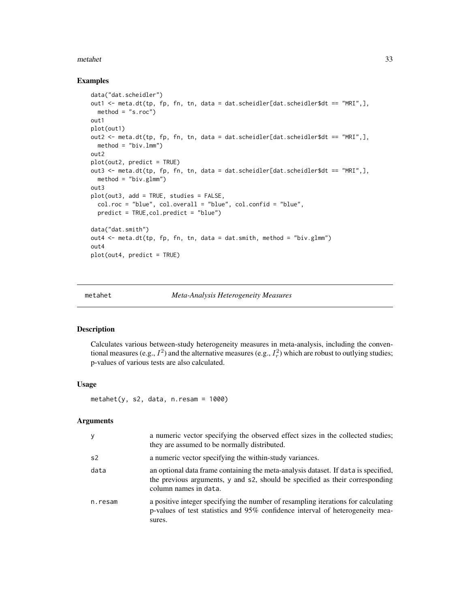#### <span id="page-32-0"></span>metahet 33

#### Examples

```
data("dat.scheidler")
out1 <- meta.dt(tp, fp, fn, tn, data = dat.scheidler[dat.scheidler$dt == "MRI",],
  method = "s.roc")out1
plot(out1)
out2 <- meta.dt(tp, fp, fn, tn, data = dat.scheidler[dat.scheidler$dt == "MRI",],
  method = "biv.lmm")out2
plot(out2, predict = TRUE)
out3 <- meta.dt(tp, fp, fn, tn, data = dat.scheidler[dat.scheidler$dt == "MRI",],
 method = "biv.glmm")
out3
plot(out3, add = TRUE, studies = FALSE,
  col.roc = "blue", col.overall = "blue", col.confid = "blue",
  predict = TRUE,col.predict = "blue")
data("dat.smith")
out4 <- meta.dt(tp, fp, fn, tn, data = dat.smith, method = "biv.glmm")
out4
plot(out4, predict = TRUE)
```
metahet *Meta-Analysis Heterogeneity Measures*

# Description

Calculates various between-study heterogeneity measures in meta-analysis, including the conventional measures (e.g.,  $I^2$ ) and the alternative measures (e.g.,  $I_r^2$ ) which are robust to outlying studies; p-values of various tests are also calculated.

#### Usage

 $metahet(y, s2, data, n. resam = 1000)$ 

#### Arguments

| У              | a numeric vector specifying the observed effect sizes in the collected studies;<br>they are assumed to be normally distributed.                                                             |
|----------------|---------------------------------------------------------------------------------------------------------------------------------------------------------------------------------------------|
| s <sub>2</sub> | a numeric vector specifying the within-study variances.                                                                                                                                     |
| data           | an optional data frame containing the meta-analysis dataset. If data is specified,<br>the previous arguments, y and s2, should be specified as their corresponding<br>column names in data. |
| n.resam        | a positive integer specifying the number of resampling iterations for calculating<br>p-values of test statistics and 95% confidence interval of heterogeneity mea-<br>sures.                |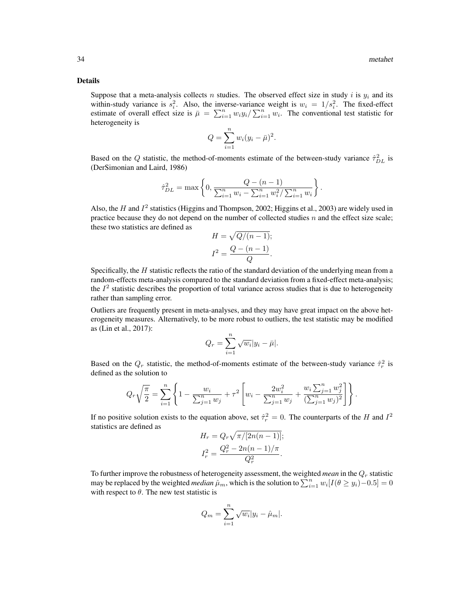#### Details

Suppose that a meta-analysis collects n studies. The observed effect size in study i is  $y_i$  and its within-study variance is  $s_i^2$ . Also, the inverse-variance weight is  $w_i = 1/s_i^2$ . The fixed-effect estimate of overall effect size is  $\bar{\mu} = \sum_{i=1}^{n} w_i y_i / \sum_{i=1}^{n} w_i$ . The conventional test statistic for heterogeneity is

$$
Q = \sum_{i=1}^{n} w_i (y_i - \bar{\mu})^2.
$$

Based on the Q statistic, the method-of-moments estimate of the between-study variance  $\hat{\tau}_{DL}^2$  is (DerSimonian and Laird, 1986)

$$
\hat{\tau}_{DL}^2 = \max \left\{ 0, \frac{Q - (n-1)}{\sum_{i=1}^n w_i - \sum_{i=1}^n w_i^2 / \sum_{i=1}^n w_i} \right\}
$$

.

Also, the H and  $I^2$  statistics (Higgins and Thompson, 2002; Higgins et al., 2003) are widely used in practice because they do not depend on the number of collected studies  $n$  and the effect size scale; these two statistics are defined as

$$
H = \sqrt{Q/(n-1)};
$$
  

$$
I^2 = \frac{Q - (n-1)}{Q}.
$$

Specifically, the  $H$  statistic reflects the ratio of the standard deviation of the underlying mean from a random-effects meta-analysis compared to the standard deviation from a fixed-effect meta-analysis; the  $I<sup>2</sup>$  statistic describes the proportion of total variance across studies that is due to heterogeneity rather than sampling error.

Outliers are frequently present in meta-analyses, and they may have great impact on the above heterogeneity measures. Alternatively, to be more robust to outliers, the test statistic may be modified as (Lin et al., 2017):

$$
Q_r = \sum_{i=1}^n \sqrt{w_i} |y_i - \bar{\mu}|.
$$

Based on the  $Q_r$  statistic, the method-of-moments estimate of the between-study variance  $\hat{\tau}_r^2$  is defined as the solution to

$$
Q_r\sqrt{\frac{\pi}{2}} = \sum_{i=1}^n \left\{1 - \frac{w_i}{\sum_{j=1}^n w_j} + \tau^2 \left[w_i - \frac{2w_i^2}{\sum_{j=1}^n w_j} + \frac{w_i \sum_{j=1}^n w_j^2}{(\sum_{j=1}^n w_j)^2}\right)\right\}.
$$

If no positive solution exists to the equation above, set  $\hat{\tau}_r^2 = 0$ . The counterparts of the H and  $I^2$ statistics are defined as

$$
H_r = Q_r \sqrt{\pi/[2n(n-1)]};
$$
  

$$
I_r^2 = \frac{Q_r^2 - 2n(n-1)/\pi}{Q_r^2}.
$$

To further improve the robustness of heterogeneity assessment, the weighted *mean* in the  $Q<sub>r</sub>$  statistic may be replaced by the weighted *median*  $\hat{\mu}_m$ , which is the solution to  $\sum_{i=1}^n w_i [I(\theta \ge y_i) - 0.5] = 0$ with respect to  $\theta$ . The new test statistic is

$$
Q_m = \sum_{i=1}^n \sqrt{w_i} |y_i - \hat{\mu}_m|.
$$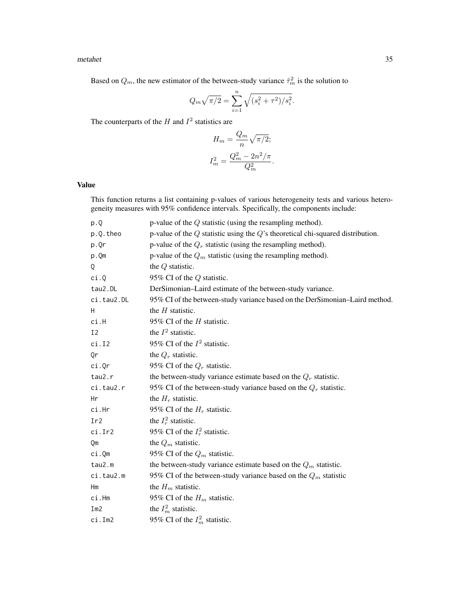#### metahet 35

Based on  $Q_m$ , the new estimator of the between-study variance  $\hat{\tau}_m^2$  is the solution to

$$
Q_m \sqrt{\pi/2} = \sum_{i=1}^n \sqrt{(s_i^2 + \tau^2)/s_i^2}.
$$

The counterparts of the  $H$  and  $I^2$  statistics are

$$
H_m = \frac{Q_m}{n} \sqrt{\pi/2};
$$
  

$$
I_m^2 = \frac{Q_m^2 - 2n^2/\pi}{Q_m^2}.
$$

# Value

This function returns a list containing p-values of various heterogeneity tests and various heterogeneity measures with 95% confidence intervals. Specifically, the components include:

| p.Q            | p-value of the $Q$ statistic (using the resampling method).                         |
|----------------|-------------------------------------------------------------------------------------|
| p.Q.theo       | p-value of the $Q$ statistic using the $Q$ 's theoretical chi-squared distribution. |
| p.Qr           | p-value of the $Q_r$ statistic (using the resampling method).                       |
| p.Qm           | p-value of the $Q_m$ statistic (using the resampling method).                       |
| Q              | the $Q$ statistic.                                                                  |
| ci.Q           | 95% CI of the $Q$ statistic.                                                        |
| tau2.DL        | DerSimonian-Laird estimate of the between-study variance.                           |
| ci.tau2.DL     | 95% CI of the between-study variance based on the DerSimonian-Laird method.         |
| H              | the $H$ statistic.                                                                  |
| ci.H           | 95% CI of the H statistic.                                                          |
| I <sub>2</sub> | the $I^2$ statistic.                                                                |
| ci.I2          | 95% CI of the $I^2$ statistic.                                                      |
| Qr             | the $Q_r$ statistic.                                                                |
| ci.Qr          | 95% CI of the $Q_r$ statistic.                                                      |
| tau2.r         | the between-study variance estimate based on the $Q_r$ statistic.                   |
| ci.tau2.r      | 95% CI of the between-study variance based on the $Q_r$ statistic.                  |
| Нr             | the $H_r$ statistic.                                                                |
| ci.Hr          | 95% CI of the $H_r$ statistic.                                                      |
| Ir2            | the $I_r^2$ statistic.                                                              |
| ci.Ir2         | 95% CI of the $I_r^2$ statistic.                                                    |
| Qm             | the $Q_m$ statistic.                                                                |
| ci.Qm          | 95% CI of the $Q_m$ statistic.                                                      |
| tau2.m         | the between-study variance estimate based on the $Q_m$ statistic.                   |
| ci.tau2.m      | 95% CI of the between-study variance based on the $Q_m$ statistic                   |
| Hm             | the $H_m$ statistic.                                                                |
| ci.Hm          | 95% CI of the $H_m$ statistic.                                                      |
| Im2            | the $I_m^2$ statistic.                                                              |
| ci.Im2         | 95% CI of the $I_m^2$ statistic.                                                    |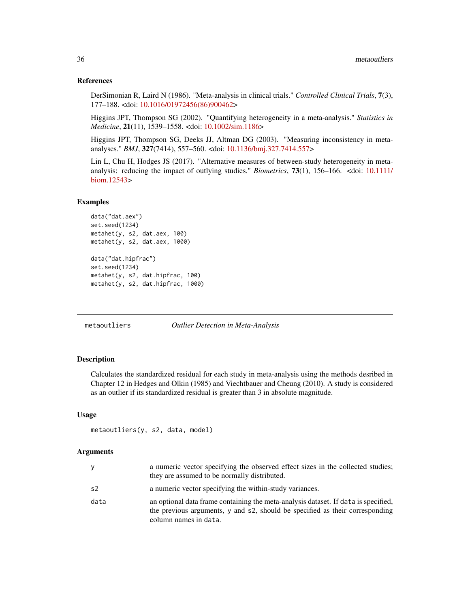#### References

DerSimonian R, Laird N (1986). "Meta-analysis in clinical trials." *Controlled Clinical Trials*, 7(3), 177–188. <doi: [10.1016/01972456\(86\)900462>](https://doi.org/10.1016/0197-2456(86)90046-2)

Higgins JPT, Thompson SG (2002). "Quantifying heterogeneity in a meta-analysis." *Statistics in Medicine*, 21(11), 1539–1558. <doi: [10.1002/sim.1186>](https://doi.org/10.1002/sim.1186)

Higgins JPT, Thompson SG, Deeks JJ, Altman DG (2003). "Measuring inconsistency in metaanalyses." *BMJ*, 327(7414), 557–560. <doi: [10.1136/bmj.327.7414.557>](https://doi.org/10.1136/bmj.327.7414.557)

Lin L, Chu H, Hodges JS (2017). "Alternative measures of between-study heterogeneity in metaanalysis: reducing the impact of outlying studies." *Biometrics*, 73(1), 156–166. <doi: [10.1111/](https://doi.org/10.1111/biom.12543) [biom.12543>](https://doi.org/10.1111/biom.12543)

#### Examples

```
data("dat.aex")
set.seed(1234)
metahet(y, s2, dat.aex, 100)
metahet(y, s2, dat.aex, 1000)
data("dat.hipfrac")
set.seed(1234)
metahet(y, s2, dat.hipfrac, 100)
metahet(y, s2, dat.hipfrac, 1000)
```
<span id="page-35-1"></span>metaoutliers *Outlier Detection in Meta-Analysis*

# Description

Calculates the standardized residual for each study in meta-analysis using the methods desribed in Chapter 12 in Hedges and Olkin (1985) and Viechtbauer and Cheung (2010). A study is considered as an outlier if its standardized residual is greater than 3 in absolute magnitude.

#### Usage

```
metaoutliers(y, s2, data, model)
```
#### Arguments

|      | a numeric vector specifying the observed effect sizes in the collected studies;<br>they are assumed to be normally distributed.                                                             |
|------|---------------------------------------------------------------------------------------------------------------------------------------------------------------------------------------------|
| s2   | a numeric vector specifying the within-study variances.                                                                                                                                     |
| data | an optional data frame containing the meta-analysis dataset. If data is specified,<br>the previous arguments, y and s2, should be specified as their corresponding<br>column names in data. |

<span id="page-35-0"></span>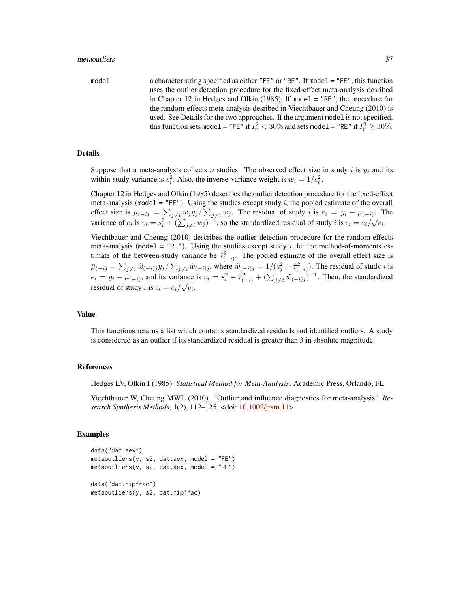model a character string specified as either "FE" or "RE". If model = "FE", this function uses the outlier detection procedure for the fixed-effect meta-analysis desribed in Chapter 12 in Hedges and Olkin (1985); If model  $=$  "RE", the procedure for the random-effects meta-analysis desribed in Viechtbauer and Cheung (2010) is used. See Details for the two approaches. If the argument model is not specified, this function sets model = "FE" if  $I_r^2 < 30\%$  and sets model = "RE" if  $I_r^2 \ge 30\%$ .

#### Details

Suppose that a meta-analysis collects n studies. The observed effect size in study i is  $y_i$  and its within-study variance is  $s_i^2$ . Also, the inverse-variance weight is  $w_i = 1/s_i^2$ .

Chapter 12 in Hedges and Olkin (1985) describes the outlier detection procedure for the fixed-effect meta-analysis (model  $=$  "FE"). Using the studies except study i, the pooled estimate of the overall effect size is  $\bar{\mu}_{(-i)} = \sum_{j \neq i} w_j y_j / \sum_{j \neq i} w_j$ . The residual of study i is  $e_i = y_i - \bar{\mu}_{(-i)}$ . The variance of  $e_i$  is  $v_i = s_i^2 + (\sum_{j\neq i} w_j)^{-1}$ , so the standardized residual of study i is  $\epsilon_i = e_i/\sqrt{v_i}$ .

Viechtbauer and Cheung (2010) describes the outlier detection procedure for the random-effects meta-analysis (model = "RE"). Using the studies except study i, let the method-of-moments estimate of the between-study variance be  $\hat{\tau}_{(-i)}^2$ . The pooled estimate of the overall effect size is  $\bar{\mu}_{(-i)} = \sum_{j \neq i} \tilde{w}_{(-i)j} y_j / \sum_{j \neq i} \tilde{w}_{(-i)j}$ , where  $\tilde{w}_{(-i)j} = 1/(s_j^2 + \hat{\tau}_{(-i)}^2)$ . The residual of study *i* is  $e_i = y_i - \bar{\mu}_{(-i)}$ , and its variance is  $v_i = s_i^2 + \hat{\tau}_{(-i)}^2 + (\sum_{j \neq i} \tilde{w}_{(-i)j})^{-1}$ . Then, the standardized residual of study *i* is  $\epsilon_i = e_i / \sqrt{v_i}$ .

#### Value

This functions returns a list which contains standardized residuals and identified outliers. A study is considered as an outlier if its standardized residual is greater than 3 in absolute magnitude.

# References

Hedges LV, Olkin I (1985). *Statistical Method for Meta-Analysis*. Academic Press, Orlando, FL.

Viechtbauer W, Cheung MWL (2010). "Outlier and influence diagnostics for meta-analysis." *Research Synthesis Methods*, 1(2), 112–125. <doi: [10.1002/jrsm.11>](https://doi.org/10.1002/jrsm.11)

# Examples

```
data("dat.aex")
metaoutliers(y, s2, dat.aex, model = "FE")
metaoutliers(y, s2, dat.aex, model = "RE")data("dat.hipfrac")
metaoutliers(y, s2, dat.hipfrac)
```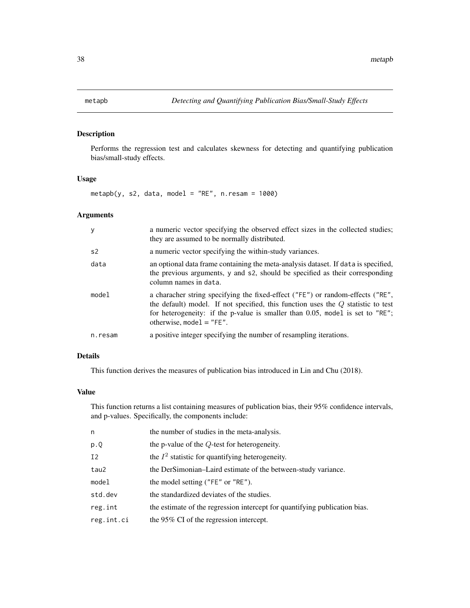<span id="page-37-0"></span>

# Description

Performs the regression test and calculates skewness for detecting and quantifying publication bias/small-study effects.

# Usage

 $metapb(y, s2, data, model = "RE", n. resam = 1000)$ 

# Arguments

| y              | a numeric vector specifying the observed effect sizes in the collected studies;<br>they are assumed to be normally distributed.                                                                                                                                                      |
|----------------|--------------------------------------------------------------------------------------------------------------------------------------------------------------------------------------------------------------------------------------------------------------------------------------|
| s <sub>2</sub> | a numeric vector specifying the within-study variances.                                                                                                                                                                                                                              |
| data           | an optional data frame containing the meta-analysis dataset. If data is specified,<br>the previous arguments, y and s2, should be specified as their corresponding<br>column names in data.                                                                                          |
| model          | a characher string specifying the fixed-effect ("FE") or random-effects ("RE",<br>the default) model. If not specified, this function uses the $Q$ statistic to test<br>for heterogeneity: if the p-value is smaller than 0.05, model is set to "RE";<br>otherwise, mode $1 = "FE".$ |
| n.resam        | a positive integer specifying the number of resampling iterations.                                                                                                                                                                                                                   |

# Details

This function derives the measures of publication bias introduced in Lin and Chu (2018).

# Value

This function returns a list containing measures of publication bias, their 95% confidence intervals, and p-values. Specifically, the components include:

| n          | the number of studies in the meta-analysis.                                |
|------------|----------------------------------------------------------------------------|
| p.Q        | the p-value of the $Q$ -test for heterogeneity.                            |
| I2         | the $I^2$ statistic for quantifying heterogeneity.                         |
| tau2       | the DerSimonian–Laird estimate of the between-study variance.              |
| model      | the model setting ("FE" or "RE").                                          |
| std.dev    | the standardized deviates of the studies.                                  |
| reg.int    | the estimate of the regression intercept for quantifying publication bias. |
| reg.int.ci | the 95% CI of the regression intercept.                                    |
|            |                                                                            |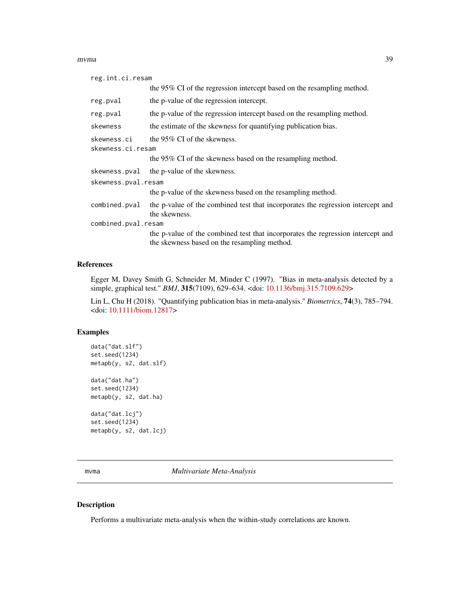#### <span id="page-38-0"></span>mvma 39

| reg.int.ci.resam                                                                                                                |
|---------------------------------------------------------------------------------------------------------------------------------|
| the 95% CI of the regression intercept based on the resampling method.                                                          |
| the p-value of the regression intercept.                                                                                        |
| the p-value of the regression intercept based on the resampling method.                                                         |
| the estimate of the skewness for quantifying publication bias.                                                                  |
| the 95% CI of the skewness.                                                                                                     |
| skewness.ci.resam                                                                                                               |
| the 95% CI of the skewness based on the resampling method.                                                                      |
| the p-value of the skewness.                                                                                                    |
| skewness.pval.resam                                                                                                             |
| the p-value of the skewness based on the resampling method.                                                                     |
| the p-value of the combined test that incorporates the regression intercept and<br>the skewness.                                |
| combined.pval.resam                                                                                                             |
| the p-value of the combined test that incorporates the regression intercept and<br>the skewness based on the resampling method. |
|                                                                                                                                 |

# References

Egger M, Davey Smith G, Schneider M, Minder C (1997). "Bias in meta-analysis detected by a simple, graphical test." *BMJ*, 315(7109), 629–634. <doi: [10.1136/bmj.315.7109.629>](https://doi.org/10.1136/bmj.315.7109.629)

Lin L, Chu H (2018). "Quantifying publication bias in meta-analysis." *Biometrics*, 74(3), 785–794. <doi: [10.1111/biom.12817>](https://doi.org/10.1111/biom.12817)

# Examples

data("dat.slf") set.seed(1234) metapb(y, s2, dat.slf)

data("dat.ha") set.seed(1234) metapb(y, s2, dat.ha)

data("dat.lcj") set.seed(1234) metapb(y, s2, dat.lcj)

<span id="page-38-1"></span>mvma *Multivariate Meta-Analysis*

### Description

Performs a multivariate meta-analysis when the within-study correlations are known.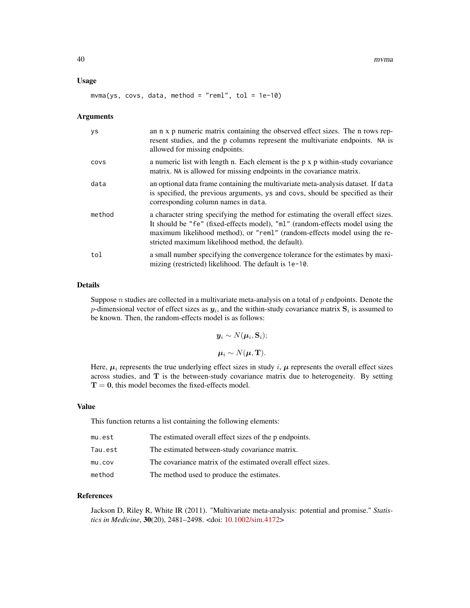#### Usage

 $mvma(ys, covs, data, method = "reml", tol = 1e-10)$ 

#### Arguments

| ys     | an n x p numeric matrix containing the observed effect sizes. The n rows rep-<br>resent studies, and the p columns represent the multivariate endpoints. NA is<br>allowed for missing endpoints.                                                                                                     |
|--------|------------------------------------------------------------------------------------------------------------------------------------------------------------------------------------------------------------------------------------------------------------------------------------------------------|
| COVS   | a numeric list with length n. Each element is the p x p within-study covariance<br>matrix. NA is allowed for missing endpoints in the covariance matrix.                                                                                                                                             |
| data   | an optional data frame containing the multivariate meta-analysis dataset. If data<br>is specified, the previous arguments, ys and covs, should be specified as their<br>corresponding column names in data.                                                                                          |
| method | a character string specifying the method for estimating the overall effect sizes.<br>It should be "fe" (fixed-effects model), "ml" (random-effects model using the<br>maximum likelihood method), or "reml" (random-effects model using the re-<br>stricted maximum likelihood method, the default). |
| tol    | a small number specifying the convergence tolerance for the estimates by maxi-<br>mizing (restricted) likelihood. The default is $1e-10$ .                                                                                                                                                           |

#### Details

Suppose  $n$  studies are collected in a multivariate meta-analysis on a total of  $p$  endpoints. Denote the p-dimensional vector of effect sizes as  $y_i$ , and the within-study covariance matrix  $\mathbf{S}_i$  is assumed to be known. Then, the random-effects model is as follows:

> $\boldsymbol{y}_i \sim N(\boldsymbol{\mu}_i,\mathbf{S}_i);$  $\mu_i \sim N(\mu, T)$ .

Here,  $\mu_i$  represents the true underlying effect sizes in study i,  $\mu$  represents the overall effect sizes across studies, and  $T$  is the between-study covariance matrix due to heterogeneity. By setting  $T = 0$ , this model becomes the fixed-effects model.

#### Value

This function returns a list containing the following elements:

| mu.est  | The estimated overall effect sizes of the p endpoints.       |
|---------|--------------------------------------------------------------|
| Tau.est | The estimated between-study covariance matrix.               |
| mu.cov  | The covariance matrix of the estimated overall effect sizes. |
| method  | The method used to produce the estimates.                    |

#### References

Jackson D, Riley R, White IR (2011). "Multivariate meta-analysis: potential and promise." *Statistics in Medicine*, 30(20), 2481–2498. <doi: [10.1002/sim.4172>](https://doi.org/10.1002/sim.4172)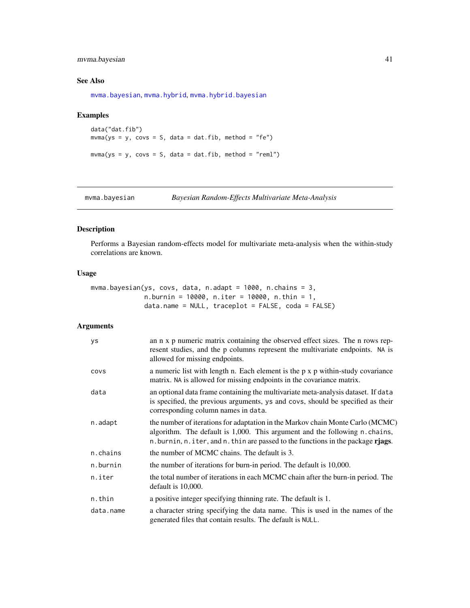# <span id="page-40-0"></span>mvma.bayesian 41

# See Also

[mvma.bayesian](#page-40-1), [mvma.hybrid](#page-42-1), [mvma.hybrid.bayesian](#page-44-1)

### Examples

```
data("dat.fib")
mvma(ys = y, \text{covs} = S, \text{data} = \text{dat.fib}, \text{method} = "fe")mvma(ys = y, \text{covs} = S, \text{data} = \text{dat.fib}, \text{method} = "reml")
```
<span id="page-40-1"></span>mvma.bayesian *Bayesian Random-Effects Multivariate Meta-Analysis*

# Description

Performs a Bayesian random-effects model for multivariate meta-analysis when the within-study correlations are known.

#### Usage

```
mvma.bayesian(ys, covs, data, n.adapt = 1000, n.chains = 3,
              n.burnin = 10000, n.iter = 10000, n.thin = 1,
              data.name = NULL, traceplot = FALSE, coda = FALSE)
```
# Arguments

| <b>ys</b> | an n x p numeric matrix containing the observed effect sizes. The n rows rep-<br>resent studies, and the p columns represent the multivariate endpoints. NA is<br>allowed for missing endpoints.                                               |
|-----------|------------------------------------------------------------------------------------------------------------------------------------------------------------------------------------------------------------------------------------------------|
| COVS      | a numeric list with length n. Each element is the $p \times p$ within-study covariance<br>matrix. NA is allowed for missing endpoints in the covariance matrix.                                                                                |
| data      | an optional data frame containing the multivariate meta-analysis dataset. If data<br>is specified, the previous arguments, ys and covs, should be specified as their<br>corresponding column names in data.                                    |
| n.adapt   | the number of iterations for adaptation in the Markov chain Monte Carlo (MCMC)<br>algorithm. The default is 1,000. This argument and the following n.chains,<br>n.burnin, n.iter, and n.thin are passed to the functions in the package rjags. |
| n.chains  | the number of MCMC chains. The default is 3.                                                                                                                                                                                                   |
| n.burnin  | the number of iterations for burn-in period. The default is 10,000.                                                                                                                                                                            |
| n.iter    | the total number of iterations in each MCMC chain after the burn-in period. The<br>default is 10,000.                                                                                                                                          |
| n.thin    | a positive integer specifying thinning rate. The default is 1.                                                                                                                                                                                 |
| data.name | a character string specifying the data name. This is used in the names of the<br>generated files that contain results. The default is NULL.                                                                                                    |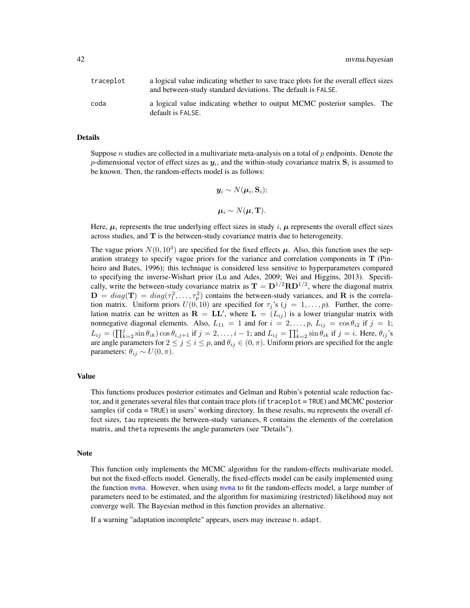<span id="page-41-0"></span>

| traceplot | a logical value indicating whether to save trace plots for the overall effect sizes<br>and between-study standard deviations. The default is FALSE. |
|-----------|-----------------------------------------------------------------------------------------------------------------------------------------------------|
| coda      | a logical value indicating whether to output MCMC posterior samples. The<br>default is FALSE.                                                       |

#### Details

Suppose n studies are collected in a multivariate meta-analysis on a total of p endpoints. Denote the p-dimensional vector of effect sizes as  $y_i$ , and the within-study covariance matrix  $\mathbf{S}_i$  is assumed to be known. Then, the random-effects model is as follows:

$$
\boldsymbol{y}_i \sim N(\boldsymbol{\mu}_i, \mathbf{S}_i);
$$

$$
\boldsymbol{\mu}_i \sim N(\boldsymbol{\mu}, \mathbf{T}).
$$

Here,  $\mu_i$  represents the true underlying effect sizes in study i,  $\mu$  represents the overall effect sizes across studies, and  $T$  is the between-study covariance matrix due to heterogeneity.

The vague priors  $N(0, 10^3)$  are specified for the fixed effects  $\mu$ . Also, this function uses the separation strategy to specify vague priors for the variance and correlation components in T (Pinheiro and Bates, 1996); this technique is considered less sensitive to hyperparameters compared to specifying the inverse-Wishart prior (Lu and Ades, 2009; Wei and Higgins, 2013). Specifically, write the between-study covariance matrix as  $T = D^{1/2}RD^{1/2}$ , where the diagonal matrix  $\mathbf{D} = diag(\mathbf{T}) = diag(\tau_1^2, \dots, \tau_p^2)$  contains the between-study variances, and **R** is the correlation matrix. Uniform priors  $U(0, 10)$  are specified for  $\tau_i$ 's  $(j = 1, \ldots, p)$ . Further, the correlation matrix can be written as  $\mathbf{R} = \mathbf{L}\mathbf{L}'$ , where  $\mathbf{L} = (L_{ij})$  is a lower triangular matrix with nonnegative diagonal elements. Also,  $L_{11} = 1$  and for  $i = 2, \ldots, p$ ,  $L_{ij} = \cos \theta_{i2}$  if  $j = 1$ ;  $L_{ij} = (\prod_{k=2}^{j} \sin \theta_{ik}) \cos \theta_{i,j+1}$  if  $j = 2, \ldots, i-1$ ; and  $L_{ij} = \prod_{k=2}^{i} \sin \theta_{ik}$  if  $j = i$ . Here,  $\theta_{ij}$ 's are angle parameters for  $2 \le j \le i \le p$ , and  $\theta_{ij} \in (0, \pi)$ . Uniform priors are specified for the angle parameters:  $\theta_{ij} \sim U(0, \pi)$ .

#### Value

This functions produces posterior estimates and Gelman and Rubin's potential scale reduction factor, and it generates several files that contain trace plots (if traceplot = TRUE) and MCMC posterior samples (if coda = TRUE) in users' working directory. In these results, mu represents the overall effect sizes, tau represents the between-study variances, R contains the elements of the correlation matrix, and theta represents the angle parameters (see "Details").

#### Note

This function only implements the MCMC algorithm for the random-effects multivariate model, but not the fixed-effects model. Generally, the fixed-effects model can be easily implemented using the function [mvma](#page-38-1). However, when using [mvma](#page-38-1) to fit the random-effects model, a large number of parameters need to be estimated, and the algorithm for maximizing (restricted) likelihood may not converge well. The Bayesian method in this function provides an alternative.

If a warning "adaptation incomplete" appears, users may increase n.adapt.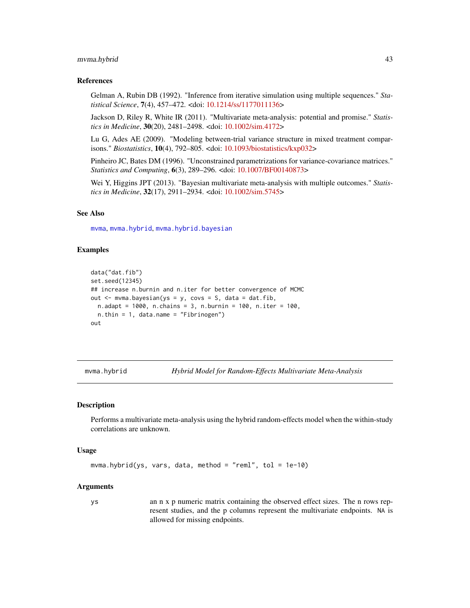#### <span id="page-42-0"></span>mvma.hybrid 43

#### References

Gelman A, Rubin DB (1992). "Inference from iterative simulation using multiple sequences." *Statistical Science*, 7(4), 457–472. <doi: [10.1214/ss/1177011136>](https://doi.org/10.1214/ss/1177011136)

Jackson D, Riley R, White IR (2011). "Multivariate meta-analysis: potential and promise." *Statistics in Medicine*, 30(20), 2481–2498. <doi: [10.1002/sim.4172>](https://doi.org/10.1002/sim.4172)

Lu G, Ades AE (2009). "Modeling between-trial variance structure in mixed treatment comparisons." *Biostatistics*, 10(4), 792–805. <doi: [10.1093/biostatistics/kxp032>](https://doi.org/10.1093/biostatistics/kxp032)

Pinheiro JC, Bates DM (1996). "Unconstrained parametrizations for variance-covariance matrices." *Statistics and Computing*, 6(3), 289–296. <doi: [10.1007/BF00140873>](https://doi.org/10.1007/BF00140873)

Wei Y, Higgins JPT (2013). "Bayesian multivariate meta-analysis with multiple outcomes." *Statistics in Medicine*, 32(17), 2911–2934. <doi: [10.1002/sim.5745>](https://doi.org/10.1002/sim.5745)

# See Also

[mvma](#page-38-1), [mvma.hybrid](#page-42-1), [mvma.hybrid.bayesian](#page-44-1)

#### Examples

```
data("dat.fib")
set.seed(12345)
## increase n.burnin and n.iter for better convergence of MCMC
out \leq mvma.bayesian(ys = y, covs = S, data = dat.fib,
  n.adapt = 1000, n.chains = 3, n.burnin = 100, n.iter = 100,
  n.thin = 1, data.name = "Fibrinogen")
out
```
<span id="page-42-1"></span>mvma.hybrid *Hybrid Model for Random-Effects Multivariate Meta-Analysis*

#### Description

Performs a multivariate meta-analysis using the hybrid random-effects model when the within-study correlations are unknown.

#### Usage

```
mvma.hybrid(ys, vars, data, method = "reml", tol = 1e-10)
```
#### Arguments

ys an n x p numeric matrix containing the observed effect sizes. The n rows represent studies, and the p columns represent the multivariate endpoints. NA is allowed for missing endpoints.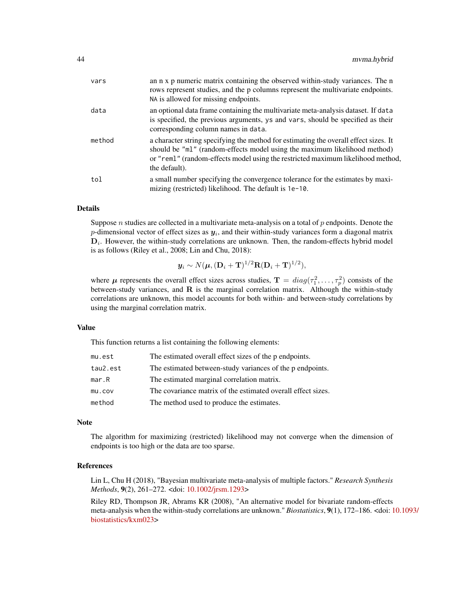| vars   | an n x p numeric matrix containing the observed within-study variances. The n<br>rows represent studies, and the p columns represent the multivariate endpoints.<br>NA is allowed for missing endpoints.                                                              |
|--------|-----------------------------------------------------------------------------------------------------------------------------------------------------------------------------------------------------------------------------------------------------------------------|
| data   | an optional data frame containing the multivariate meta-analysis dataset. If data<br>is specified, the previous arguments, ys and vars, should be specified as their<br>corresponding column names in data.                                                           |
| method | a character string specifying the method for estimating the overall effect sizes. It<br>should be "ml" (random-effects model using the maximum likelihood method)<br>or "reml" (random-effects model using the restricted maximum likelihood method,<br>the default). |
| tol    | a small number specifying the convergence tolerance for the estimates by maxi-<br>mizing (restricted) likelihood. The default is 1e-10.                                                                                                                               |

#### Details

Suppose  $n$  studies are collected in a multivariate meta-analysis on a total of  $p$  endpoints. Denote the p-dimensional vector of effect sizes as  $y_i$ , and their within-study variances form a diagonal matrix  $D_i$ . However, the within-study correlations are unknown. Then, the random-effects hybrid model is as follows (Riley et al., 2008; Lin and Chu, 2018):

$$
\mathbf{y}_i \sim N(\boldsymbol{\mu}, (\mathbf{D}_i + \mathbf{T})^{1/2} \mathbf{R} (\mathbf{D}_i + \mathbf{T})^{1/2}),
$$

where  $\mu$  represents the overall effect sizes across studies,  $\mathbf{T} = diag(\tau_1^2, \dots, \tau_p^2)$  consists of the between-study variances, and  $\bf{R}$  is the marginal correlation matrix. Although the within-study correlations are unknown, this model accounts for both within- and between-study correlations by using the marginal correlation matrix.

#### Value

This function returns a list containing the following elements:

| mu.est   | The estimated overall effect sizes of the p endpoints.       |
|----------|--------------------------------------------------------------|
| tau2.est | The estimated between-study variances of the p endpoints.    |
| mar.R    | The estimated marginal correlation matrix.                   |
| mu.cov   | The covariance matrix of the estimated overall effect sizes. |
| method   | The method used to produce the estimates.                    |

#### Note

The algorithm for maximizing (restricted) likelihood may not converge when the dimension of endpoints is too high or the data are too sparse.

#### References

Lin L, Chu H (2018), "Bayesian multivariate meta-analysis of multiple factors." *Research Synthesis Methods*, 9(2), 261–272. <doi: [10.1002/jrsm.1293>](https://doi.org/10.1002/jrsm.1293)

Riley RD, Thompson JR, Abrams KR (2008), "An alternative model for bivariate random-effects meta-analysis when the within-study correlations are unknown." *Biostatistics*, 9(1), 172–186. <doi: [1](https://doi.org/10.1093/biostatistics/kxm023)0.1093/ [biostatistics/kxm023>](https://doi.org/10.1093/biostatistics/kxm023)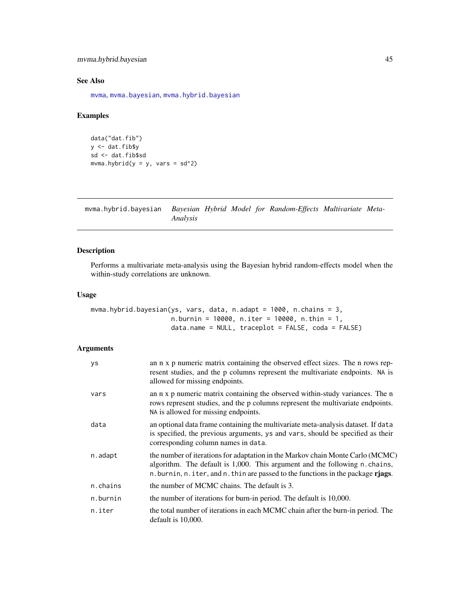# <span id="page-44-0"></span>mvma.hybrid.bayesian 45

# See Also

[mvma](#page-38-1), [mvma.bayesian](#page-40-1), [mvma.hybrid.bayesian](#page-44-1)

# Examples

```
data("dat.fib")
y <- dat.fib$y
sd <- dat.fib$sd
mvma.hybrid(y = y, vars = sd^2)
```
<span id="page-44-1"></span>mvma.hybrid.bayesian *Bayesian Hybrid Model for Random-Effects Multivariate Meta-Analysis*

# Description

Performs a multivariate meta-analysis using the Bayesian hybrid random-effects model when the within-study correlations are unknown.

# Usage

```
mvma.hybrid.bayesian(ys, vars, data, n.adapt = 1000, n.chains = 3,
                     n.burnin = 10000, n.iter = 10000, n.thin = 1,
                     data.name = NULL, traceplot = FALSE, coda = FALSE)
```
# Arguments

| ys       | an n x p numeric matrix containing the observed effect sizes. The n rows rep-<br>resent studies, and the p columns represent the multivariate endpoints. NA is<br>allowed for missing endpoints.                                                  |
|----------|---------------------------------------------------------------------------------------------------------------------------------------------------------------------------------------------------------------------------------------------------|
| vars     | an n x p numeric matrix containing the observed within-study variances. The n<br>rows represent studies, and the p columns represent the multivariate endpoints.<br>NA is allowed for missing endpoints.                                          |
| data     | an optional data frame containing the multivariate meta-analysis dataset. If data<br>is specified, the previous arguments, ys and vars, should be specified as their<br>corresponding column names in data.                                       |
| n.adapt  | the number of iterations for adaptation in the Markov chain Monte Carlo (MCMC)<br>algorithm. The default is 1,000. This argument and the following n.chains,<br>n. burnin, n. iter, and n. thin are passed to the functions in the package rjags. |
| n.chains | the number of MCMC chains. The default is 3.                                                                                                                                                                                                      |
| n.burnin | the number of iterations for burn-in period. The default is 10,000.                                                                                                                                                                               |
| n.iter   | the total number of iterations in each MCMC chain after the burn-in period. The<br>default is 10,000.                                                                                                                                             |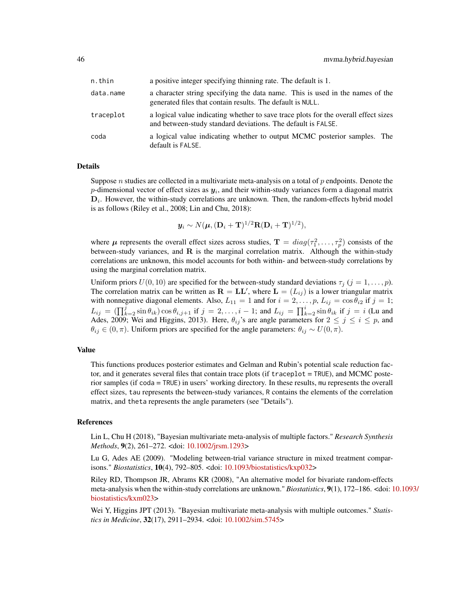| n.thin    | a positive integer specifying thinning rate. The default is 1.                                                                                      |
|-----------|-----------------------------------------------------------------------------------------------------------------------------------------------------|
| data.name | a character string specifying the data name. This is used in the names of the<br>generated files that contain results. The default is NULL.         |
| traceplot | a logical value indicating whether to save trace plots for the overall effect sizes<br>and between-study standard deviations. The default is FALSE. |
| coda      | a logical value indicating whether to output MCMC posterior samples. The<br>default is FALSE.                                                       |

#### Details

Suppose  $n$  studies are collected in a multivariate meta-analysis on a total of  $p$  endpoints. Denote the p-dimensional vector of effect sizes as  $y_i$ , and their within-study variances form a diagonal matrix  $D_i$ . However, the within-study correlations are unknown. Then, the random-effects hybrid model is as follows (Riley et al., 2008; Lin and Chu, 2018):

$$
\mathbf{y}_i \sim N(\boldsymbol{\mu}, (\mathbf{D}_i + \mathbf{T})^{1/2} \mathbf{R} (\mathbf{D}_i + \mathbf{T})^{1/2}),
$$

where  $\mu$  represents the overall effect sizes across studies,  $\mathbf{T} = diag(\tau_1^2, \dots, \tau_p^2)$  consists of the between-study variances, and  $R$  is the marginal correlation matrix. Although the within-study correlations are unknown, this model accounts for both within- and between-study correlations by using the marginal correlation matrix.

Uniform priors  $U(0, 10)$  are specified for the between-study standard deviations  $\tau_j$  ( $j = 1, \ldots, p$ ). The correlation matrix can be written as  $\mathbf{R} = \mathbf{L}\mathbf{L}'$ , where  $\mathbf{L} = (L_{ij})$  is a lower triangular matrix with nonnegative diagonal elements. Also,  $L_{11} = 1$  and for  $i = 2, \ldots, p$ ,  $L_{ij} = \cos \theta_{i2}$  if  $j = 1$ ;  $L_{ij} = (\prod_{k=2}^j \sin \theta_{ik}) \cos \theta_{i,j+1}$  if  $j = 2, \ldots, i-1$ ; and  $L_{ij} = \prod_{k=2}^i \sin \theta_{ik}$  if  $j = i$  (Lu and Ades, 2009; Wei and Higgins, 2013). Here,  $\theta_{ij}$ 's are angle parameters for  $2 \leq j \leq i \leq p$ , and  $\theta_{ij} \in (0, \pi)$ . Uniform priors are specified for the angle parameters:  $\theta_{ij} \sim U(0, \pi)$ .

#### Value

This functions produces posterior estimates and Gelman and Rubin's potential scale reduction factor, and it generates several files that contain trace plots (if traceplot = TRUE), and MCMC posterior samples (if coda = TRUE) in users' working directory. In these results, mu represents the overall effect sizes, tau represents the between-study variances, R contains the elements of the correlation matrix, and theta represents the angle parameters (see "Details").

#### References

Lin L, Chu H (2018), "Bayesian multivariate meta-analysis of multiple factors." *Research Synthesis Methods*, 9(2), 261–272. <doi: [10.1002/jrsm.1293>](https://doi.org/10.1002/jrsm.1293)

Lu G, Ades AE (2009). "Modeling between-trial variance structure in mixed treatment comparisons." *Biostatistics*, 10(4), 792–805. <doi: [10.1093/biostatistics/kxp032>](https://doi.org/10.1093/biostatistics/kxp032)

Riley RD, Thompson JR, Abrams KR (2008), "An alternative model for bivariate random-effects meta-analysis when the within-study correlations are unknown." *Biostatistics*, 9(1), 172–186. <doi: [1](https://doi.org/10.1093/biostatistics/kxm023)0.1093/ [biostatistics/kxm023>](https://doi.org/10.1093/biostatistics/kxm023)

Wei Y, Higgins JPT (2013). "Bayesian multivariate meta-analysis with multiple outcomes." *Statistics in Medicine*, 32(17), 2911–2934. <doi: [10.1002/sim.5745>](https://doi.org/10.1002/sim.5745)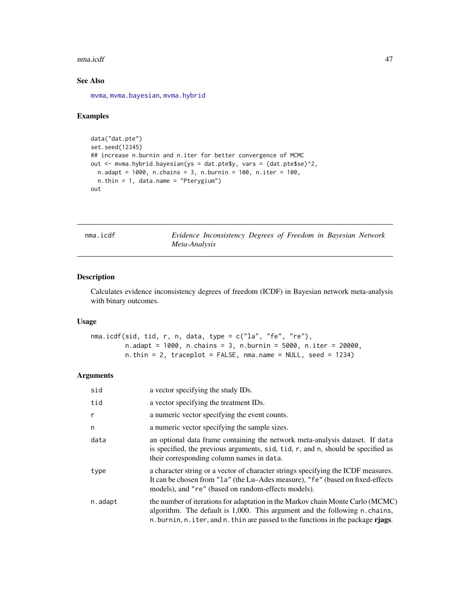#### <span id="page-46-0"></span>nma.icdf 47

# See Also

[mvma](#page-38-1), [mvma.bayesian](#page-40-1), [mvma.hybrid](#page-42-1)

# Examples

```
data("dat.pte")
set.seed(12345)
## increase n.burnin and n.iter for better convergence of MCMC
out <- mvma.hybrid.bayesian(ys = dat.pte$y, vars = (dat.pte$se)^2,
 n.adapt = 1000, n.chains = 3, n.burnin = 100, n.iter = 100,
  n.thin = 1, data.name = "Pterygium")
out
```
nma.icdf *Evidence Inconsistency Degrees of Freedom in Bayesian Network Meta-Analysis*

### Description

Calculates evidence inconsistency degrees of freedom (ICDF) in Bayesian network meta-analysis with binary outcomes.

#### Usage

```
nma.icdf(sid, tid, r, n, data, type = c("la", "fe", "re"),
        n.adapt = 1000, n.chains = 3, n.burnin = 5000, n.iter = 20000,
        n.thin = 2, traceplot = FALSE, nma.name = NULL, seed = 1234)
```
# Arguments

| sid          | a vector specifying the study IDs.                                                                                                                                                                                                                |
|--------------|---------------------------------------------------------------------------------------------------------------------------------------------------------------------------------------------------------------------------------------------------|
| tid          | a vector specifying the treatment IDs.                                                                                                                                                                                                            |
| $\mathsf{r}$ | a numeric vector specifying the event counts.                                                                                                                                                                                                     |
| n            | a numeric vector specifying the sample sizes.                                                                                                                                                                                                     |
| data         | an optional data frame containing the network meta-analysis dataset. If data<br>is specified, the previous arguments, sid, tid, r, and n, should be specified as<br>their corresponding column names in data.                                     |
| type         | a character string or a vector of character strings specifying the ICDF measures.<br>It can be chosen from "1a" (the Lu–Ades measure), "fe" (based on fixed-effects<br>models), and "re" (based on random-effects models).                        |
| n.adapt      | the number of iterations for adaptation in the Markov chain Monte Carlo (MCMC)<br>algorithm. The default is 1,000. This argument and the following n.chains,<br>n. burnin, n. iter, and n. thin are passed to the functions in the package rjags. |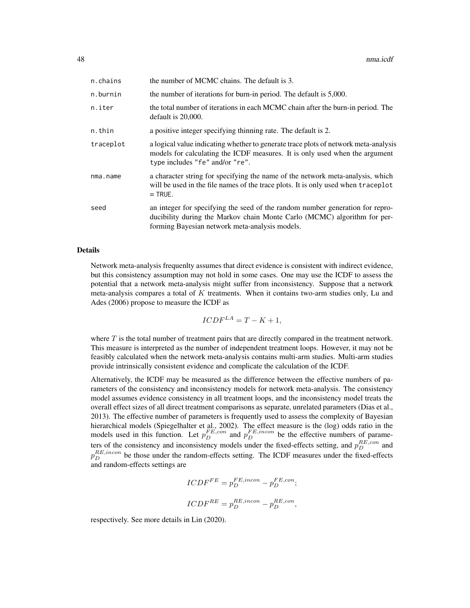| n.chains  | the number of MCMC chains. The default is 3.                                                                                                                                                                |
|-----------|-------------------------------------------------------------------------------------------------------------------------------------------------------------------------------------------------------------|
| n.burnin  | the number of iterations for burn-in period. The default is 5,000.                                                                                                                                          |
| n.iter    | the total number of iterations in each MCMC chain after the burn-in period. The<br>default is 20,000.                                                                                                       |
| n.thin    | a positive integer specifying thinning rate. The default is 2.                                                                                                                                              |
| traceplot | a logical value indicating whether to generate trace plots of network meta-analysis<br>models for calculating the ICDF measures. It is only used when the argument<br>type includes "fe" and/or "re".       |
| nma.name  | a character string for specifying the name of the network meta-analysis, which<br>will be used in the file names of the trace plots. It is only used when traceplot<br>$=$ TRUE.                            |
| seed      | an integer for specifying the seed of the random number generation for repro-<br>ducibility during the Markov chain Monte Carlo (MCMC) algorithm for per-<br>forming Bayesian network meta-analysis models. |

#### Details

Network meta-analysis frequenlty assumes that direct evidence is consistent with indirect evidence, but this consistency assumption may not hold in some cases. One may use the ICDF to assess the potential that a network meta-analysis might suffer from inconsistency. Suppose that a network meta-analysis compares a total of  $K$  treatments. When it contains two-arm studies only, Lu and Ades (2006) propose to measure the ICDF as

$$
ICDF^{LA} = T - K + 1,
$$

where  $T$  is the total number of treatment pairs that are directly compared in the treatment network. This measure is interpreted as the number of independent treatment loops. However, it may not be feasibly calculated when the network meta-analysis contains multi-arm studies. Multi-arm studies provide intrinsically consistent evidence and complicate the calculation of the ICDF.

Alternatively, the ICDF may be measured as the difference between the effective numbers of parameters of the consistency and inconsistency models for network meta-analysis. The consistency model assumes evidence consistency in all treatment loops, and the inconsistency model treats the overall effect sizes of all direct treatment comparisons as separate, unrelated parameters (Dias et al., 2013). The effective number of parameters is frequently used to assess the complexity of Bayesian hierarchical models (Spiegelhalter et al., 2002). The effect measure is the (log) odds ratio in the models used in this function. Let  $p_D^{FE,con}$  and  $p_D^{FE,incon}$  be the effective numbers of parameters of the consistency and inconsistency models under the fixed-effects setting, and  $p_D^{RE,con}$  and  $p_D^{RE,incon}$  be those under the random-effects setting. The ICDF measures under the fixed-effects and random-effects settings are

$$
ICDF^{FE} = p_D^{FE,incon} - p_D^{FE,con};
$$
  

$$
ICDF^{RE} = p_D^{RE,incon} - p_D^{RE,con},
$$

respectively. See more details in Lin (2020).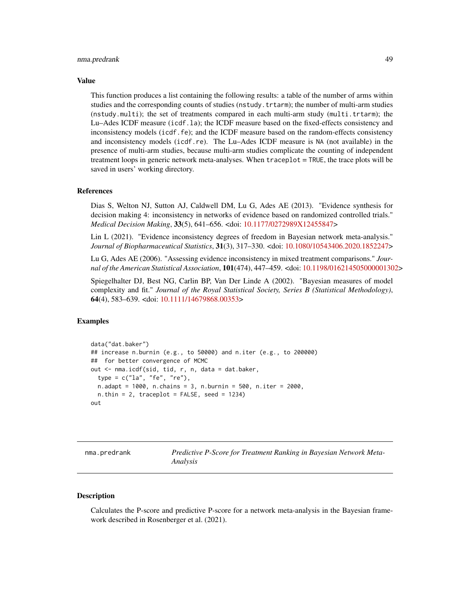#### <span id="page-48-0"></span>nma.predrank 49

#### Value

This function produces a list containing the following results: a table of the number of arms within studies and the corresponding counts of studies (nstudy.trtarm); the number of multi-arm studies (nstudy.multi); the set of treatments compared in each multi-arm study (multi.trtarm); the Lu–Ades ICDF measure (icdf.la); the ICDF measure based on the fixed-effects consistency and inconsistency models (icdf.fe); and the ICDF measure based on the random-effects consistency and inconsistency models (icdf.re). The Lu–Ades ICDF measure is NA (not available) in the presence of multi-arm studies, because multi-arm studies complicate the counting of independent treatment loops in generic network meta-analyses. When traceplot = TRUE, the trace plots will be saved in users' working directory.

#### References

Dias S, Welton NJ, Sutton AJ, Caldwell DM, Lu G, Ades AE (2013). "Evidence synthesis for decision making 4: inconsistency in networks of evidence based on randomized controlled trials." *Medical Decision Making*, 33(5), 641–656. <doi: [10.1177/0272989X12455847>](https://doi.org/10.1177/0272989X12455847)

Lin L (2021). "Evidence inconsistency degrees of freedom in Bayesian network meta-analysis." *Journal of Biopharmaceutical Statistics*, 31(3), 317–330. <doi: [10.1080/10543406.2020.1852247>](https://doi.org/10.1080/10543406.2020.1852247)

Lu G, Ades AE (2006). "Assessing evidence inconsistency in mixed treatment comparisons." *Journal of the American Statistical Association*, 101(474), 447–459. <doi: [10.1198/016214505000001302>](https://doi.org/10.1198/016214505000001302)

Spiegelhalter DJ, Best NG, Carlin BP, Van Der Linde A (2002). "Bayesian measures of model complexity and fit." *Journal of the Royal Statistical Society, Series B (Statistical Methodology)*, 64(4), 583–639. <doi: [10.1111/14679868.00353>](https://doi.org/10.1111/1467-9868.00353)

# Examples

```
data("dat.baker")
## increase n.burnin (e.g., to 50000) and n.iter (e.g., to 200000)
## for better convergence of MCMC
out <- nma.icdf(sid, tid, r, n, data = dat.baker,
 type = c("la", "fe", "re"),
 n.adapt = 1000, n.chains = 3, n.burnin = 500, n.iter = 2000,
 n. thin = 2, traceplot = FALSE, seed = 1234)
out
```
nma.predrank *Predictive P-Score for Treatment Ranking in Bayesian Network Meta-Analysis*

#### Description

Calculates the P-score and predictive P-score for a network meta-analysis in the Bayesian framework described in Rosenberger et al. (2021).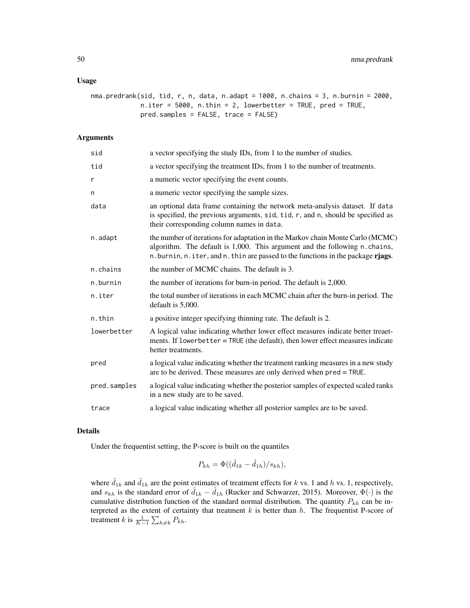#### Usage

```
nma.predrank(sid, tid, r, n, data, n.adapt = 1000, n.chains = 3, n.burnin = 2000,
             n.iter = 5000, n.thin = 2, lowerbetter = TRUE, pred = TRUE,
             pred.samples = FALSE, trace = FALSE)
```
#### Arguments

| sid          | a vector specifying the study IDs, from 1 to the number of studies.                                                                                                                                                                            |
|--------------|------------------------------------------------------------------------------------------------------------------------------------------------------------------------------------------------------------------------------------------------|
| tid          | a vector specifying the treatment IDs, from 1 to the number of treatments.                                                                                                                                                                     |
| r            | a numeric vector specifying the event counts.                                                                                                                                                                                                  |
| n            | a numeric vector specifying the sample sizes.                                                                                                                                                                                                  |
| data         | an optional data frame containing the network meta-analysis dataset. If data<br>is specified, the previous arguments, sid, tid, r, and n, should be specified as<br>their corresponding column names in data.                                  |
| n.adapt      | the number of iterations for adaptation in the Markov chain Monte Carlo (MCMC)<br>algorithm. The default is 1,000. This argument and the following n.chains,<br>n.burnin, n.iter, and n.thin are passed to the functions in the package rjags. |
| n.chains     | the number of MCMC chains. The default is 3.                                                                                                                                                                                                   |
| n.burnin     | the number of iterations for burn-in period. The default is 2,000.                                                                                                                                                                             |
| n.iter       | the total number of iterations in each MCMC chain after the burn-in period. The<br>default is 5,000.                                                                                                                                           |
| n.thin       | a positive integer specifying thinning rate. The default is 2.                                                                                                                                                                                 |
| lowerbetter  | A logical value indicating whether lower effect measures indicate better treaet-<br>ments. If lowerbetter = TRUE (the default), then lower effect measures indicate<br>better treatments.                                                      |
| pred         | a logical value indicating whether the treatment ranking measures in a new study<br>are to be derived. These measures are only derived when pred = TRUE.                                                                                       |
| pred.samples | a logical value indicating whether the posterior samples of expected scaled ranks<br>in a new study are to be saved.                                                                                                                           |
| trace        | a logical value indicating whether all posterior samples are to be saved.                                                                                                                                                                      |

#### Details

Under the frequentist setting, the P-score is built on the quantiles

$$
P_{kh} = \Phi((\hat{d}_{1k} - \hat{d}_{1h})/s_{kh}),
$$

where  $\hat{d}_{1k}$  and  $\hat{d}_{1h}$  are the point estimates of treatment effects for k vs. 1 and h vs. 1, respectively, and  $s_{kh}$  is the standard error of  $\hat{d}_{1k} - \hat{d}_{1h}$  (Rucker and Schwarzer, 2015). Moreover,  $\Phi(\cdot)$  is the cumulative distribution function of the standard normal distribution. The quantity  $P_{kh}$  can be interpreted as the extent of certainty that treatment  $k$  is better than  $h$ . The frequentist P-score of treatment  $k$  is  $\frac{1}{K-1} \sum_{h \neq k} P_{kh}$ .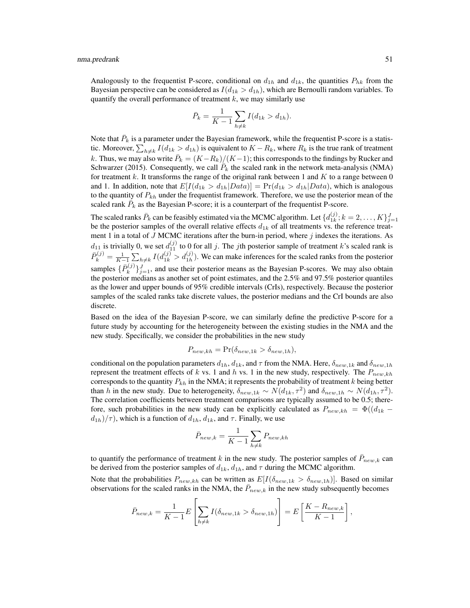Analogously to the frequentist P-score, conditional on  $d_{1h}$  and  $d_{1k}$ , the quantities  $P_{hk}$  from the Bayesian perspective can be considered as  $I(d_{1k} > d_{1h})$ , which are Bernoulli random variables. To quantify the overall performance of treatment  $k$ , we may similarly use

$$
\bar{P}_k = \frac{1}{K-1} \sum_{h \neq k} I(d_{1k} > d_{1h}).
$$

Note that  $\bar{P}_k$  is a parameter under the Bayesian framework, while the frequentist P-score is a statistic. Moreover,  $\sum_{h\neq k} I(d_{1k} > d_{1h})$  is equivalent to  $K - R_k$ , where  $R_k$  is the true rank of treatment k. Thus, we may also write  $\bar{P}_k = (K - R_k)/(K - 1)$ ; this corresponds to the findings by Rucker and Schwarzer (2015). Consequently, we call  $\overline{P}_k$  the scaled rank in the network meta-analysis (NMA) for treatment k. It transforms the range of the original rank between 1 and  $K$  to a range between 0 and 1. In addition, note that  $E[I(d_{1k} > d_{1h} | Data)] = Pr(d_{1k} > d_{1h} | Data)$ , which is analogous to the quantity of  $P_{kh}$  under the frequentist framework. Therefore, we use the posterior mean of the scaled rank  $\overline{P}_k$  as the Bayesian P-score; it is a counterpart of the frequentist P-score.

The scaled ranks  $\bar{P}_k$  can be feasibly estimated via the MCMC algorithm. Let  $\{d_{1k}^{(j)}\}$  $\{1k, 1k; k = 2, \ldots, K\}_{j=1}^J$ be the posterior samples of the overall relative effects  $d_{1k}$  of all treatments vs. the reference treatment 1 in a total of  $J$  MCMC iterations after the burn-in period, where  $j$  indexes the iterations. As  $d_{11}$  is trivially 0, we set  $d_{11}^{(j)}$  to 0 for all j. The jth posterior sample of treatment k's scaled rank is  $\bar{P}_k^{(j)} = \frac{1}{K-1} \sum_{h \neq k} I(d_{1k}^{(j)} > d_{1h}^{(j)})$ . We can make inferences for the scaled ranks from the posterior samples  $\{\bar{P}_k^{(j)}\}$  $\{f_k^{(j)}\}_{j=1}^J$ , and use their posterior means as the Bayesian P-scores. We may also obtain the posterior medians as another set of point estimates, and the 2.5% and 97.5% posterior quantiles as the lower and upper bounds of 95% credible intervals (CrIs), respectively. Because the posterior samples of the scaled ranks take discrete values, the posterior medians and the CrI bounds are also discrete.

Based on the idea of the Bayesian P-score, we can similarly define the predictive P-score for a future study by accounting for the heterogeneity between the existing studies in the NMA and the new study. Specifically, we consider the probabilities in the new study

$$
P_{new,kh} = \Pr(\delta_{new,1k} > \delta_{new,1h}),
$$

conditional on the population parameters  $d_{1h}$ ,  $d_{1k}$ , and  $\tau$  from the NMA. Here,  $\delta_{new,1k}$  and  $\delta_{new,1h}$ represent the treatment effects of k vs. 1 and h vs. 1 in the new study, respectively. The  $P_{new,kh}$ corresponds to the quantity  $P_{kh}$  in the NMA; it represents the probability of treatment k being better than h in the new study. Due to heterogeneity,  $\delta_{new,1k} \sim N(d_{1k}, \tau^2)$  and  $\delta_{new,1h} \sim N(d_{1h}, \tau^2)$ . The correlation coefficients between treatment comparisons are typically assumed to be 0.5; therefore, such probabilities in the new study can be explicitly calculated as  $P_{new,kh} = \Phi((d_{1k} (d_{1h})/\tau$ , which is a function of  $d_{1h}$ ,  $d_{1k}$ , and  $\tau$ . Finally, we use

$$
\bar{P}_{new,k} = \frac{1}{K-1} \sum_{h \neq k} P_{new,kh}
$$

to quantify the performance of treatment k in the new study. The posterior samples of  $\bar{P}_{new,k}$  can be derived from the posterior samples of  $d_{1k}$ ,  $d_{1h}$ , and  $\tau$  during the MCMC algorithm.

Note that the probabilities  $P_{new,kh}$  can be written as  $E[I(\delta_{new,1k} > \delta_{new,1h})]$ . Based on similar observations for the scaled ranks in the NMA, the  $\bar{P}_{new,k}$  in the new study subsequently becomes

$$
\bar{P}_{new,k} = \frac{1}{K-1} E\left[\sum_{h \neq k} I(\delta_{new,1k} > \delta_{new,1h})\right] = E\left[\frac{K - R_{new,k}}{K-1}\right],
$$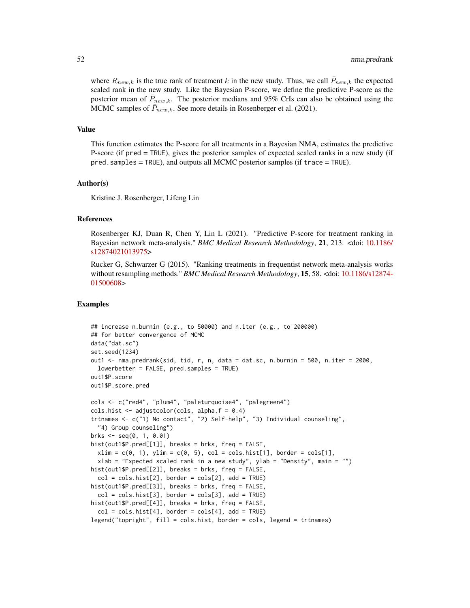where  $R_{new,k}$  is the true rank of treatment k in the new study. Thus, we call  $\bar{P}_{new,k}$  the expected scaled rank in the new study. Like the Bayesian P-score, we define the predictive P-score as the posterior mean of  $\bar{P}_{new,k}$ . The posterior medians and 95% CrIs can also be obtained using the MCMC samples of  $\bar{P}_{new,k}$ . See more details in Rosenberger et al. (2021).

#### Value

This function estimates the P-score for all treatments in a Bayesian NMA, estimates the predictive P-score (if pred = TRUE), gives the posterior samples of expected scaled ranks in a new study (if pred.samples = TRUE), and outputs all MCMC posterior samples (if trace = TRUE).

#### Author(s)

Kristine J. Rosenberger, Lifeng Lin

# References

Rosenberger KJ, Duan R, Chen Y, Lin L (2021). "Predictive P-score for treatment ranking in Bayesian network meta-analysis." *BMC Medical Research Methodology*, 21, 213. <doi: [10.1186/](https://doi.org/10.1186/s12874-021-01397-5) [s12874021013975>](https://doi.org/10.1186/s12874-021-01397-5)

Rucker G, Schwarzer G (2015). "Ranking treatments in frequentist network meta-analysis works without resampling methods." *BMC Medical Research Methodology*, 15, 58. <doi: [10.1186/s12874-](https://doi.org/10.1186/s12874-015-0060-8) [01500608>](https://doi.org/10.1186/s12874-015-0060-8)

# Examples

```
## increase n.burnin (e.g., to 50000) and n.iter (e.g., to 200000)
## for better convergence of MCMC
data("dat.sc")
set.seed(1234)
out1 <- nma.predrank(sid, tid, r, n, data = dat.sc, n.burnin = 500, n.iter = 2000,
 lowerbetter = FALSE, pred.samples = TRUE)
out1$P.score
out1$P.score.pred
cols <- c("red4", "plum4", "paleturquoise4", "palegreen4")
cols.hist \leq adjustcolor(cols, alpha.f = 0.4)
trtnames <- c("1) No contact", "2) Self-help", "3) Individual counseling",
  "4) Group counseling")
brks \leq seq(0, 1, 0.01)
hist(out1$P.pred[[1]], breaks = brks, freq = FALSE,
 xlim = c(0, 1), ylim = c(0, 5), col = cols.hist[1], border = cols[1],xlab = "Expected scaled rank in a new study", ylab = "Density", main = "")
hist(out1$P.pred[[2]], breaks = brks, freq = FALSE,
 col = cols.hist[2], border = cols[2], add = TRUE)hist(out1$P.pred[[3]], breaks = brks, freq = FALSE,
 col = cols.hist[3], border = cols[3], add = TRUE)hist(out1$P.pred[[4]], breaks = brks, freq = FALSE,
 col = cols.hist[4], border = cols[4], add = TRUE)legend("topright", fill = cols.hist, border = cols, legend = trtnames)
```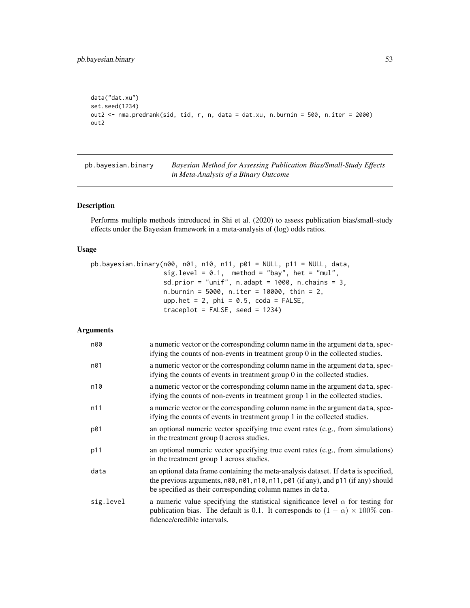```
data("dat.xu")
set.seed(1234)
out2 <- nma.predrank(sid, tid, r, n, data = dat.xu, n.burnin = 500, n.iter = 2000)
out2
```
<span id="page-52-1"></span>pb.bayesian.binary *Bayesian Method for Assessing Publication Bias/Small-Study Effects in Meta-Analysis of a Binary Outcome*

#### Description

Performs multiple methods introduced in Shi et al. (2020) to assess publication bias/small-study effects under the Bayesian framework in a meta-analysis of (log) odds ratios.

# Usage

```
pb.bayesian.binary(n00, n01, n10, n11, p01 = NULL, p11 = NULL, data,
                   sig. level = 0.1, method = "bay", het = "mul",
                   sd.prior = "unif", n.addapt = 1000, n.class = 3,
                   n.burnin = 5000, n.iter = 10000, thin = 2,
                   upp.het = 2, phi = 0.5, coda = FALSE,
                   traceplot = FALSE, seed = 1234)
```
# Arguments

| n00       | a numeric vector or the corresponding column name in the argument data, spec-<br>if ying the counts of non-events in treatment group $0$ in the collected studies.                                                                   |
|-----------|--------------------------------------------------------------------------------------------------------------------------------------------------------------------------------------------------------------------------------------|
| n01       | a numeric vector or the corresponding column name in the argument data, spec-<br>if ying the counts of events in treatment group 0 in the collected studies.                                                                         |
| n10       | a numeric vector or the corresponding column name in the argument data, spec-<br>ifying the counts of non-events in treatment group 1 in the collected studies.                                                                      |
| n11       | a numeric vector or the corresponding column name in the argument data, spec-<br>if ying the counts of events in treatment group 1 in the collected studies.                                                                         |
| p01       | an optional numeric vector specifying true event rates (e.g., from simulations)<br>in the treatment group 0 across studies.                                                                                                          |
| p11       | an optional numeric vector specifying true event rates (e.g., from simulations)<br>in the treatment group 1 across studies.                                                                                                          |
| data      | an optional data frame containing the meta-analysis dataset. If data is specified,<br>the previous arguments, n00, n01, n10, n11, p01 (if any), and p11 (if any) should<br>be specified as their corresponding column names in data. |
| sig.level | a numeric value specifying the statistical significance level $\alpha$ for testing for<br>publication bias. The default is 0.1. It corresponds to $(1 - \alpha) \times 100\%$ con-<br>fidence/credible intervals.                    |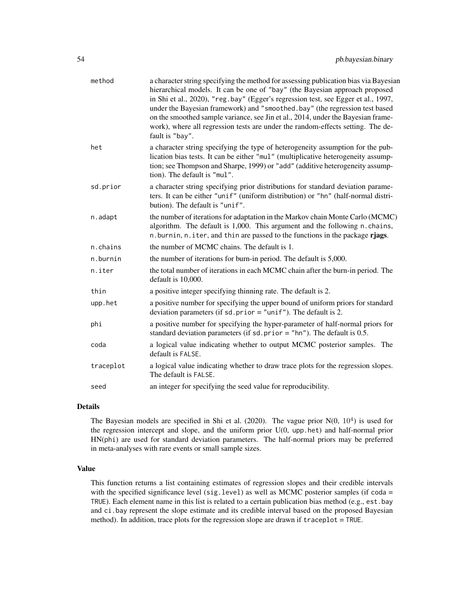| method    | a character string specifying the method for assessing publication bias via Bayesian<br>hierarchical models. It can be one of "bay" (the Bayesian approach proposed<br>in Shi et al., 2020), "reg.bay" (Egger's regression test, see Egger et al., 1997,<br>under the Bayesian framework) and "smoothed.bay" (the regression test based<br>on the smoothed sample variance, see Jin et al., 2014, under the Bayesian frame-<br>work), where all regression tests are under the random-effects setting. The de-<br>fault is "bay". |
|-----------|-----------------------------------------------------------------------------------------------------------------------------------------------------------------------------------------------------------------------------------------------------------------------------------------------------------------------------------------------------------------------------------------------------------------------------------------------------------------------------------------------------------------------------------|
| het       | a character string specifying the type of heterogeneity assumption for the pub-<br>lication bias tests. It can be either "mul" (multiplicative heterogeneity assump-<br>tion; see Thompson and Sharpe, 1999) or "add" (additive heterogeneity assump-<br>tion). The default is "mul".                                                                                                                                                                                                                                             |
| sd.prior  | a character string specifying prior distributions for standard deviation parame-<br>ters. It can be either "unif" (uniform distribution) or "hn" (half-normal distri-<br>bution). The default is "unif".                                                                                                                                                                                                                                                                                                                          |
| n.adapt   | the number of iterations for adaptation in the Markov chain Monte Carlo (MCMC)<br>algorithm. The default is 1,000. This argument and the following n.chains,<br>n. burnin, n. iter, and thin are passed to the functions in the package rjags.                                                                                                                                                                                                                                                                                    |
| n.chains  | the number of MCMC chains. The default is 1.                                                                                                                                                                                                                                                                                                                                                                                                                                                                                      |
| n.burnin  | the number of iterations for burn-in period. The default is 5,000.                                                                                                                                                                                                                                                                                                                                                                                                                                                                |
| n.iter    | the total number of iterations in each MCMC chain after the burn-in period. The<br>default is 10,000.                                                                                                                                                                                                                                                                                                                                                                                                                             |
| thin      | a positive integer specifying thinning rate. The default is 2.                                                                                                                                                                                                                                                                                                                                                                                                                                                                    |
| upp.het   | a positive number for specifying the upper bound of uniform priors for standard<br>deviation parameters (if sd. prior = "unif"). The default is 2.                                                                                                                                                                                                                                                                                                                                                                                |
| phi       | a positive number for specifying the hyper-parameter of half-normal priors for<br>standard deviation parameters (if $sd. prior = "hn").$ The default is 0.5.                                                                                                                                                                                                                                                                                                                                                                      |
| coda      | a logical value indicating whether to output MCMC posterior samples. The<br>default is FALSE.                                                                                                                                                                                                                                                                                                                                                                                                                                     |
| traceplot | a logical value indicating whether to draw trace plots for the regression slopes.<br>The default is FALSE.                                                                                                                                                                                                                                                                                                                                                                                                                        |
| seed      | an integer for specifying the seed value for reproducibility.                                                                                                                                                                                                                                                                                                                                                                                                                                                                     |
|           |                                                                                                                                                                                                                                                                                                                                                                                                                                                                                                                                   |

# Details

The Bayesian models are specified in Shi et al. (2020). The vague prior  $N(0, 10^4)$  is used for the regression intercept and slope, and the uniform prior U(0, upp.het) and half-normal prior HN(phi) are used for standard deviation parameters. The half-normal priors may be preferred in meta-analyses with rare events or small sample sizes.

# Value

This function returns a list containing estimates of regression slopes and their credible intervals with the specified significance level (sig.level) as well as MCMC posterior samples (if  $\text{code} =$ TRUE). Each element name in this list is related to a certain publication bias method (e.g., est.bay and ci.bay represent the slope estimate and its credible interval based on the proposed Bayesian method). In addition, trace plots for the regression slope are drawn if traceplot = TRUE.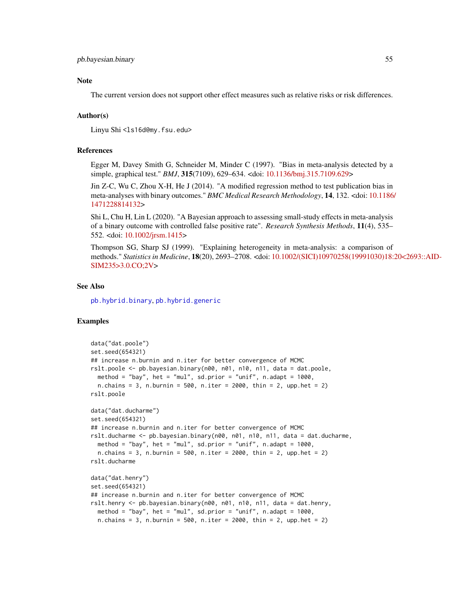# <span id="page-54-0"></span>Note

The current version does not support other effect measures such as relative risks or risk differences.

#### Author(s)

Linyu Shi<ls16d@my.fsu.edu>

#### References

Egger M, Davey Smith G, Schneider M, Minder C (1997). "Bias in meta-analysis detected by a simple, graphical test." *BMJ*, 315(7109), 629–634. <doi: [10.1136/bmj.315.7109.629>](https://doi.org/10.1136/bmj.315.7109.629)

Jin Z-C, Wu C, Zhou X-H, He J (2014). "A modified regression method to test publication bias in meta-analyses with binary outcomes." *BMC Medical Research Methodology*, 14, 132. <doi: [10.1186](https://doi.org/10.1186/1471-2288-14-132)/ [1471228814132>](https://doi.org/10.1186/1471-2288-14-132)

Shi L, Chu H, Lin L (2020). "A Bayesian approach to assessing small-study effects in meta-analysis of a binary outcome with controlled false positive rate". *Research Synthesis Methods*, 11(4), 535– 552. <doi: [10.1002/jrsm.1415>](https://doi.org/10.1002/jrsm.1415)

Thompson SG, Sharp SJ (1999). "Explaining heterogeneity in meta-analysis: a comparison of methods." *Statistics in Medicine*, 18(20), 2693–2708. <doi: [10.1002/\(SICI\)10970258\(19991030\)18:](https://doi.org/10.1002/(SICI)1097-0258(19991030)18:20<2693::AID-SIM235>3.0.CO;2-V)20<2693::AID-[SIM235>3.0.CO;2V>](https://doi.org/10.1002/(SICI)1097-0258(19991030)18:20<2693::AID-SIM235>3.0.CO;2-V)

#### See Also

[pb.hybrid.binary](#page-55-1), [pb.hybrid.generic](#page-57-1)

# Examples

```
data("dat.poole")
set.seed(654321)
## increase n.burnin and n.iter for better convergence of MCMC
rslt.poole <- pb.bayesian.binary(n00, n01, n10, n11, data = dat.poole,
 method = "bay", het = "mul", sd.prior = "unif", n.adapt = 1000,
 n.chains = 3, n.burnin = 500, n.iter = 2000, thin = 2, upp.het = 2)
rslt.poole
data("dat.ducharme")
set.seed(654321)
## increase n.burnin and n.iter for better convergence of MCMC
rslt.ducharme <- pb.bayesian.binary(n00, n01, n10, n11, data = dat.ducharme,
 method = "bay", het = "mul", sd.prior = "unif", n.adapt = 1000,
 n.chains = 3, n.burnin = 500, n.iter = 2000, thin = 2, upp.het = 2)
rslt.ducharme
data("dat.henry")
set.seed(654321)
## increase n.burnin and n.iter for better convergence of MCMC
rslt.henry <- pb.bayesian.binary(n00, n01, n10, n11, data = dat.henry,
 method = "bay", het = "mul", sd.prior = "unif", n.adapt = 1000,
 n.chains = 3, n.burnin = 500, n.iter = 2000, thin = 2, upp.het = 2)
```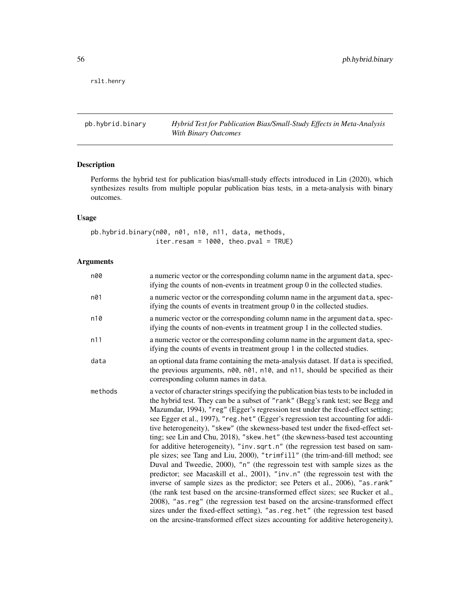<span id="page-55-0"></span>rslt.henry

<span id="page-55-1"></span>pb.hybrid.binary *Hybrid Test for Publication Bias/Small-Study Effects in Meta-Analysis With Binary Outcomes*

# Description

Performs the hybrid test for publication bias/small-study effects introduced in Lin (2020), which synthesizes results from multiple popular publication bias tests, in a meta-analysis with binary outcomes.

# Usage

pb.hybrid.binary(n00, n01, n10, n11, data, methods, iter.resam =  $1000$ , theo.pval = TRUE)

# Arguments

| n00     | a numeric vector or the corresponding column name in the argument data, spec-<br>if ying the counts of non-events in treatment group $0$ in the collected studies.                                                                                                                                                                                                                                                                                                                                                                                                                                                                                                                                                                                                                                                                                                                                                                                                                                                                                                                                                                                                                                                                                                               |
|---------|----------------------------------------------------------------------------------------------------------------------------------------------------------------------------------------------------------------------------------------------------------------------------------------------------------------------------------------------------------------------------------------------------------------------------------------------------------------------------------------------------------------------------------------------------------------------------------------------------------------------------------------------------------------------------------------------------------------------------------------------------------------------------------------------------------------------------------------------------------------------------------------------------------------------------------------------------------------------------------------------------------------------------------------------------------------------------------------------------------------------------------------------------------------------------------------------------------------------------------------------------------------------------------|
| n01     | a numeric vector or the corresponding column name in the argument data, spec-<br>if ying the counts of events in treatment group 0 in the collected studies.                                                                                                                                                                                                                                                                                                                                                                                                                                                                                                                                                                                                                                                                                                                                                                                                                                                                                                                                                                                                                                                                                                                     |
| n10     | a numeric vector or the corresponding column name in the argument data, spec-<br>if ying the counts of non-events in treatment group 1 in the collected studies.                                                                                                                                                                                                                                                                                                                                                                                                                                                                                                                                                                                                                                                                                                                                                                                                                                                                                                                                                                                                                                                                                                                 |
| n11     | a numeric vector or the corresponding column name in the argument data, spec-<br>if ying the counts of events in treatment group 1 in the collected studies.                                                                                                                                                                                                                                                                                                                                                                                                                                                                                                                                                                                                                                                                                                                                                                                                                                                                                                                                                                                                                                                                                                                     |
| data    | an optional data frame containing the meta-analysis dataset. If data is specified,<br>the previous arguments, n00, n01, n10, and n11, should be specified as their<br>corresponding column names in data.                                                                                                                                                                                                                                                                                                                                                                                                                                                                                                                                                                                                                                                                                                                                                                                                                                                                                                                                                                                                                                                                        |
| methods | a vector of character strings specifying the publication bias tests to be included in<br>the hybrid test. They can be a subset of "rank" (Begg's rank test; see Begg and<br>Mazumdar, 1994), "reg" (Egger's regression test under the fixed-effect setting;<br>see Egger et al., 1997), "reg.het" (Egger's regression test accounting for addi-<br>tive heterogeneity), "skew" (the skewness-based test under the fixed-effect set-<br>ting; see Lin and Chu, 2018), "skew.het" (the skewness-based test accounting<br>for additive heterogeneity), "inv.sqrt.n" (the regression test based on sam-<br>ple sizes; see Tang and Liu, 2000), "trimfill" (the trim-and-fill method; see<br>Duval and Tweedie, 2000), "n" (the regressoin test with sample sizes as the<br>predictor; see Macaskill et al., 2001), "inv.n" (the regressoin test with the<br>inverse of sample sizes as the predictor; see Peters et al., 2006), "as.rank"<br>(the rank test based on the arcsine-transformed effect sizes; see Rucker et al.,<br>2008), "as . reg" (the regression test based on the arcsine-transformed effect<br>sizes under the fixed-effect setting), "as.reg.het" (the regression test based<br>on the arcsine-transformed effect sizes accounting for additive heterogeneity), |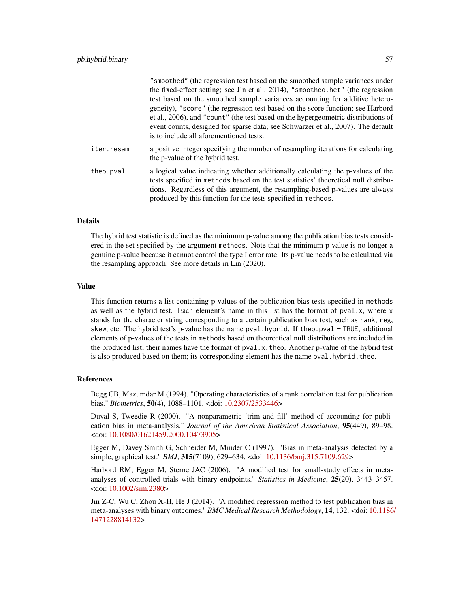|            | "smoothed" (the regression test based on the smoothed sample variances under<br>the fixed-effect setting; see Jin et al., 2014), "smoothed.het" (the regression<br>test based on the smoothed sample variances accounting for additive hetero-<br>geneity), "score" (the regression test based on the score function; see Harbord<br>et al., 2006), and "count" (the test based on the hypergeometric distributions of<br>event counts, designed for sparse data; see Schwarzer et al., 2007). The default<br>is to include all aforementioned tests. |
|------------|-------------------------------------------------------------------------------------------------------------------------------------------------------------------------------------------------------------------------------------------------------------------------------------------------------------------------------------------------------------------------------------------------------------------------------------------------------------------------------------------------------------------------------------------------------|
| iter.resam | a positive integer specifying the number of resampling iterations for calculating<br>the p-value of the hybrid test.                                                                                                                                                                                                                                                                                                                                                                                                                                  |
| theo.pval  | a logical value indicating whether additionally calculating the p-values of the<br>tests specified in methods based on the test statistics' theoretical null distribu-<br>tions. Regardless of this argument, the resampling-based p-values are always<br>produced by this function for the tests specified in methods.                                                                                                                                                                                                                               |

#### Details

The hybrid test statistic is defined as the minimum p-value among the publication bias tests considered in the set specified by the argument methods. Note that the minimum p-value is no longer a genuine p-value because it cannot control the type I error rate. Its p-value needs to be calculated via the resampling approach. See more details in Lin (2020).

#### Value

This function returns a list containing p-values of the publication bias tests specified in methods as well as the hybrid test. Each element's name in this list has the format of  $pval.x$ , where x stands for the character string corresponding to a certain publication bias test, such as rank, reg, skew, etc. The hybrid test's p-value has the name pval.hybrid. If theo.pval = TRUE, additional elements of p-values of the tests in methods based on theorectical null distributions are included in the produced list; their names have the format of pval.x.theo. Another p-value of the hybrid test is also produced based on them; its corresponding element has the name pval.hybrid.theo.

#### References

Begg CB, Mazumdar M (1994). "Operating characteristics of a rank correlation test for publication bias." *Biometrics*, 50(4), 1088–1101. <doi: [10.2307/2533446>](https://doi.org/10.2307/2533446)

Duval S, Tweedie R (2000). "A nonparametric 'trim and fill' method of accounting for publication bias in meta-analysis." *Journal of the American Statistical Association*, 95(449), 89–98. <doi: [10.1080/01621459.2000.10473905>](https://doi.org/10.1080/01621459.2000.10473905)

Egger M, Davey Smith G, Schneider M, Minder C (1997). "Bias in meta-analysis detected by a simple, graphical test." *BMJ*, 315(7109), 629–634. <doi: [10.1136/bmj.315.7109.629>](https://doi.org/10.1136/bmj.315.7109.629)

Harbord RM, Egger M, Sterne JAC (2006). "A modified test for small-study effects in metaanalyses of controlled trials with binary endpoints." *Statistics in Medicine*, 25(20), 3443–3457. <doi: [10.1002/sim.2380>](https://doi.org/10.1002/sim.2380)

Jin Z-C, Wu C, Zhou X-H, He J (2014). "A modified regression method to test publication bias in meta-analyses with binary outcomes." *BMC Medical Research Methodology*, 14, 132. <doi: [10.1186](https://doi.org/10.1186/1471-2288-14-132)/ [1471228814132>](https://doi.org/10.1186/1471-2288-14-132)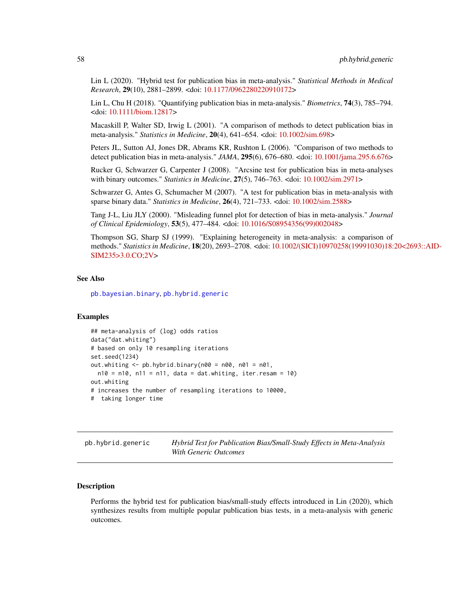<span id="page-57-0"></span>Lin L (2020). "Hybrid test for publication bias in meta-analysis." *Statistical Methods in Medical Research*, 29(10), 2881–2899. <doi: [10.1177/0962280220910172>](https://doi.org/10.1177/0962280220910172)

Lin L, Chu H (2018). "Quantifying publication bias in meta-analysis." *Biometrics*, 74(3), 785–794. <doi: [10.1111/biom.12817>](https://doi.org/10.1111/biom.12817)

Macaskill P, Walter SD, Irwig L (2001). "A comparison of methods to detect publication bias in meta-analysis." *Statistics in Medicine*, 20(4), 641–654. <doi: [10.1002/sim.698>](https://doi.org/10.1002/sim.698)

Peters JL, Sutton AJ, Jones DR, Abrams KR, Rushton L (2006). "Comparison of two methods to detect publication bias in meta-analysis." *JAMA*, 295(6), 676–680. <doi: [10.1001/jama.295.6.676>](https://doi.org/10.1001/jama.295.6.676)

Rucker G, Schwarzer G, Carpenter J (2008). "Arcsine test for publication bias in meta-analyses with binary outcomes." *Statistics in Medicine*, 27(5), 746–763. <doi: [10.1002/sim.2971>](https://doi.org/10.1002/sim.2971)

Schwarzer G, Antes G, Schumacher M (2007). "A test for publication bias in meta-analysis with sparse binary data." *Statistics in Medicine*, 26(4), 721–733. <doi: [10.1002/sim.2588>](https://doi.org/10.1002/sim.2588)

Tang J-L, Liu JLY (2000). "Misleading funnel plot for detection of bias in meta-analysis." *Journal of Clinical Epidemiology*, 53(5), 477–484. <doi: [10.1016/S08954356\(99\)002048>](https://doi.org/10.1016/S0895-4356(99)00204-8)

Thompson SG, Sharp SJ (1999). "Explaining heterogeneity in meta-analysis: a comparison of methods." *Statistics in Medicine*, 18(20), 2693–2708. <doi: [10.1002/\(SICI\)10970258\(19991030\)18:](https://doi.org/10.1002/(SICI)1097-0258(19991030)18:20<2693::AID-SIM235>3.0.CO;2-V)20<2693::AID-[SIM235>3.0.CO;2V>](https://doi.org/10.1002/(SICI)1097-0258(19991030)18:20<2693::AID-SIM235>3.0.CO;2-V)

# See Also

[pb.bayesian.binary](#page-52-1), [pb.hybrid.generic](#page-57-1)

#### Examples

```
## meta-analysis of (log) odds ratios
data("dat.whiting")
# based on only 10 resampling iterations
set.seed(1234)
out.whiting \leq pb.hybrid.binary(n00 = n00, n01 = n01,
 n10 = n10, n11 = n11, data = dat.whiting, iter.resam = 10)
out.whiting
# increases the number of resampling iterations to 10000,
# taking longer time
```
<span id="page-57-1"></span>pb.hybrid.generic *Hybrid Test for Publication Bias/Small-Study Effects in Meta-Analysis With Generic Outcomes*

#### **Description**

Performs the hybrid test for publication bias/small-study effects introduced in Lin (2020), which synthesizes results from multiple popular publication bias tests, in a meta-analysis with generic outcomes.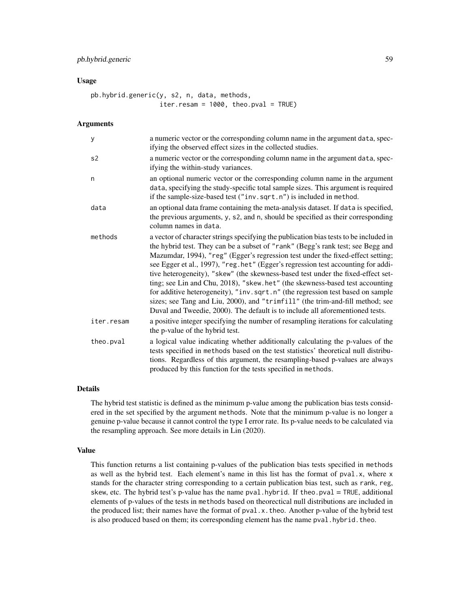#### Usage

```
pb.hybrid.generic(y, s2, n, data, methods,
                  iter.resam = 1000, theo.pval = TRUE)
```
### Arguments

| У          | a numeric vector or the corresponding column name in the argument data, spec-<br>ifying the observed effect sizes in the collected studies.                                                                                                                                                                                                                                                                                                                                                                                                                                                                                                                                                                                                                             |
|------------|-------------------------------------------------------------------------------------------------------------------------------------------------------------------------------------------------------------------------------------------------------------------------------------------------------------------------------------------------------------------------------------------------------------------------------------------------------------------------------------------------------------------------------------------------------------------------------------------------------------------------------------------------------------------------------------------------------------------------------------------------------------------------|
| s2         | a numeric vector or the corresponding column name in the argument data, spec-<br>ifying the within-study variances.                                                                                                                                                                                                                                                                                                                                                                                                                                                                                                                                                                                                                                                     |
| n          | an optional numeric vector or the corresponding column name in the argument<br>data, specifying the study-specific total sample sizes. This argument is required<br>if the sample-size-based test ("inv.sqrt.n") is included in method.                                                                                                                                                                                                                                                                                                                                                                                                                                                                                                                                 |
| data       | an optional data frame containing the meta-analysis dataset. If data is specified,<br>the previous arguments, y, s2, and n, should be specified as their corresponding<br>column names in data.                                                                                                                                                                                                                                                                                                                                                                                                                                                                                                                                                                         |
| methods    | a vector of character strings specifying the publication bias tests to be included in<br>the hybrid test. They can be a subset of "rank" (Begg's rank test; see Begg and<br>Mazumdar, 1994), "reg" (Egger's regression test under the fixed-effect setting;<br>see Egger et al., 1997), "reg.het" (Egger's regression test accounting for addi-<br>tive heterogeneity), "skew" (the skewness-based test under the fixed-effect set-<br>ting; see Lin and Chu, 2018), "skew.het" (the skewness-based test accounting<br>for additive heterogeneity), "inv.sqrt.n" (the regression test based on sample<br>sizes; see Tang and Liu, 2000), and "trimfill" (the trim-and-fill method; see<br>Duval and Tweedie, 2000). The default is to include all aforementioned tests. |
| iter.resam | a positive integer specifying the number of resampling iterations for calculating<br>the p-value of the hybrid test.                                                                                                                                                                                                                                                                                                                                                                                                                                                                                                                                                                                                                                                    |
| theo.pval  | a logical value indicating whether additionally calculating the p-values of the<br>tests specified in methods based on the test statistics' theoretical null distribu-<br>tions. Regardless of this argument, the resampling-based p-values are always<br>produced by this function for the tests specified in methods.                                                                                                                                                                                                                                                                                                                                                                                                                                                 |

# Details

The hybrid test statistic is defined as the minimum p-value among the publication bias tests considered in the set specified by the argument methods. Note that the minimum p-value is no longer a genuine p-value because it cannot control the type I error rate. Its p-value needs to be calculated via the resampling approach. See more details in Lin (2020).

#### Value

This function returns a list containing p-values of the publication bias tests specified in methods as well as the hybrid test. Each element's name in this list has the format of pval.x, where x stands for the character string corresponding to a certain publication bias test, such as rank, reg, skew, etc. The hybrid test's p-value has the name pval.hybrid. If theo.pval  $=$  TRUE, additional elements of p-values of the tests in methods based on theorectical null distributions are included in the produced list; their names have the format of pval.x.theo. Another p-value of the hybrid test is also produced based on them; its corresponding element has the name pval.hybrid.theo.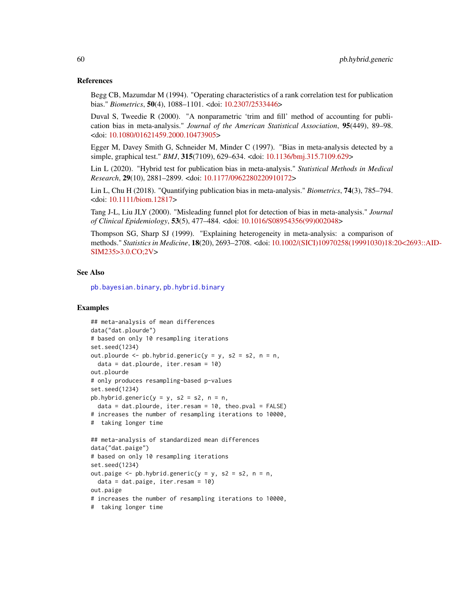#### <span id="page-59-0"></span>References

Begg CB, Mazumdar M (1994). "Operating characteristics of a rank correlation test for publication bias." *Biometrics*, 50(4), 1088–1101. <doi: [10.2307/2533446>](https://doi.org/10.2307/2533446)

Duval S, Tweedie R (2000). "A nonparametric 'trim and fill' method of accounting for publication bias in meta-analysis." *Journal of the American Statistical Association*, 95(449), 89–98. <doi: [10.1080/01621459.2000.10473905>](https://doi.org/10.1080/01621459.2000.10473905)

Egger M, Davey Smith G, Schneider M, Minder C (1997). "Bias in meta-analysis detected by a simple, graphical test." *BMJ*, 315(7109), 629–634. <doi: [10.1136/bmj.315.7109.629>](https://doi.org/10.1136/bmj.315.7109.629)

Lin L (2020). "Hybrid test for publication bias in meta-analysis." *Statistical Methods in Medical Research*, 29(10), 2881–2899. <doi: [10.1177/0962280220910172>](https://doi.org/10.1177/0962280220910172)

Lin L, Chu H (2018). "Quantifying publication bias in meta-analysis." *Biometrics*, 74(3), 785–794. <doi: [10.1111/biom.12817>](https://doi.org/10.1111/biom.12817)

Tang J-L, Liu JLY (2000). "Misleading funnel plot for detection of bias in meta-analysis." *Journal of Clinical Epidemiology*, 53(5), 477–484. <doi: [10.1016/S08954356\(99\)002048>](https://doi.org/10.1016/S0895-4356(99)00204-8)

Thompson SG, Sharp SJ (1999). "Explaining heterogeneity in meta-analysis: a comparison of methods." *Statistics in Medicine*, 18(20), 2693–2708. <doi: [10.1002/\(SICI\)10970258\(19991030\)18:](https://doi.org/10.1002/(SICI)1097-0258(19991030)18:20<2693::AID-SIM235>3.0.CO;2-V)20<2693::AID-[SIM235>3.0.CO;2V>](https://doi.org/10.1002/(SICI)1097-0258(19991030)18:20<2693::AID-SIM235>3.0.CO;2-V)

# See Also

[pb.bayesian.binary](#page-52-1), [pb.hybrid.binary](#page-55-1)

#### Examples

```
## meta-analysis of mean differences
data("dat.plourde")
# based on only 10 resampling iterations
set.seed(1234)
out.plourde \leq pb.hybrid.generic(y = y, s2 = s2, n = n,
  data = dat.plourde, iter.resam = 10)
out.plourde
# only produces resampling-based p-values
set.seed(1234)
pb.hybrid.generic(y = y, s2 = s2, n = n,
  data = dat.plourde, iter.resam = 10, theo.pval = FALSE)
# increases the number of resampling iterations to 10000,
# taking longer time
## meta-analysis of standardized mean differences
data("dat.paige")
# based on only 10 resampling iterations
set.seed(1234)
out.paige \leq pb.hybrid.generic(y = y, s2 = s2, n = n,
  data = dat.paige, iter.resam = 10)
out.paige
# increases the number of resampling iterations to 10000,
# taking longer time
```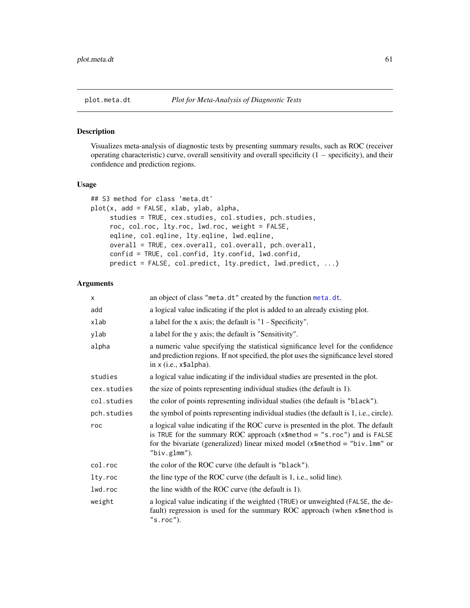# <span id="page-60-1"></span><span id="page-60-0"></span>Description

Visualizes meta-analysis of diagnostic tests by presenting summary results, such as ROC (receiver operating characteristic) curve, overall sensitivity and overall specificity (1 − specificity), and their confidence and prediction regions.

#### Usage

```
## S3 method for class 'meta.dt'
plot(x, add = FALSE, xlab, ylab, alpha,
     studies = TRUE, cex.studies, col.studies, pch.studies,
     roc, col.roc, lty.roc, lwd.roc, weight = FALSE,
     eqline, col.eqline, lty.eqline, lwd.eqline,
     overall = TRUE, cex.overall, col.overall, pch.overall,
     confid = TRUE, col.confid, lty.confid, lwd.confid,
     predict = FALSE, col.predict, lty.predict, lwd.predict, ...)
```
# Arguments

| x           | an object of class "meta.dt" created by the function meta.dt.                                                                                                                                                                                                         |
|-------------|-----------------------------------------------------------------------------------------------------------------------------------------------------------------------------------------------------------------------------------------------------------------------|
| add         | a logical value indicating if the plot is added to an already existing plot.                                                                                                                                                                                          |
| xlab        | a label for the x axis; the default is "1 - Specificity".                                                                                                                                                                                                             |
| ylab        | a label for the y axis; the default is "Sensitivity".                                                                                                                                                                                                                 |
| alpha       | a numeric value specifying the statistical significance level for the confidence<br>and prediction regions. If not specified, the plot uses the significance level stored<br>in $x$ (i.e., $x$alpha1pha$ ).                                                           |
| studies     | a logical value indicating if the individual studies are presented in the plot.                                                                                                                                                                                       |
| cex.studies | the size of points representing individual studies (the default is 1).                                                                                                                                                                                                |
| col.studies | the color of points representing individual studies (the default is "black").                                                                                                                                                                                         |
| pch.studies | the symbol of points representing individual studies (the default is 1, i.e., circle).                                                                                                                                                                                |
| roc         | a logical value indicating if the ROC curve is presented in the plot. The default<br>is TRUE for the summary ROC approach $(x$method = "s.roc")$ and is FALSE<br>for the bivariate (generalized) linear mixed model ( $x$ \$method = "biv.lmm" or<br>" $biv.glmm$ "). |
| col.roc     | the color of the ROC curve (the default is "black").                                                                                                                                                                                                                  |
| lty.roc     | the line type of the ROC curve (the default is 1, i.e., solid line).                                                                                                                                                                                                  |
| lwd.roc     | the line width of the ROC curve (the default is 1).                                                                                                                                                                                                                   |
| weight      | a logical value indicating if the weighted (TRUE) or unweighted (FALSE, the de-<br>fault) regression is used for the summary ROC approach (when x\$method is<br>$"s$ .roc $")$ .                                                                                      |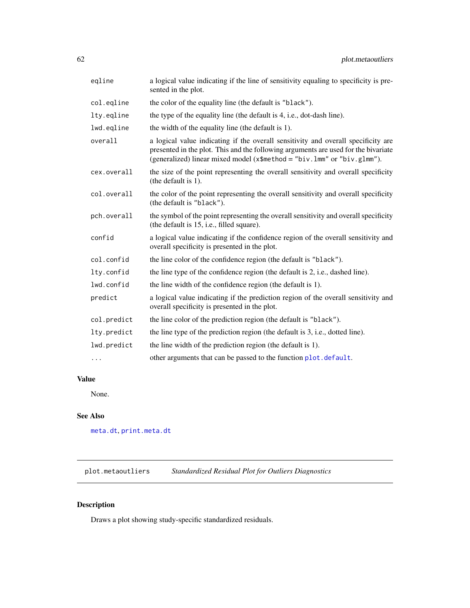<span id="page-61-0"></span>

| eqline      | a logical value indicating if the line of sensitivity equaling to specificity is pre-<br>sented in the plot.                                                                                                                                       |
|-------------|----------------------------------------------------------------------------------------------------------------------------------------------------------------------------------------------------------------------------------------------------|
| col.eqline  | the color of the equality line (the default is "black").                                                                                                                                                                                           |
| lty.eqline  | the type of the equality line (the default is 4, i.e., dot-dash line).                                                                                                                                                                             |
| lwd.eqline  | the width of the equality line (the default is 1).                                                                                                                                                                                                 |
| overall     | a logical value indicating if the overall sensitivity and overall specificity are<br>presented in the plot. This and the following arguments are used for the bivariate<br>(generalized) linear mixed model (x\$method = "biv.lmm" or "biv.glmm"). |
| cex.overall | the size of the point representing the overall sensitivity and overall specificity<br>(the default is 1).                                                                                                                                          |
| col.overall | the color of the point representing the overall sensitivity and overall specificity<br>(the default is "black").                                                                                                                                   |
| pch.overall | the symbol of the point representing the overall sensitivity and overall specificity<br>(the default is 15, i.e., filled square).                                                                                                                  |
| confid      | a logical value indicating if the confidence region of the overall sensitivity and<br>overall specificity is presented in the plot.                                                                                                                |
| col.confid  | the line color of the confidence region (the default is "black").                                                                                                                                                                                  |
| lty.confid  | the line type of the confidence region (the default is 2, i.e., dashed line).                                                                                                                                                                      |
| lwd.confid  | the line width of the confidence region (the default is 1).                                                                                                                                                                                        |
| predict     | a logical value indicating if the prediction region of the overall sensitivity and<br>overall specificity is presented in the plot.                                                                                                                |
| col.predict | the line color of the prediction region (the default is "black").                                                                                                                                                                                  |
| lty.predict | the line type of the prediction region (the default is 3, i.e., dotted line).                                                                                                                                                                      |
| lwd.predict | the line width of the prediction region (the default is 1).                                                                                                                                                                                        |
| $\cdots$    | other arguments that can be passed to the function plot. default.                                                                                                                                                                                  |

# Value

None.

# See Also

[meta.dt](#page-29-1), [print.meta.dt](#page-62-1)

plot.metaoutliers *Standardized Residual Plot for Outliers Diagnostics*

# Description

Draws a plot showing study-specific standardized residuals.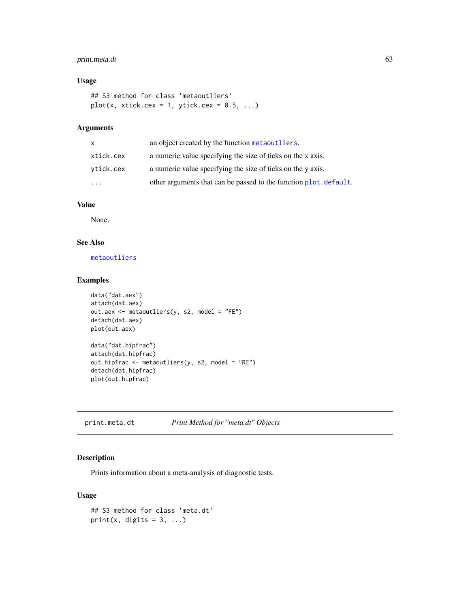# <span id="page-62-0"></span>print.meta.dt 63

# Usage

```
## S3 method for class 'metaoutliers'
plot(x, xtick.cex = 1, ytick.cex = 0.5, ...)
```
# Arguments

| X         | an object created by the function metaoutliers.                   |
|-----------|-------------------------------------------------------------------|
| xtick.cex | a numeric value specifying the size of ticks on the x axis.       |
| vtick.cex | a numeric value specifying the size of ticks on the y axis.       |
| .         | other arguments that can be passed to the function plot. default. |

#### Value

None.

# See Also

[metaoutliers](#page-35-1)

# Examples

```
data("dat.aex")
attach(dat.aex)
out.aex <- metaoutliers(y, s2, model = "FE")
detach(dat.aex)
plot(out.aex)
data("dat.hipfrac")
attach(dat.hipfrac)
out.hipfrac <- metaoutliers(y, s2, model = "RE")
detach(dat.hipfrac)
plot(out.hipfrac)
```
<span id="page-62-1"></span>print.meta.dt *Print Method for "meta.dt" Objects*

# Description

Prints information about a meta-analysis of diagnostic tests.

# Usage

```
## S3 method for class 'meta.dt'
print(x, digits = 3, ...)
```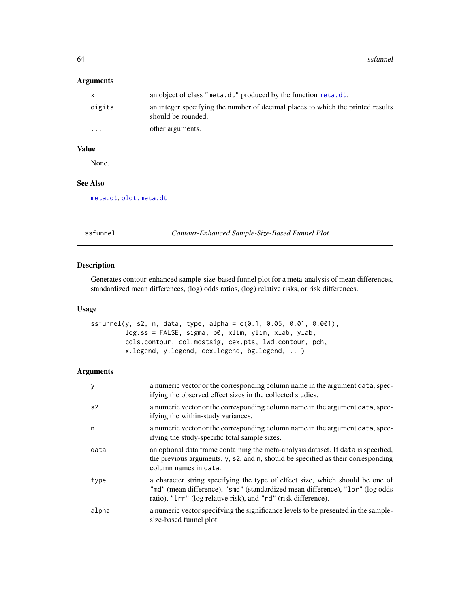<span id="page-63-0"></span>64 ssfunnel

# Arguments

| X.       | an object of class "meta.dt" produced by the function meta.dt.                                        |
|----------|-------------------------------------------------------------------------------------------------------|
| digits   | an integer specifying the number of decimal places to which the printed results<br>should be rounded. |
| $\cdots$ | other arguments.                                                                                      |

# Value

None.

# See Also

[meta.dt](#page-29-1), [plot.meta.dt](#page-60-1)

ssfunnel *Contour-Enhanced Sample-Size-Based Funnel Plot*

# Description

Generates contour-enhanced sample-size-based funnel plot for a meta-analysis of mean differences, standardized mean differences, (log) odds ratios, (log) relative risks, or risk differences.

### Usage

```
ssfunnel(y, s2, n, data, type, alpha = c(0.1, 0.05, 0.01, 0.001),
        log.ss = FALSE, sigma, p0, xlim, ylim, xlab, ylab,
        cols.contour, col.mostsig, cex.pts, lwd.contour, pch,
        x.legend, y.legend, cex.legend, bg.legend, ...)
```
# Arguments

| y              | a numeric vector or the corresponding column name in the argument data, spec-<br>if ying the observed effect sizes in the collected studies.                                                                                     |
|----------------|----------------------------------------------------------------------------------------------------------------------------------------------------------------------------------------------------------------------------------|
| s <sub>2</sub> | a numeric vector or the corresponding column name in the argument data, spec-<br>if ying the within-study variances.                                                                                                             |
| n              | a numeric vector or the corresponding column name in the argument data, spec-<br>if ying the study-specific total sample sizes.                                                                                                  |
| data           | an optional data frame containing the meta-analysis dataset. If data is specified,<br>the previous arguments, y, s2, and n, should be specified as their corresponding<br>column names in data.                                  |
| type           | a character string specifying the type of effect size, which should be one of<br>"md" (mean difference), "smd" (standardized mean difference), "lor" (log odds<br>ratio), "1rr" (log relative risk), and "rd" (risk difference). |
| alpha          | a numeric vector specifying the significance levels to be presented in the sample-<br>size-based funnel plot.                                                                                                                    |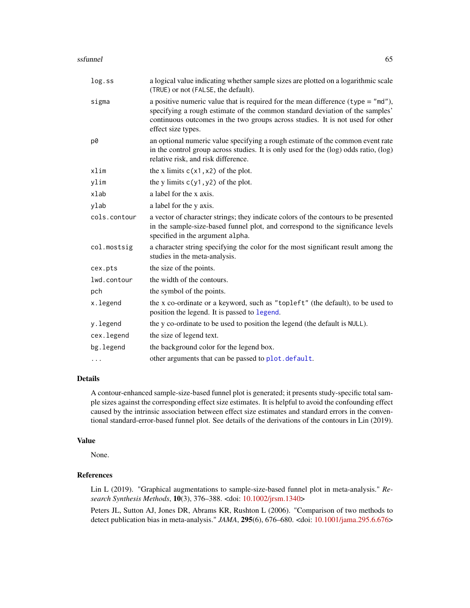#### <span id="page-64-0"></span>ssfunnel 65

| log.ss       | a logical value indicating whether sample sizes are plotted on a logarithmic scale<br>(TRUE) or not (FALSE, the default).                                                                                                                                                  |
|--------------|----------------------------------------------------------------------------------------------------------------------------------------------------------------------------------------------------------------------------------------------------------------------------|
| sigma        | a positive numeric value that is required for the mean difference (type = $m/d$ ),<br>specifying a rough estimate of the common standard deviation of the samples'<br>continuous outcomes in the two groups across studies. It is not used for other<br>effect size types. |
| p0           | an optional numeric value specifying a rough estimate of the common event rate<br>in the control group across studies. It is only used for the (log) odds ratio, (log)<br>relative risk, and risk difference.                                                              |
| xlim         | the x limits $c(x1, x2)$ of the plot.                                                                                                                                                                                                                                      |
| ylim         | the y limits $c(y1, y2)$ of the plot.                                                                                                                                                                                                                                      |
| xlab         | a label for the x axis.                                                                                                                                                                                                                                                    |
| ylab         | a label for the y axis.                                                                                                                                                                                                                                                    |
| cols.contour | a vector of character strings; they indicate colors of the contours to be presented<br>in the sample-size-based funnel plot, and correspond to the significance levels<br>specified in the argument alpha.                                                                 |
| col.mostsig  | a character string specifying the color for the most significant result among the<br>studies in the meta-analysis.                                                                                                                                                         |
| cex.pts      | the size of the points.                                                                                                                                                                                                                                                    |
| lwd.contour  | the width of the contours.                                                                                                                                                                                                                                                 |
| pch          | the symbol of the points.                                                                                                                                                                                                                                                  |
| x.legend     | the x co-ordinate or a keyword, such as "topleft" (the default), to be used to<br>position the legend. It is passed to legend.                                                                                                                                             |
| y.legend     | the y co-ordinate to be used to position the legend (the default is NULL).                                                                                                                                                                                                 |
| cex.legend   | the size of legend text.                                                                                                                                                                                                                                                   |
| bg.legend    | the background color for the legend box.                                                                                                                                                                                                                                   |
| $\cdots$     | other arguments that can be passed to plot. default.                                                                                                                                                                                                                       |

# Details

A contour-enhanced sample-size-based funnel plot is generated; it presents study-specific total sample sizes against the corresponding effect size estimates. It is helpful to avoid the confounding effect caused by the intrinsic association between effect size estimates and standard errors in the conventional standard-error-based funnel plot. See details of the derivations of the contours in Lin (2019).

# Value

None.

# References

Lin L (2019). "Graphical augmentations to sample-size-based funnel plot in meta-analysis." *Research Synthesis Methods*, 10(3), 376–388. <doi: [10.1002/jrsm.1340>](https://doi.org/10.1002/jrsm.1340)

Peters JL, Sutton AJ, Jones DR, Abrams KR, Rushton L (2006). "Comparison of two methods to detect publication bias in meta-analysis." *JAMA*, 295(6), 676–680. <doi: [10.1001/jama.295.6.676>](https://doi.org/10.1001/jama.295.6.676)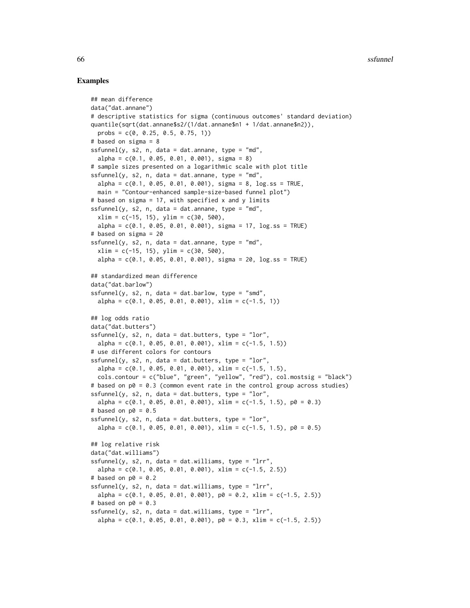#### Examples

```
## mean difference
data("dat.annane")
# descriptive statistics for sigma (continuous outcomes' standard deviation)
quantile(sqrt(dat.annane$s2/(1/dat.annane$n1 + 1/dat.annane$n2)),
 probs = c(0, 0.25, 0.5, 0.75, 1))
# based on sigma = 8
sfunnel(y, s2, n, data = dat.annane, type = "md",
 alpha = c(0.1, 0.05, 0.01, 0.001), sign = 8)# sample sizes presented on a logarithmic scale with plot title
ssfunnel(y, s2, n, data = dat.annane, type = m/d,
 alpha = c(0.1, 0.05, 0.01, 0.001), sigma = 8, log.ss = TRUE,
 main = "Contour-enhanced sample-size-based funnel plot")
# based on sigma = 17, with specified x and y limits
ssfunnel(y, s2, n, data = dat.annane, type = m/d,
 xlim = c(-15, 15), ylim = c(30, 500),
 alpha = c(0.1, 0.05, 0.01, 0.001), sigma = 17, log.ss = TRUE)
# based on sigma = 20
ssfunnel(y, s2, n, data = dat.annotation, type = "md",xlim = c(-15, 15), ylim = c(30, 500),
 alpha = c(0.1, 0.05, 0.01, 0.001), sigma = 20, log.ss = TRUE)
## standardized mean difference
data("dat.barlow")
ssfunnel(y, s2, n, data = dat.barlow, type = "smd",
 alpha = c(0.1, 0.05, 0.01, 0.001), xlim = c(-1.5, 1)## log odds ratio
data("dat.butters")
ssfunnel(y, s2, n, data = dat.butters, type = "lor",alpha = c(0.1, 0.05, 0.01, 0.001), xlim = c(-1.5, 1.5))
# use different colors for contours
sfunnel(y, s2, n, data = dat.butters, type = "lor",
 alpha = c(0.1, 0.05, 0.01, 0.001), x \lim = c(-1.5, 1.5),
 cols.contour = c("blue", "green", "yellow", "red"), col.mostsig = "black")
# based on p0 = 0.3 (common event rate in the control group across studies)
ssfunnel(y, s2, n, data = dat.butters, type = "lor",alpha = c(0.1, 0.05, 0.01, 0.001), xlim = c(-1.5, 1.5), p0 = 0.3)
# based on p0 = 0.5sfunnel(y, s2, n, data = dat.butters, type = "lor",
 alpha = c(0.1, 0.05, 0.01, 0.001), x \lim = c(-1.5, 1.5), p0 = 0.5)## log relative risk
data("dat.williams")
sfunnel(y, s2, n, data = dat.williams, type = "lrr",
 alpha = c(0.1, 0.05, 0.01, 0.001), xlim = c(-1.5, 2.5))
# based on p0 = 0.2ssfunnel(y, s2, n, data = dat.williams, type = "1rr",
 alpha = c(0.1, 0.05, 0.01, 0.001), p0 = 0.2, xlim = c(-1.5, 2.5)# based on p0 = 0.3sfunnel(y, s2, n, data = dat.williams, type = "lrr",
 alpha = c(0.1, 0.05, 0.01, 0.001), p0 = 0.3, x \lim = c(-1.5, 2.5)
```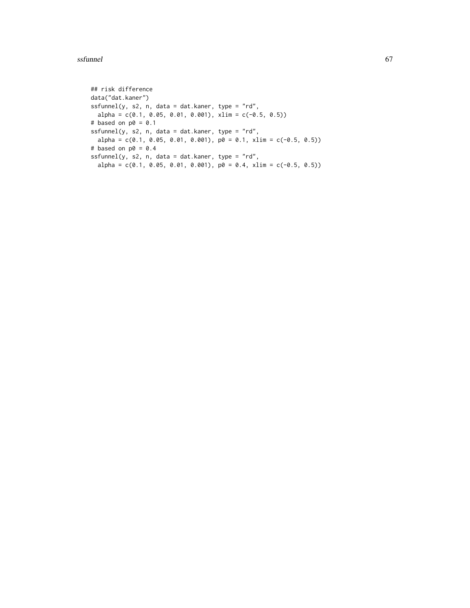#### ssfunnel 67

```
## risk difference
data("dat.kaner")
sfunnel(y, s2, n, data = dat.kaner, type = "rd",
 alpha = c(0.1, 0.05, 0.01, 0.001), xlim = c(-0.5, 0.5)# based on p0 = 0.1
ssfunnel(y, s2, n, data = dat.kaner, type = "rd",alpha = c(0.1, 0.05, 0.01, 0.001), p0 = 0.1, x \lim = c(-0.5, 0.5))
# based on p0 = 0.4sfunnel(y, s2, n, data = dat.kaner, type = "rd",
  alpha = c(0.1, 0.05, 0.01, 0.001), p0 = 0.4, x \lim = c(-0.5, 0.5))
```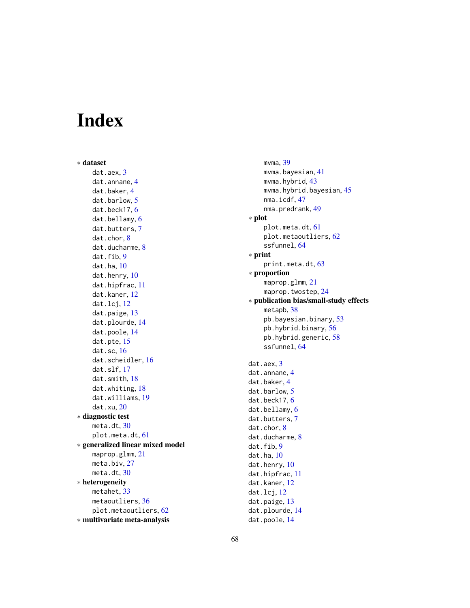# <span id="page-67-0"></span>Index

∗ dataset dat.aex, [3](#page-2-0) dat.annane, [4](#page-3-0) dat.baker, [4](#page-3-0) dat.barlow, [5](#page-4-0) dat.beck17, [6](#page-5-0) dat.bellamy, [6](#page-5-0) dat.butters, [7](#page-6-0) dat.chor, [8](#page-7-0) dat.ducharme, [8](#page-7-0) dat.fib, [9](#page-8-0) dat.ha, [10](#page-9-0) dat.henry, [10](#page-9-0) dat.hipfrac, [11](#page-10-0) dat.kaner, [12](#page-11-0) dat.lcj, [12](#page-11-0) dat.paige, [13](#page-12-0) dat.plourde, [14](#page-13-0) dat.poole, [14](#page-13-0) dat.pte, [15](#page-14-0) dat.sc, [16](#page-15-0) dat.scheidler, [16](#page-15-0) dat.slf, [17](#page-16-0) dat.smith, [18](#page-17-0) dat.whiting, [18](#page-17-0) dat.williams, [19](#page-18-0) dat.xu, [20](#page-19-0) ∗ diagnostic test meta.dt, [30](#page-29-0) plot.meta.dt, [61](#page-60-0) ∗ generalized linear mixed model maprop.glmm, [21](#page-20-0) meta.biv, [27](#page-26-0) meta.dt, [30](#page-29-0) ∗ heterogeneity metahet, [33](#page-32-0) metaoutliers, [36](#page-35-0) plot.metaoutliers, [62](#page-61-0) ∗ multivariate meta-analysis

mvma, [39](#page-38-0) mvma.bayesian, [41](#page-40-0) mvma.hybrid, [43](#page-42-0) mvma.hybrid.bayesian, [45](#page-44-0) nma.icdf, [47](#page-46-0) nma.predrank, [49](#page-48-0) ∗ plot plot.meta.dt, [61](#page-60-0) plot.metaoutliers, [62](#page-61-0) ssfunnel, [64](#page-63-0) ∗ print print.meta.dt, [63](#page-62-0) ∗ proportion maprop.glmm, [21](#page-20-0) maprop.twostep, [24](#page-23-0) ∗ publication bias/small-study effects metapb, [38](#page-37-0) pb.bayesian.binary, [53](#page-52-0) pb.hybrid.binary, [56](#page-55-0) pb.hybrid.generic, [58](#page-57-0) ssfunnel, [64](#page-63-0) dat.aex, [3](#page-2-0) dat.annane, [4](#page-3-0) dat.baker, [4](#page-3-0) dat.barlow, [5](#page-4-0) dat.beck17, [6](#page-5-0) dat.bellamy, [6](#page-5-0) dat.butters, [7](#page-6-0) dat.chor, [8](#page-7-0) dat.ducharme, [8](#page-7-0) dat.fib.[9](#page-8-0) dat.ha, [10](#page-9-0) dat.henry, [10](#page-9-0) dat.hipfrac, [11](#page-10-0) dat.kaner, [12](#page-11-0) dat.lcj, [12](#page-11-0) dat.paige, [13](#page-12-0) dat.plourde, [14](#page-13-0) dat.poole, [14](#page-13-0)